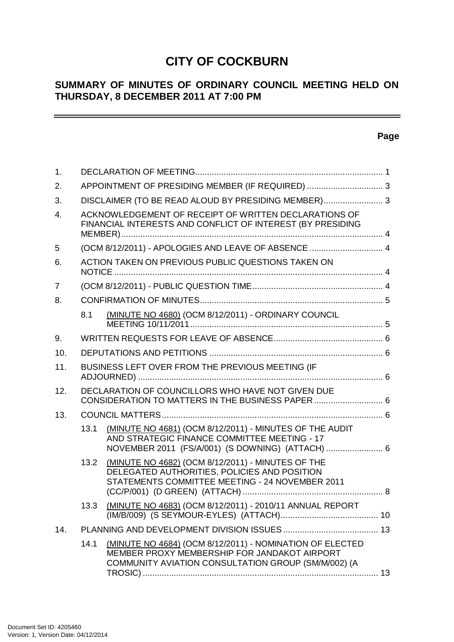# **CITY OF COCKBURN**

### **SUMMARY OF MINUTES OF ORDINARY COUNCIL MEETING HELD ON THURSDAY, 8 DECEMBER 2011 AT 7:00 PM**

### **Page**

 $\equiv$ 

| 1.               |      |                                                                                                                                                                 |  |
|------------------|------|-----------------------------------------------------------------------------------------------------------------------------------------------------------------|--|
| 2.               |      | APPOINTMENT OF PRESIDING MEMBER (IF REQUIRED)  3                                                                                                                |  |
| 3.               |      | DISCLAIMER (TO BE READ ALOUD BY PRESIDING MEMBER) 3                                                                                                             |  |
| $\overline{4}$ . |      | ACKNOWLEDGEMENT OF RECEIPT OF WRITTEN DECLARATIONS OF<br>FINANCIAL INTERESTS AND CONFLICT OF INTEREST (BY PRESIDING                                             |  |
| 5                |      | (OCM 8/12/2011) - APOLOGIES AND LEAVE OF ABSENCE  4                                                                                                             |  |
| 6.               |      | ACTION TAKEN ON PREVIOUS PUBLIC QUESTIONS TAKEN ON                                                                                                              |  |
| $\overline{7}$   |      |                                                                                                                                                                 |  |
| 8.               |      |                                                                                                                                                                 |  |
|                  | 8.1  | (MINUTE NO 4680) (OCM 8/12/2011) - ORDINARY COUNCIL                                                                                                             |  |
| 9.               |      |                                                                                                                                                                 |  |
| 10.              |      |                                                                                                                                                                 |  |
| 11.              |      | BUSINESS LEFT OVER FROM THE PREVIOUS MEETING (IF                                                                                                                |  |
| 12.              |      | DECLARATION OF COUNCILLORS WHO HAVE NOT GIVEN DUE<br>CONSIDERATION TO MATTERS IN THE BUSINESS PAPER  6                                                          |  |
| 13.              |      |                                                                                                                                                                 |  |
|                  | 13.1 | (MINUTE NO 4681) (OCM 8/12/2011) - MINUTES OF THE AUDIT<br>AND STRATEGIC FINANCE COMMITTEE MEETING - 17<br>NOVEMBER 2011 (FS/A/001) (S DOWNING) (ATTACH)  6     |  |
|                  | 13.2 | (MINUTE NO 4682) (OCM 8/12/2011) - MINUTES OF THE<br>DELEGATED AUTHORITIES, POLICIES AND POSITION<br>STATEMENTS COMMITTEE MEETING - 24 NOVEMBER 2011            |  |
|                  |      | 13.3 (MINUTE NO 4683) (OCM 8/12/2011) - 2010/11 ANNUAL REPORT                                                                                                   |  |
| 14.              |      |                                                                                                                                                                 |  |
|                  | 14.1 | (MINUTE NO 4684) (OCM 8/12/2011) - NOMINATION OF ELECTED<br>MEMBER PROXY MEMBERSHIP FOR JANDAKOT AIRPORT<br>COMMUNITY AVIATION CONSULTATION GROUP (SM/M/002) (A |  |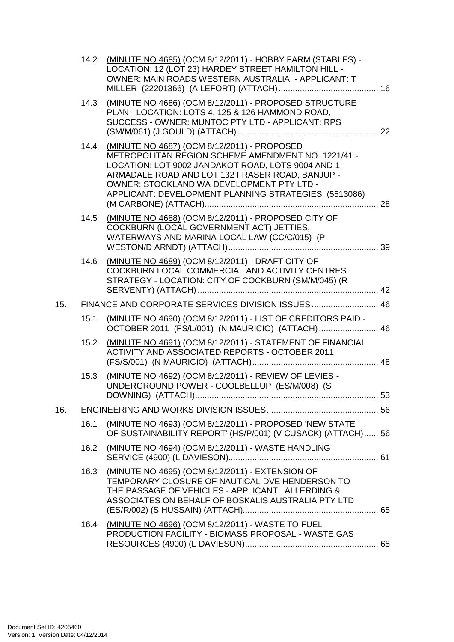|     |      | 14.2 (MINUTE NO 4685) (OCM 8/12/2011) - HOBBY FARM (STABLES) -<br>LOCATION: 12 (LOT 23) HARDEY STREET HAMILTON HILL -<br>OWNER: MAIN ROADS WESTERN AUSTRALIA - APPLICANT: T                                                                                                                                    |  |
|-----|------|----------------------------------------------------------------------------------------------------------------------------------------------------------------------------------------------------------------------------------------------------------------------------------------------------------------|--|
|     |      | 14.3 (MINUTE NO 4686) (OCM 8/12/2011) - PROPOSED STRUCTURE<br>PLAN - LOCATION: LOTS 4, 125 & 126 HAMMOND ROAD,<br>SUCCESS - OWNER: MUNTOC PTY LTD - APPLICANT: RPS                                                                                                                                             |  |
|     | 14.4 | (MINUTE NO 4687) (OCM 8/12/2011) - PROPOSED<br>METROPOLITAN REGION SCHEME AMENDMENT NO. 1221/41 -<br>LOCATION: LOT 9002 JANDAKOT ROAD, LOTS 9004 AND 1<br>ARMADALE ROAD AND LOT 132 FRASER ROAD, BANJUP -<br>OWNER: STOCKLAND WA DEVELOPMENT PTY LTD -<br>APPLICANT: DEVELOPMENT PLANNING STRATEGIES (5513086) |  |
|     | 14.5 | (MINUTE NO 4688) (OCM 8/12/2011) - PROPOSED CITY OF<br>COCKBURN (LOCAL GOVERNMENT ACT) JETTIES,<br>WATERWAYS AND MARINA LOCAL LAW (CC/C/015) (P                                                                                                                                                                |  |
|     | 14.6 | (MINUTE NO 4689) (OCM 8/12/2011) - DRAFT CITY OF<br>COCKBURN LOCAL COMMERCIAL AND ACTIVITY CENTRES<br>STRATEGY - LOCATION: CITY OF COCKBURN (SM/M/045) (R                                                                                                                                                      |  |
| 15. |      | FINANCE AND CORPORATE SERVICES DIVISION ISSUES 46                                                                                                                                                                                                                                                              |  |
|     | 15.1 | (MINUTE NO 4690) (OCM 8/12/2011) - LIST OF CREDITORS PAID -<br>OCTOBER 2011 (FS/L/001) (N MAURICIO) (ATTACH) 46                                                                                                                                                                                                |  |
|     | 15.2 | (MINUTE NO 4691) (OCM 8/12/2011) - STATEMENT OF FINANCIAL<br><b>ACTIVITY AND ASSOCIATED REPORTS - OCTOBER 2011</b>                                                                                                                                                                                             |  |
|     | 15.3 | (MINUTE NO 4692) (OCM 8/12/2011) - REVIEW OF LEVIES -<br>UNDERGROUND POWER - COOLBELLUP (ES/M/008) (S                                                                                                                                                                                                          |  |
|     |      |                                                                                                                                                                                                                                                                                                                |  |
| 16. |      |                                                                                                                                                                                                                                                                                                                |  |
|     | 16.1 | (MINUTE NO 4693) (OCM 8/12/2011) - PROPOSED 'NEW STATE<br>OF SUSTAINABILITY REPORT' (HS/P/001) (V CUSACK) (ATTACH) 56                                                                                                                                                                                          |  |
|     | 16.2 | (MINUTE NO 4694) (OCM 8/12/2011) - WASTE HANDLING                                                                                                                                                                                                                                                              |  |
|     | 16.3 | (MINUTE NO 4695) (OCM 8/12/2011) - EXTENSION OF<br>TEMPORARY CLOSURE OF NAUTICAL DVE HENDERSON TO<br>THE PASSAGE OF VEHICLES - APPLICANT: ALLERDING &<br>ASSOCIATES ON BEHALF OF BOSKALIS AUSTRALIA PTY LTD                                                                                                    |  |
|     | 16.4 | (MINUTE NO 4696) (OCM 8/12/2011) - WASTE TO FUEL<br>PRODUCTION FACILITY - BIOMASS PROPOSAL - WASTE GAS                                                                                                                                                                                                         |  |
|     |      |                                                                                                                                                                                                                                                                                                                |  |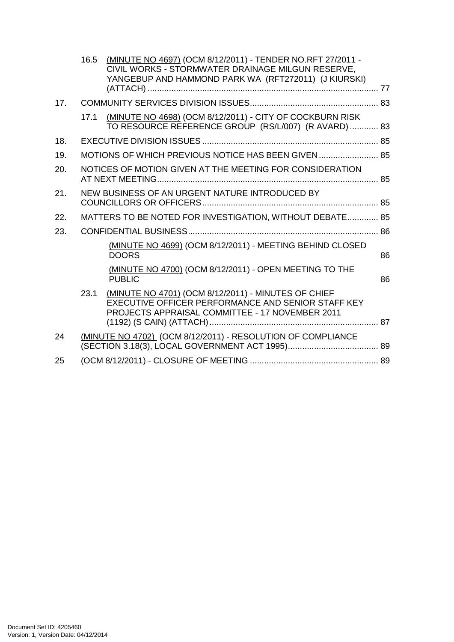|     | 16.5 | (MINUTE NO 4697) (OCM 8/12/2011) - TENDER NO.RFT 27/2011 -<br>CIVIL WORKS - STORMWATER DRAINAGE MILGUN RESERVE,<br>YANGEBUP AND HAMMOND PARK WA (RFT272011) (J KIURSKI) |    |
|-----|------|-------------------------------------------------------------------------------------------------------------------------------------------------------------------------|----|
| 17. |      |                                                                                                                                                                         |    |
|     | 17.1 | (MINUTE NO 4698) (OCM 8/12/2011) - CITY OF COCKBURN RISK<br>TO RESOURCE REFERENCE GROUP (RS/L/007) (R AVARD)  83                                                        |    |
| 18. |      |                                                                                                                                                                         |    |
| 19. |      | MOTIONS OF WHICH PREVIOUS NOTICE HAS BEEN GIVEN  85                                                                                                                     |    |
| 20. |      | NOTICES OF MOTION GIVEN AT THE MEETING FOR CONSIDERATION                                                                                                                |    |
| 21. |      | NEW BUSINESS OF AN URGENT NATURE INTRODUCED BY                                                                                                                          |    |
| 22. |      | MATTERS TO BE NOTED FOR INVESTIGATION, WITHOUT DEBATE 85                                                                                                                |    |
| 23. |      |                                                                                                                                                                         |    |
|     |      | (MINUTE NO 4699) (OCM 8/12/2011) - MEETING BEHIND CLOSED<br><b>DOORS</b>                                                                                                | 86 |
|     |      | (MINUTE NO 4700) (OCM 8/12/2011) - OPEN MEETING TO THE<br><b>PUBLIC</b>                                                                                                 | 86 |
|     | 23.1 | (MINUTE NO 4701) (OCM 8/12/2011) - MINUTES OF CHIEF<br>EXECUTIVE OFFICER PERFORMANCE AND SENIOR STAFF KEY<br><b>PROJECTS APPRAISAL COMMITTEE - 17 NOVEMBER 2011</b>     |    |
| 24  |      | (MINUTE NO 4702) (OCM 8/12/2011) - RESOLUTION OF COMPLIANCE                                                                                                             |    |
| 25  |      |                                                                                                                                                                         |    |
|     |      |                                                                                                                                                                         |    |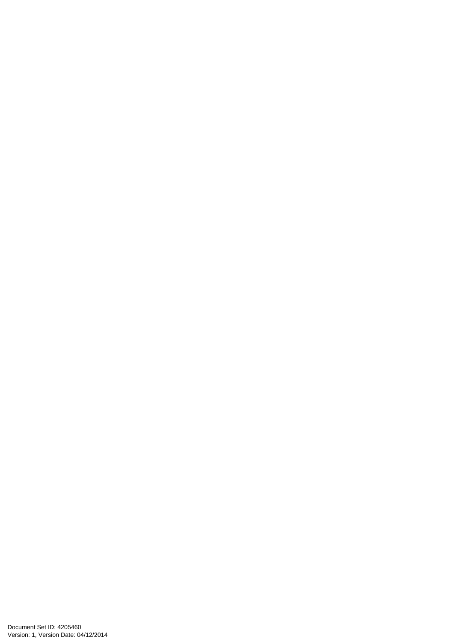Document Set ID: 4205460<br>Version: 1, Version Date: 04/12/2014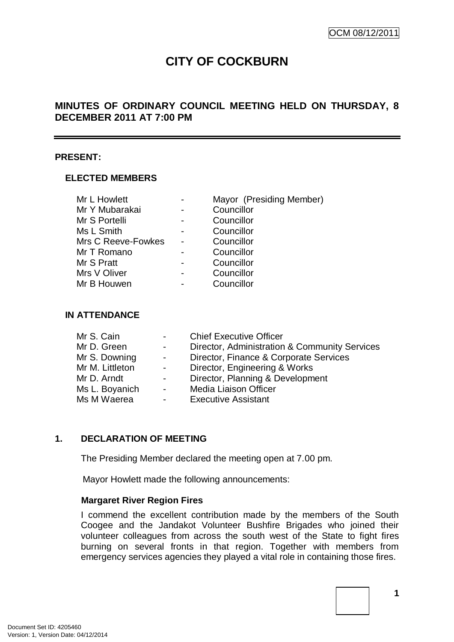# **CITY OF COCKBURN**

### **MINUTES OF ORDINARY COUNCIL MEETING HELD ON THURSDAY, 8 DECEMBER 2011 AT 7:00 PM**

#### **PRESENT:**

#### **ELECTED MEMBERS**

| Mr L Howlett       |   | Mayor (Presiding Member) |
|--------------------|---|--------------------------|
| Mr Y Mubarakai     |   | Councillor               |
| Mr S Portelli      |   | Councillor               |
| Ms L Smith         |   | Councillor               |
| Mrs C Reeve-Fowkes |   | Councillor               |
| Mr T Romano        |   | Councillor               |
| Mr S Pratt         |   | Councillor               |
| Mrs V Oliver       | - | Councillor               |
| Mr B Houwen        |   | Councillor               |

#### **IN ATTENDANCE**

| Director, Administration & Community Services |
|-----------------------------------------------|
|                                               |
|                                               |
|                                               |
|                                               |
|                                               |
|                                               |

### **1. DECLARATION OF MEETING**

The Presiding Member declared the meeting open at 7.00 pm.

Mayor Howlett made the following announcements:

#### **Margaret River Region Fires**

I commend the excellent contribution made by the members of the South Coogee and the Jandakot Volunteer Bushfire Brigades who joined their volunteer colleagues from across the south west of the State to fight fires burning on several fronts in that region. Together with members from emergency services agencies they played a vital role in containing those fires.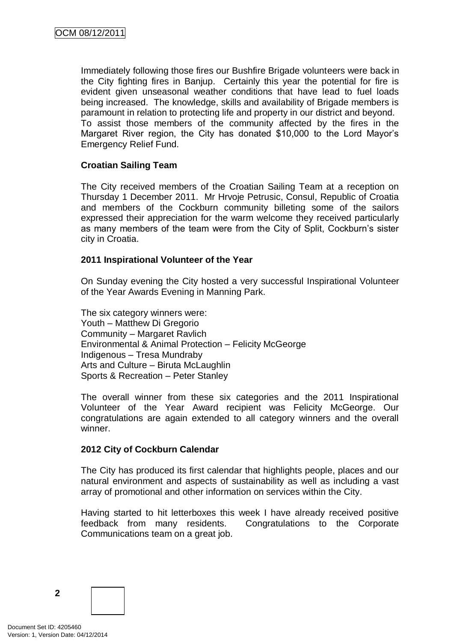Immediately following those fires our Bushfire Brigade volunteers were back in the City fighting fires in Banjup. Certainly this year the potential for fire is evident given unseasonal weather conditions that have lead to fuel loads being increased. The knowledge, skills and availability of Brigade members is paramount in relation to protecting life and property in our district and beyond. To assist those members of the community affected by the fires in the Margaret River region, the City has donated \$10,000 to the Lord Mayor's Emergency Relief Fund.

### **Croatian Sailing Team**

The City received members of the Croatian Sailing Team at a reception on Thursday 1 December 2011. Mr Hrvoje Petrusic, Consul, Republic of Croatia and members of the Cockburn community billeting some of the sailors expressed their appreciation for the warm welcome they received particularly as many members of the team were from the City of Split, Cockburn's sister city in Croatia.

### **2011 Inspirational Volunteer of the Year**

On Sunday evening the City hosted a very successful Inspirational Volunteer of the Year Awards Evening in Manning Park.

The six category winners were: Youth – Matthew Di Gregorio Community – Margaret Ravlich Environmental & Animal Protection – Felicity McGeorge Indigenous – Tresa Mundraby Arts and Culture – Biruta McLaughlin Sports & Recreation – Peter Stanley

The overall winner from these six categories and the 2011 Inspirational Volunteer of the Year Award recipient was Felicity McGeorge. Our congratulations are again extended to all category winners and the overall winner.

### **2012 City of Cockburn Calendar**

The City has produced its first calendar that highlights people, places and our natural environment and aspects of sustainability as well as including a vast array of promotional and other information on services within the City.

Having started to hit letterboxes this week I have already received positive feedback from many residents. Congratulations to the Corporate Communications team on a great job.



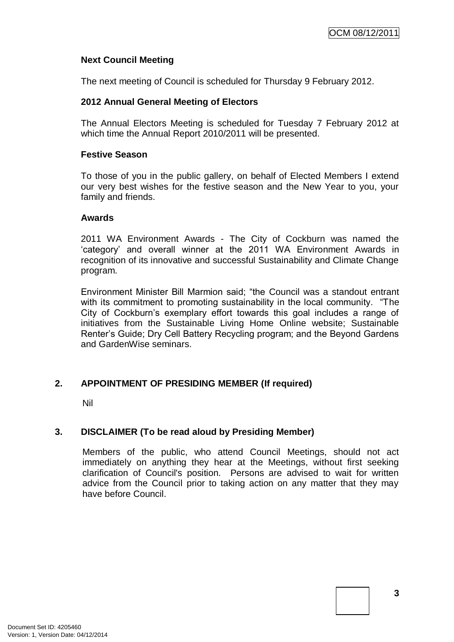### **Next Council Meeting**

The next meeting of Council is scheduled for Thursday 9 February 2012.

### **2012 Annual General Meeting of Electors**

The Annual Electors Meeting is scheduled for Tuesday 7 February 2012 at which time the Annual Report 2010/2011 will be presented.

#### **Festive Season**

To those of you in the public gallery, on behalf of Elected Members I extend our very best wishes for the festive season and the New Year to you, your family and friends.

#### **Awards**

2011 WA Environment Awards - The City of Cockburn was named the ‗category' and overall winner at the 2011 WA Environment Awards in recognition of its innovative and successful Sustainability and Climate Change program.

Environment Minister Bill Marmion said; "the Council was a standout entrant with its commitment to promoting sustainability in the local community. "The City of Cockburn's exemplary effort towards this goal includes a range of initiatives from the Sustainable Living Home Online website; Sustainable Renter's Guide; Dry Cell Battery Recycling program; and the Beyond Gardens and GardenWise seminars.

### **2. APPOINTMENT OF PRESIDING MEMBER (If required)**

Nil

### **3. DISCLAIMER (To be read aloud by Presiding Member)**

Members of the public, who attend Council Meetings, should not act immediately on anything they hear at the Meetings, without first seeking clarification of Council's position. Persons are advised to wait for written advice from the Council prior to taking action on any matter that they may have before Council.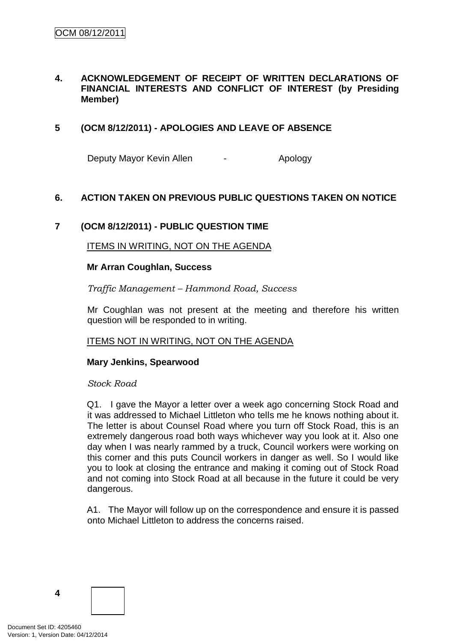### **4. ACKNOWLEDGEMENT OF RECEIPT OF WRITTEN DECLARATIONS OF FINANCIAL INTERESTS AND CONFLICT OF INTEREST (by Presiding Member)**

### **5 (OCM 8/12/2011) - APOLOGIES AND LEAVE OF ABSENCE**

Deputy Mayor Kevin Allen **- Apology** 

### **6. ACTION TAKEN ON PREVIOUS PUBLIC QUESTIONS TAKEN ON NOTICE**

### **7 (OCM 8/12/2011) - PUBLIC QUESTION TIME**

ITEMS IN WRITING, NOT ON THE AGENDA

#### **Mr Arran Coughlan, Success**

*Traffic Management – Hammond Road, Success* 

Mr Coughlan was not present at the meeting and therefore his written question will be responded to in writing.

#### ITEMS NOT IN WRITING, NOT ON THE AGENDA

#### **Mary Jenkins, Spearwood**

*Stock Road*

Q1. I gave the Mayor a letter over a week ago concerning Stock Road and it was addressed to Michael Littleton who tells me he knows nothing about it. The letter is about Counsel Road where you turn off Stock Road, this is an extremely dangerous road both ways whichever way you look at it. Also one day when I was nearly rammed by a truck, Council workers were working on this corner and this puts Council workers in danger as well. So I would like you to look at closing the entrance and making it coming out of Stock Road and not coming into Stock Road at all because in the future it could be very dangerous.

A1. The Mayor will follow up on the correspondence and ensure it is passed onto Michael Littleton to address the concerns raised.

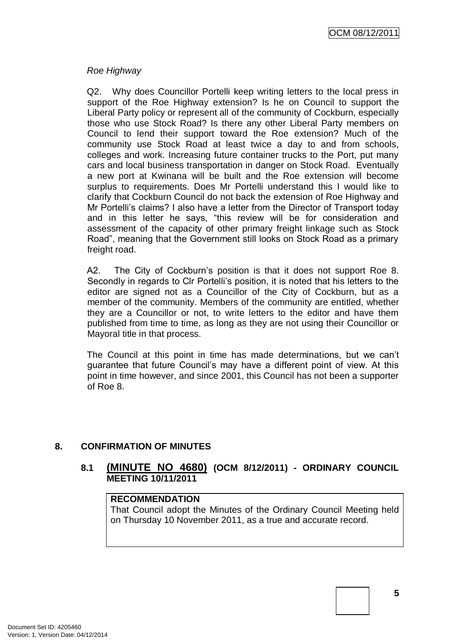#### *Roe Highway*

Q2. Why does Councillor Portelli keep writing letters to the local press in support of the Roe Highway extension? Is he on Council to support the Liberal Party policy or represent all of the community of Cockburn, especially those who use Stock Road? Is there any other Liberal Party members on Council to lend their support toward the Roe extension? Much of the community use Stock Road at least twice a day to and from schools, colleges and work. Increasing future container trucks to the Port, put many cars and local business transportation in danger on Stock Road. Eventually a new port at Kwinana will be built and the Roe extension will become surplus to requirements. Does Mr Portelli understand this I would like to clarify that Cockburn Council do not back the extension of Roe Highway and Mr Portelli's claims? I also have a letter from the Director of Transport today and in this letter he says, "this review will be for consideration and assessment of the capacity of other primary freight linkage such as Stock Road", meaning that the Government still looks on Stock Road as a primary freight road.

A2. The City of Cockburn's position is that it does not support Roe 8. Secondly in regards to Clr Portelli's position, it is noted that his letters to the editor are signed not as a Councillor of the City of Cockburn, but as a member of the community. Members of the community are entitled, whether they are a Councillor or not, to write letters to the editor and have them published from time to time, as long as they are not using their Councillor or Mayoral title in that process.

The Council at this point in time has made determinations, but we can't guarantee that future Council's may have a different point of view. At this point in time however, and since 2001, this Council has not been a supporter of Roe 8.

### **8. CONFIRMATION OF MINUTES**

### **8.1 (MINUTE NO 4680) (OCM 8/12/2011) - ORDINARY COUNCIL MEETING 10/11/2011**

### **RECOMMENDATION**

That Council adopt the Minutes of the Ordinary Council Meeting held on Thursday 10 November 2011, as a true and accurate record.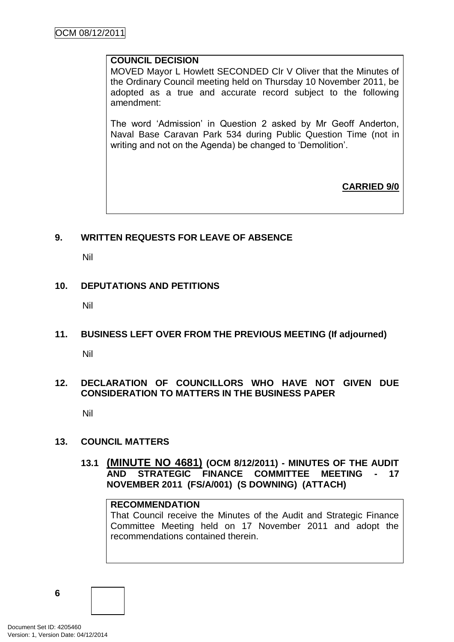### **COUNCIL DECISION**

MOVED Mayor L Howlett SECONDED Clr V Oliver that the Minutes of the Ordinary Council meeting held on Thursday 10 November 2011, be adopted as a true and accurate record subject to the following amendment:

The word 'Admission' in Question 2 asked by Mr Geoff Anderton, Naval Base Caravan Park 534 during Public Question Time (not in writing and not on the Agenda) be changed to 'Demolition'.

**CARRIED 9/0**

### **9. WRITTEN REQUESTS FOR LEAVE OF ABSENCE**

Nil

### **10. DEPUTATIONS AND PETITIONS**

Nil

# **11. BUSINESS LEFT OVER FROM THE PREVIOUS MEETING (If adjourned)**

Nil

### **12. DECLARATION OF COUNCILLORS WHO HAVE NOT GIVEN DUE CONSIDERATION TO MATTERS IN THE BUSINESS PAPER**

Nil

### **13. COUNCIL MATTERS**

**13.1 (MINUTE NO 4681) (OCM 8/12/2011) - MINUTES OF THE AUDIT AND STRATEGIC FINANCE COMMITTEE MEETING - 17 NOVEMBER 2011 (FS/A/001) (S DOWNING) (ATTACH)**

### **RECOMMENDATION**

That Council receive the Minutes of the Audit and Strategic Finance Committee Meeting held on 17 November 2011 and adopt the recommendations contained therein.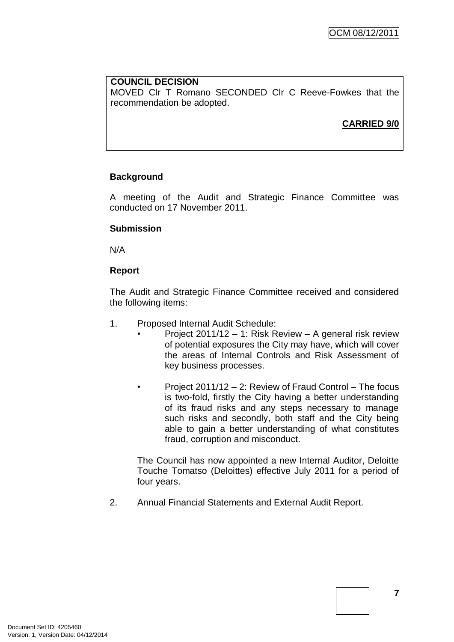#### **COUNCIL DECISION**

MOVED Clr T Romano SECONDED Clr C Reeve-Fowkes that the recommendation be adopted.

### **CARRIED 9/0**

### **Background**

A meeting of the Audit and Strategic Finance Committee was conducted on 17 November 2011.

#### **Submission**

N/A

#### **Report**

The Audit and Strategic Finance Committee received and considered the following items:

- 1. Proposed Internal Audit Schedule:
	- Project 2011/12 1: Risk Review A general risk review of potential exposures the City may have, which will cover the areas of Internal Controls and Risk Assessment of key business processes.
	- Project 2011/12 2: Review of Fraud Control The focus is two-fold, firstly the City having a better understanding of its fraud risks and any steps necessary to manage such risks and secondly, both staff and the City being able to gain a better understanding of what constitutes fraud, corruption and misconduct.

The Council has now appointed a new Internal Auditor, Deloitte Touche Tomatso (Deloittes) effective July 2011 for a period of four years.

2. Annual Financial Statements and External Audit Report.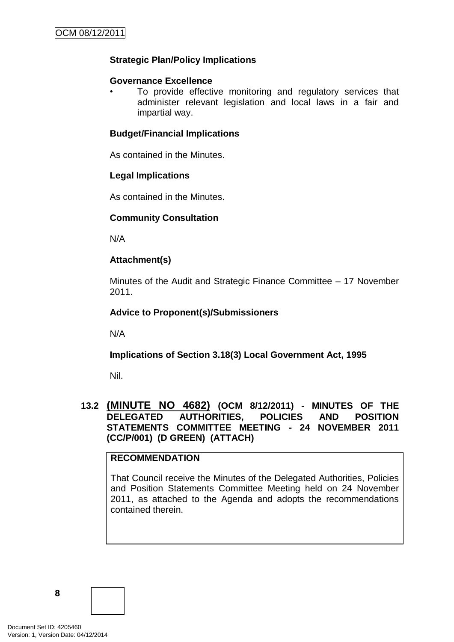### **Strategic Plan/Policy Implications**

#### **Governance Excellence**

To provide effective monitoring and regulatory services that administer relevant legislation and local laws in a fair and impartial way.

### **Budget/Financial Implications**

As contained in the Minutes.

### **Legal Implications**

As contained in the Minutes.

### **Community Consultation**

N/A

### **Attachment(s)**

Minutes of the Audit and Strategic Finance Committee – 17 November 2011.

### **Advice to Proponent(s)/Submissioners**

N/A

**Implications of Section 3.18(3) Local Government Act, 1995**

Nil.

### **13.2 (MINUTE NO 4682) (OCM 8/12/2011) - MINUTES OF THE DELEGATED AUTHORITIES, POLICIES AND POSITION STATEMENTS COMMITTEE MEETING - 24 NOVEMBER 2011 (CC/P/001) (D GREEN) (ATTACH)**

### **RECOMMENDATION**

That Council receive the Minutes of the Delegated Authorities, Policies and Position Statements Committee Meeting held on 24 November 2011, as attached to the Agenda and adopts the recommendations contained therein.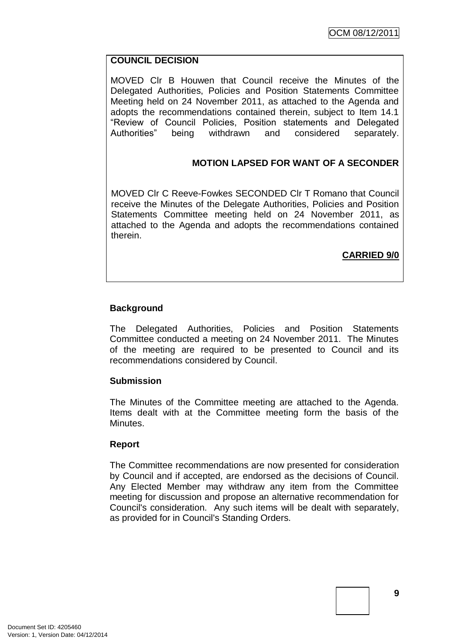### **COUNCIL DECISION**

MOVED Clr B Houwen that Council receive the Minutes of the Delegated Authorities, Policies and Position Statements Committee Meeting held on 24 November 2011, as attached to the Agenda and adopts the recommendations contained therein, subject to Item 14.1 "Review of Council Policies, Position statements and Delegated Authorities‖ being withdrawn and considered separately.

### **MOTION LAPSED FOR WANT OF A SECONDER**

MOVED Clr C Reeve-Fowkes SECONDED Clr T Romano that Council receive the Minutes of the Delegate Authorities, Policies and Position Statements Committee meeting held on 24 November 2011, as attached to the Agenda and adopts the recommendations contained therein.

### **CARRIED 9/0**

### **Background**

The Delegated Authorities, Policies and Position Statements Committee conducted a meeting on 24 November 2011. The Minutes of the meeting are required to be presented to Council and its recommendations considered by Council.

### **Submission**

The Minutes of the Committee meeting are attached to the Agenda. Items dealt with at the Committee meeting form the basis of the Minutes.

### **Report**

The Committee recommendations are now presented for consideration by Council and if accepted, are endorsed as the decisions of Council. Any Elected Member may withdraw any item from the Committee meeting for discussion and propose an alternative recommendation for Council's consideration. Any such items will be dealt with separately, as provided for in Council's Standing Orders.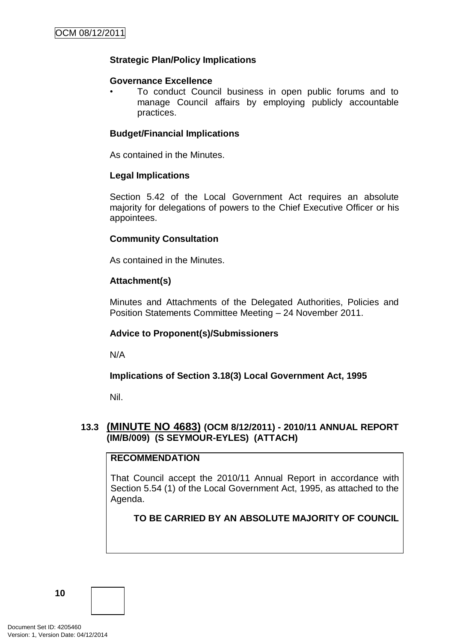### **Strategic Plan/Policy Implications**

### **Governance Excellence**

• To conduct Council business in open public forums and to manage Council affairs by employing publicly accountable practices.

### **Budget/Financial Implications**

As contained in the Minutes.

### **Legal Implications**

Section 5.42 of the Local Government Act requires an absolute majority for delegations of powers to the Chief Executive Officer or his appointees.

### **Community Consultation**

As contained in the Minutes.

### **Attachment(s)**

Minutes and Attachments of the Delegated Authorities, Policies and Position Statements Committee Meeting – 24 November 2011.

### **Advice to Proponent(s)/Submissioners**

N/A

**Implications of Section 3.18(3) Local Government Act, 1995**

Nil.

### **13.3 (MINUTE NO 4683) (OCM 8/12/2011) - 2010/11 ANNUAL REPORT (IM/B/009) (S SEYMOUR-EYLES) (ATTACH)**

### **RECOMMENDATION**

That Council accept the 2010/11 Annual Report in accordance with Section 5.54 (1) of the Local Government Act, 1995, as attached to the Agenda.

**TO BE CARRIED BY AN ABSOLUTE MAJORITY OF COUNCIL**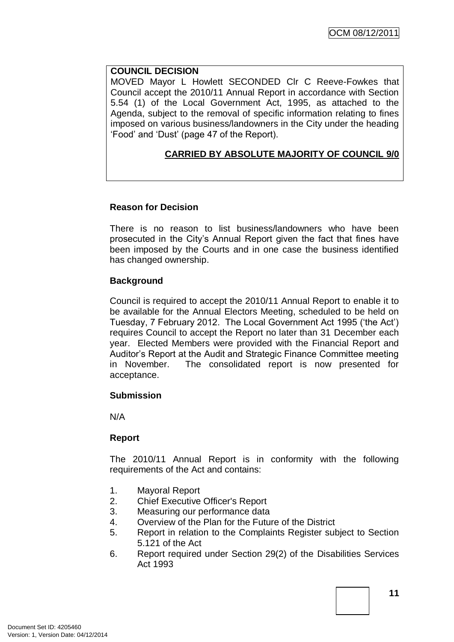### **COUNCIL DECISION**

MOVED Mayor L Howlett SECONDED Clr C Reeve-Fowkes that Council accept the 2010/11 Annual Report in accordance with Section 5.54 (1) of the Local Government Act, 1995, as attached to the Agenda, subject to the removal of specific information relating to fines imposed on various business/landowners in the City under the heading ‗Food' and ‗Dust' (page 47 of the Report).

### **CARRIED BY ABSOLUTE MAJORITY OF COUNCIL 9/0**

### **Reason for Decision**

There is no reason to list business/landowners who have been prosecuted in the City's Annual Report given the fact that fines have been imposed by the Courts and in one case the business identified has changed ownership.

### **Background**

Council is required to accept the 2010/11 Annual Report to enable it to be available for the Annual Electors Meeting, scheduled to be held on Tuesday, 7 February 2012. The Local Government Act 1995 ('the Act') requires Council to accept the Report no later than 31 December each year. Elected Members were provided with the Financial Report and Auditor's Report at the Audit and Strategic Finance Committee meeting in November. The consolidated report is now presented for acceptance.

### **Submission**

N/A

### **Report**

The 2010/11 Annual Report is in conformity with the following requirements of the Act and contains:

- 1. Mayoral Report
- 2. Chief Executive Officer's Report
- 3. Measuring our performance data
- 4. Overview of the Plan for the Future of the District
- 5. Report in relation to the Complaints Register subject to Section 5.121 of the Act
- 6. Report required under Section 29(2) of the Disabilities Services Act 1993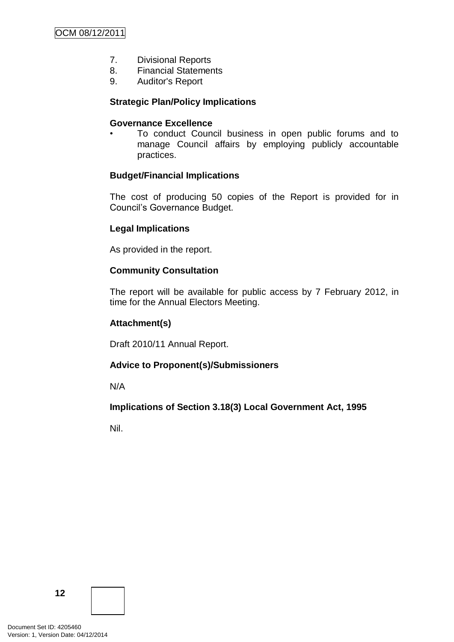- 7. Divisional Reports
- 8. Financial Statements
- 9. Auditor's Report

#### **Strategic Plan/Policy Implications**

#### **Governance Excellence**

• To conduct Council business in open public forums and to manage Council affairs by employing publicly accountable practices.

#### **Budget/Financial Implications**

The cost of producing 50 copies of the Report is provided for in Council's Governance Budget.

#### **Legal Implications**

As provided in the report.

#### **Community Consultation**

The report will be available for public access by 7 February 2012, in time for the Annual Electors Meeting.

#### **Attachment(s)**

Draft 2010/11 Annual Report.

### **Advice to Proponent(s)/Submissioners**

N/A

**Implications of Section 3.18(3) Local Government Act, 1995**

Nil.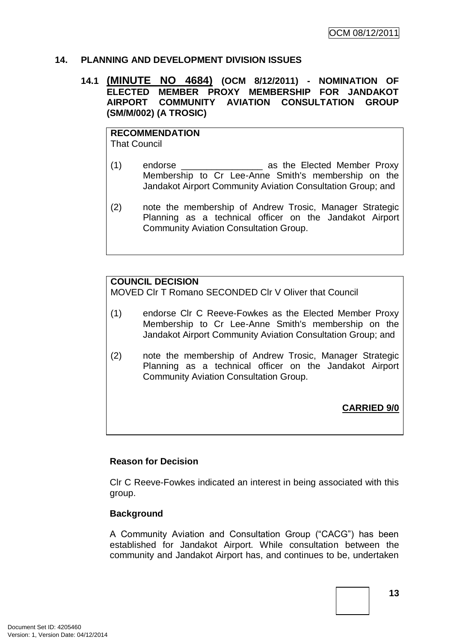### **14. PLANNING AND DEVELOPMENT DIVISION ISSUES**

### **14.1 (MINUTE NO 4684) (OCM 8/12/2011) - NOMINATION OF ELECTED MEMBER PROXY MEMBERSHIP FOR JANDAKOT AIRPORT COMMUNITY AVIATION CONSULTATION GROUP (SM/M/002) (A TROSIC)**

#### **RECOMMENDATION** That Council

- (1) endorse as the Elected Member Proxy Membership to Cr Lee-Anne Smith's membership on the Jandakot Airport Community Aviation Consultation Group; and
- (2) note the membership of Andrew Trosic, Manager Strategic Planning as a technical officer on the Jandakot Airport Community Aviation Consultation Group.

### **COUNCIL DECISION**

MOVED Clr T Romano SECONDED Clr V Oliver that Council

- (1) endorse Clr C Reeve-Fowkes as the Elected Member Proxy Membership to Cr Lee-Anne Smith's membership on the Jandakot Airport Community Aviation Consultation Group; and
- (2) note the membership of Andrew Trosic, Manager Strategic Planning as a technical officer on the Jandakot Airport Community Aviation Consultation Group.

**CARRIED 9/0**

### **Reason for Decision**

Clr C Reeve-Fowkes indicated an interest in being associated with this group.

### **Background**

A Community Aviation and Consultation Group ("CACG") has been established for Jandakot Airport. While consultation between the community and Jandakot Airport has, and continues to be, undertaken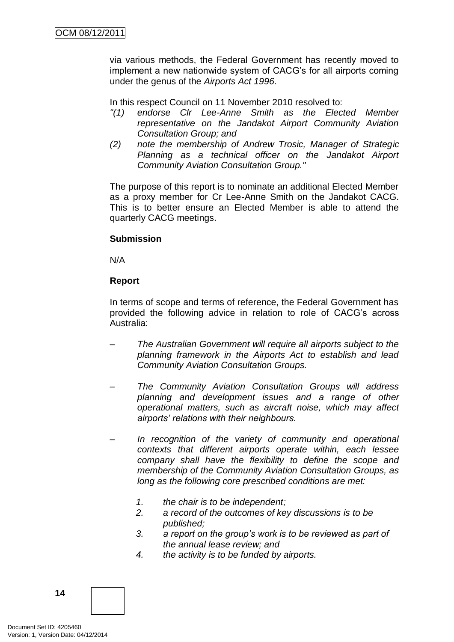via various methods, the Federal Government has recently moved to implement a new nationwide system of CACG's for all airports coming under the genus of the *Airports Act 1996*.

In this respect Council on 11 November 2010 resolved to:

- *"(1) endorse Clr Lee-Anne Smith as the Elected Member representative on the Jandakot Airport Community Aviation Consultation Group; and*
- *(2) note the membership of Andrew Trosic, Manager of Strategic Planning as a technical officer on the Jandakot Airport Community Aviation Consultation Group."*

The purpose of this report is to nominate an additional Elected Member as a proxy member for Cr Lee-Anne Smith on the Jandakot CACG. This is to better ensure an Elected Member is able to attend the quarterly CACG meetings.

#### **Submission**

N/A

### **Report**

In terms of scope and terms of reference, the Federal Government has provided the following advice in relation to role of CACG's across Australia:

- *– The Australian Government will require all airports subject to the planning framework in the Airports Act to establish and lead Community Aviation Consultation Groups.*
- *– The Community Aviation Consultation Groups will address planning and development issues and a range of other operational matters, such as aircraft noise, which may affect airports" relations with their neighbours.*
- *– In recognition of the variety of community and operational contexts that different airports operate within, each lessee company shall have the flexibility to define the scope and membership of the Community Aviation Consultation Groups, as long as the following core prescribed conditions are met:*
	- *1. the chair is to be independent;*
	- *2. a record of the outcomes of key discussions is to be published;*
	- *3. a report on the group"s work is to be reviewed as part of the annual lease review; and*
	- *4. the activity is to be funded by airports.*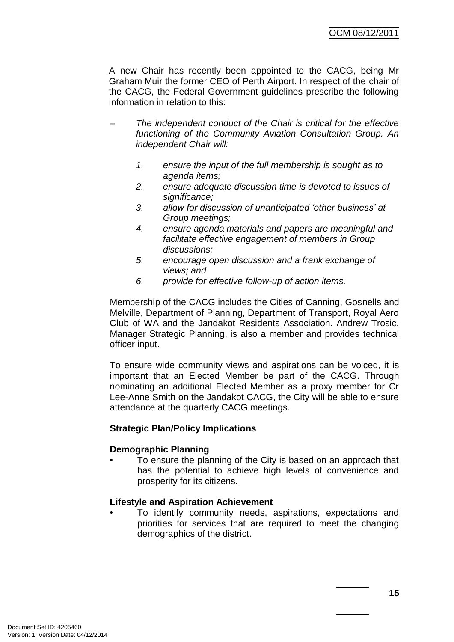A new Chair has recently been appointed to the CACG, being Mr Graham Muir the former CEO of Perth Airport. In respect of the chair of the CACG, the Federal Government guidelines prescribe the following information in relation to this:

- *The independent conduct of the Chair is critical for the effective functioning of the Community Aviation Consultation Group. An independent Chair will:*
	- *1. ensure the input of the full membership is sought as to agenda items;*
	- *2. ensure adequate discussion time is devoted to issues of significance;*
	- *3. allow for discussion of unanticipated "other business" at Group meetings;*
	- *4. ensure agenda materials and papers are meaningful and facilitate effective engagement of members in Group discussions;*
	- *5. encourage open discussion and a frank exchange of views; and*
	- *6. provide for effective follow-up of action items.*

Membership of the CACG includes the Cities of Canning, Gosnells and Melville, Department of Planning, Department of Transport, Royal Aero Club of WA and the Jandakot Residents Association. Andrew Trosic, Manager Strategic Planning, is also a member and provides technical officer input.

To ensure wide community views and aspirations can be voiced, it is important that an Elected Member be part of the CACG. Through nominating an additional Elected Member as a proxy member for Cr Lee-Anne Smith on the Jandakot CACG, the City will be able to ensure attendance at the quarterly CACG meetings.

### **Strategic Plan/Policy Implications**

### **Demographic Planning**

• To ensure the planning of the City is based on an approach that has the potential to achieve high levels of convenience and prosperity for its citizens.

### **Lifestyle and Aspiration Achievement**

• To identify community needs, aspirations, expectations and priorities for services that are required to meet the changing demographics of the district.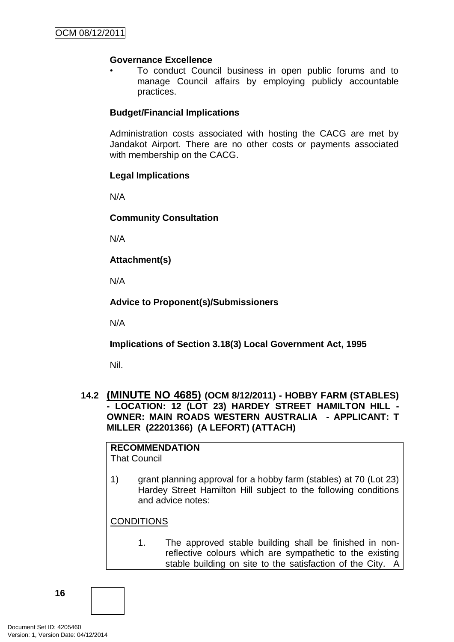### **Governance Excellence**

• To conduct Council business in open public forums and to manage Council affairs by employing publicly accountable practices.

### **Budget/Financial Implications**

Administration costs associated with hosting the CACG are met by Jandakot Airport. There are no other costs or payments associated with membership on the CACG.

### **Legal Implications**

N/A

### **Community Consultation**

N/A

**Attachment(s)**

N/A

**Advice to Proponent(s)/Submissioners**

N/A

**Implications of Section 3.18(3) Local Government Act, 1995**

Nil.

### **14.2 (MINUTE NO 4685) (OCM 8/12/2011) - HOBBY FARM (STABLES) - LOCATION: 12 (LOT 23) HARDEY STREET HAMILTON HILL - OWNER: MAIN ROADS WESTERN AUSTRALIA - APPLICANT: T MILLER (22201366) (A LEFORT) (ATTACH)**

**RECOMMENDATION** That Council

1) grant planning approval for a hobby farm (stables) at 70 (Lot 23) Hardey Street Hamilton Hill subject to the following conditions and advice notes:

### **CONDITIONS**

1. The approved stable building shall be finished in nonreflective colours which are sympathetic to the existing stable building on site to the satisfaction of the City. A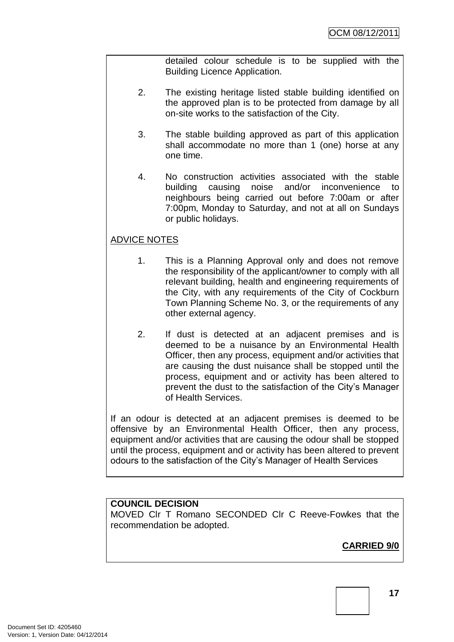detailed colour schedule is to be supplied with the Building Licence Application.

- 2. The existing heritage listed stable building identified on the approved plan is to be protected from damage by all on-site works to the satisfaction of the City.
- 3. The stable building approved as part of this application shall accommodate no more than 1 (one) horse at any one time.
- 4. No construction activities associated with the stable building causing noise and/or inconvenience to neighbours being carried out before 7:00am or after 7:00pm, Monday to Saturday, and not at all on Sundays or public holidays.

### ADVICE NOTES

- 1. This is a Planning Approval only and does not remove the responsibility of the applicant/owner to comply with all relevant building, health and engineering requirements of the City, with any requirements of the City of Cockburn Town Planning Scheme No. 3, or the requirements of any other external agency.
- 2. If dust is detected at an adjacent premises and is deemed to be a nuisance by an Environmental Health Officer, then any process, equipment and/or activities that are causing the dust nuisance shall be stopped until the process, equipment and or activity has been altered to prevent the dust to the satisfaction of the City's Manager of Health Services.

If an odour is detected at an adjacent premises is deemed to be offensive by an Environmental Health Officer, then any process, equipment and/or activities that are causing the odour shall be stopped until the process, equipment and or activity has been altered to prevent odours to the satisfaction of the City's Manager of Health Services

### **COUNCIL DECISION**

MOVED Clr T Romano SECONDED Clr C Reeve-Fowkes that the recommendation be adopted.

## **CARRIED 9/0**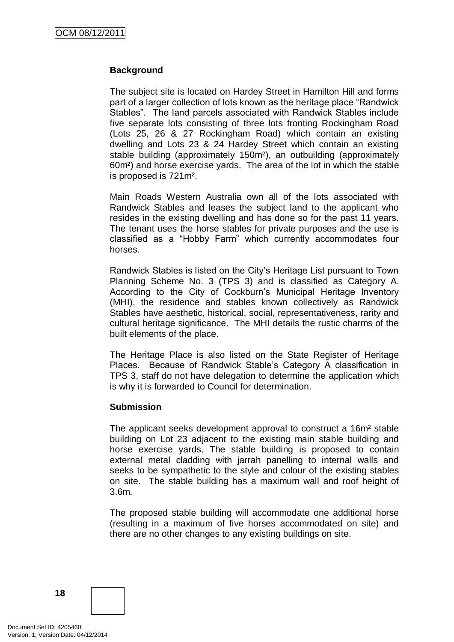### **Background**

The subject site is located on Hardey Street in Hamilton Hill and forms part of a larger collection of lots known as the heritage place "Randwick" Stables". The land parcels associated with Randwick Stables include five separate lots consisting of three lots fronting Rockingham Road (Lots 25, 26 & 27 Rockingham Road) which contain an existing dwelling and Lots 23 & 24 Hardey Street which contain an existing stable building (approximately 150m²), an outbuilding (approximately 60m²) and horse exercise yards. The area of the lot in which the stable is proposed is 721m².

Main Roads Western Australia own all of the lots associated with Randwick Stables and leases the subject land to the applicant who resides in the existing dwelling and has done so for the past 11 years. The tenant uses the horse stables for private purposes and the use is classified as a "Hobby Farm" which currently accommodates four horses.

Randwick Stables is listed on the City's Heritage List pursuant to Town Planning Scheme No. 3 (TPS 3) and is classified as Category A. According to the City of Cockburn's Municipal Heritage Inventory (MHI), the residence and stables known collectively as Randwick Stables have aesthetic, historical, social, representativeness, rarity and cultural heritage significance. The MHI details the rustic charms of the built elements of the place.

The Heritage Place is also listed on the State Register of Heritage Places. Because of Randwick Stable's Category A classification in TPS 3, staff do not have delegation to determine the application which is why it is forwarded to Council for determination.

### **Submission**

The applicant seeks development approval to construct a 16m² stable building on Lot 23 adjacent to the existing main stable building and horse exercise yards. The stable building is proposed to contain external metal cladding with jarrah panelling to internal walls and seeks to be sympathetic to the style and colour of the existing stables on site. The stable building has a maximum wall and roof height of 3.6m.

The proposed stable building will accommodate one additional horse (resulting in a maximum of five horses accommodated on site) and there are no other changes to any existing buildings on site.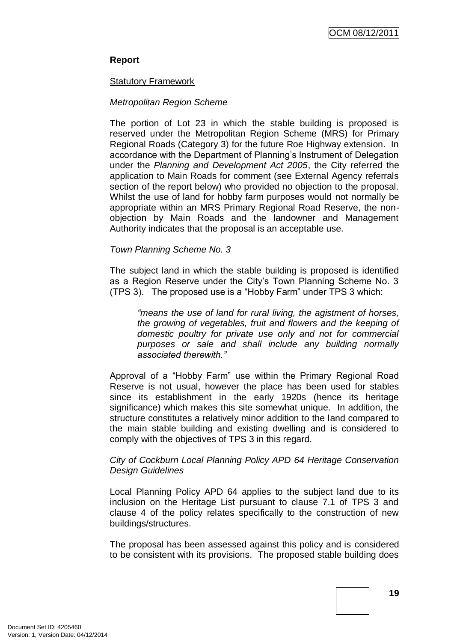### **Report**

#### Statutory Framework

### *Metropolitan Region Scheme*

The portion of Lot 23 in which the stable building is proposed is reserved under the Metropolitan Region Scheme (MRS) for Primary Regional Roads (Category 3) for the future Roe Highway extension. In accordance with the Department of Planning's Instrument of Delegation under the *Planning and Development Act 2005*, the City referred the application to Main Roads for comment (see External Agency referrals section of the report below) who provided no objection to the proposal. Whilst the use of land for hobby farm purposes would not normally be appropriate within an MRS Primary Regional Road Reserve, the nonobjection by Main Roads and the landowner and Management Authority indicates that the proposal is an acceptable use.

### *Town Planning Scheme No. 3*

The subject land in which the stable building is proposed is identified as a Region Reserve under the City's Town Planning Scheme No. 3 (TPS 3). The proposed use is a "Hobby Farm" under TPS 3 which:

*"means the use of land for rural living, the agistment of horses, the growing of vegetables, fruit and flowers and the keeping of domestic poultry for private use only and not for commercial purposes or sale and shall include any building normally associated therewith."*

Approval of a "Hobby Farm" use within the Primary Regional Road Reserve is not usual, however the place has been used for stables since its establishment in the early 1920s (hence its heritage significance) which makes this site somewhat unique. In addition, the structure constitutes a relatively minor addition to the land compared to the main stable building and existing dwelling and is considered to comply with the objectives of TPS 3 in this regard.

### *City of Cockburn Local Planning Policy APD 64 Heritage Conservation Design Guidelines*

Local Planning Policy APD 64 applies to the subject land due to its inclusion on the Heritage List pursuant to clause 7.1 of TPS 3 and clause 4 of the policy relates specifically to the construction of new buildings/structures.

The proposal has been assessed against this policy and is considered to be consistent with its provisions. The proposed stable building does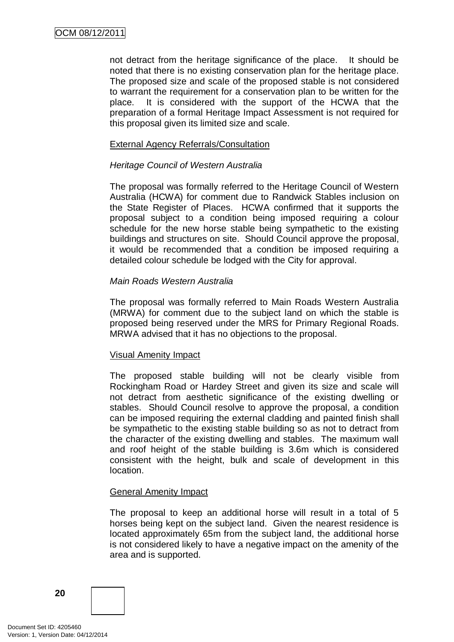not detract from the heritage significance of the place. It should be noted that there is no existing conservation plan for the heritage place. The proposed size and scale of the proposed stable is not considered to warrant the requirement for a conservation plan to be written for the place. It is considered with the support of the HCWA that the preparation of a formal Heritage Impact Assessment is not required for this proposal given its limited size and scale.

#### External Agency Referrals/Consultation

### *Heritage Council of Western Australia*

The proposal was formally referred to the Heritage Council of Western Australia (HCWA) for comment due to Randwick Stables inclusion on the State Register of Places. HCWA confirmed that it supports the proposal subject to a condition being imposed requiring a colour schedule for the new horse stable being sympathetic to the existing buildings and structures on site. Should Council approve the proposal, it would be recommended that a condition be imposed requiring a detailed colour schedule be lodged with the City for approval.

### *Main Roads Western Australia*

The proposal was formally referred to Main Roads Western Australia (MRWA) for comment due to the subject land on which the stable is proposed being reserved under the MRS for Primary Regional Roads. MRWA advised that it has no objections to the proposal.

### Visual Amenity Impact

The proposed stable building will not be clearly visible from Rockingham Road or Hardey Street and given its size and scale will not detract from aesthetic significance of the existing dwelling or stables. Should Council resolve to approve the proposal, a condition can be imposed requiring the external cladding and painted finish shall be sympathetic to the existing stable building so as not to detract from the character of the existing dwelling and stables. The maximum wall and roof height of the stable building is 3.6m which is considered consistent with the height, bulk and scale of development in this location.

### General Amenity Impact

The proposal to keep an additional horse will result in a total of 5 horses being kept on the subject land. Given the nearest residence is located approximately 65m from the subject land, the additional horse is not considered likely to have a negative impact on the amenity of the area and is supported.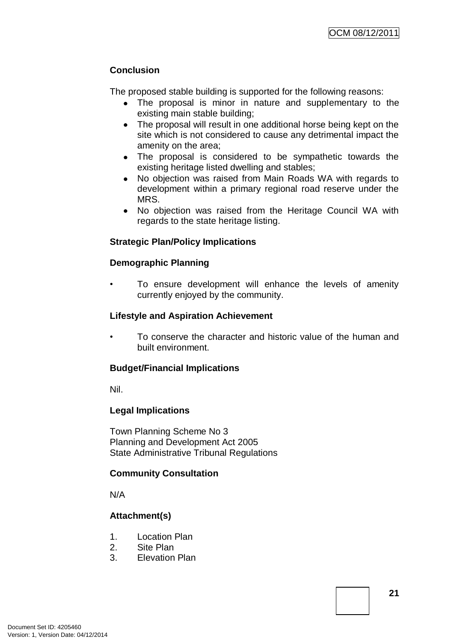### **Conclusion**

The proposed stable building is supported for the following reasons:

- The proposal is minor in nature and supplementary to the existing main stable building;
- The proposal will result in one additional horse being kept on the site which is not considered to cause any detrimental impact the amenity on the area;
- The proposal is considered to be sympathetic towards the existing heritage listed dwelling and stables;
- No objection was raised from Main Roads WA with regards to  $\bullet$ development within a primary regional road reserve under the **MRS**
- $\bullet$ No objection was raised from the Heritage Council WA with regards to the state heritage listing.

### **Strategic Plan/Policy Implications**

### **Demographic Planning**

To ensure development will enhance the levels of amenity currently enjoyed by the community.

### **Lifestyle and Aspiration Achievement**

• To conserve the character and historic value of the human and built environment.

### **Budget/Financial Implications**

Nil.

### **Legal Implications**

Town Planning Scheme No 3 Planning and Development Act 2005 State Administrative Tribunal Regulations

### **Community Consultation**

N/A

### **Attachment(s)**

- 1. Location Plan
- 2. Site Plan
- 3. Elevation Plan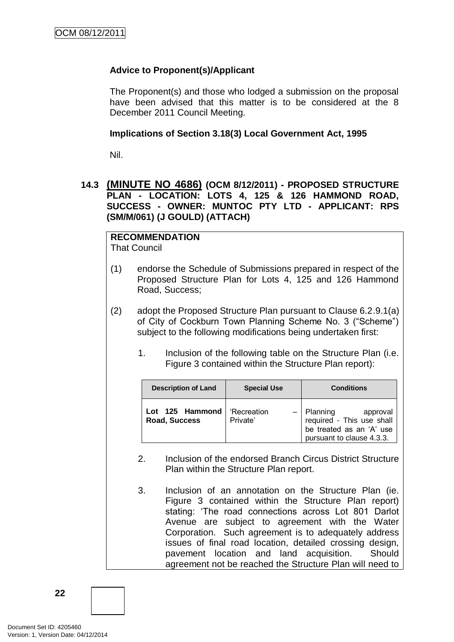### **Advice to Proponent(s)/Applicant**

The Proponent(s) and those who lodged a submission on the proposal have been advised that this matter is to be considered at the 8 December 2011 Council Meeting.

### **Implications of Section 3.18(3) Local Government Act, 1995**

Nil.

### **14.3 (MINUTE NO 4686) (OCM 8/12/2011) - PROPOSED STRUCTURE PLAN - LOCATION: LOTS 4, 125 & 126 HAMMOND ROAD, SUCCESS - OWNER: MUNTOC PTY LTD - APPLICANT: RPS (SM/M/061) (J GOULD) (ATTACH)**

## **RECOMMENDATION**

That Council

- (1) endorse the Schedule of Submissions prepared in respect of the Proposed Structure Plan for Lots 4, 125 and 126 Hammond Road, Success;
- (2) adopt the Proposed Structure Plan pursuant to Clause 6.2.9.1(a) of City of Cockburn Town Planning Scheme No. 3 ("Scheme") subject to the following modifications being undertaken first:
	- 1. Inclusion of the following table on the Structure Plan (i.e. Figure 3 contained within the Structure Plan report):

| <b>Description of Land</b>       | <b>Special Use</b>      | <b>Conditions</b>                                                                                          |  |
|----------------------------------|-------------------------|------------------------------------------------------------------------------------------------------------|--|
| Lot 125 Hammond<br>Road, Success | 'Recreation<br>Private' | Planning<br>approval<br>required - This use shall<br>be treated as an 'A' use<br>pursuant to clause 4.3.3. |  |

- 2. Inclusion of the endorsed Branch Circus District Structure Plan within the Structure Plan report.
- 3. Inclusion of an annotation on the Structure Plan (ie. Figure 3 contained within the Structure Plan report) stating: 'The road connections across Lot 801 Darlot Avenue are subject to agreement with the Water Corporation. Such agreement is to adequately address issues of final road location, detailed crossing design, pavement location and land acquisition. Should agreement not be reached the Structure Plan will need to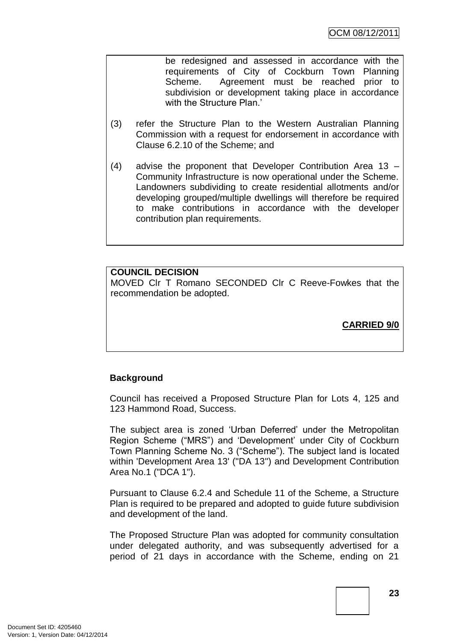be redesigned and assessed in accordance with the requirements of City of Cockburn Town Planning Scheme. Agreement must be reached prior to subdivision or development taking place in accordance with the Structure Plan.'

- (3) refer the Structure Plan to the Western Australian Planning Commission with a request for endorsement in accordance with Clause 6.2.10 of the Scheme; and
- (4) advise the proponent that Developer Contribution Area 13 Community Infrastructure is now operational under the Scheme. Landowners subdividing to create residential allotments and/or developing grouped/multiple dwellings will therefore be required to make contributions in accordance with the developer contribution plan requirements.

### **COUNCIL DECISION**

MOVED Clr T Romano SECONDED Clr C Reeve-Fowkes that the recommendation be adopted.

**CARRIED 9/0**

### **Background**

Council has received a Proposed Structure Plan for Lots 4, 125 and 123 Hammond Road, Success.

The subject area is zoned 'Urban Deferred' under the Metropolitan Region Scheme ("MRS") and 'Development' under City of Cockburn Town Planning Scheme No. 3 ("Scheme"). The subject land is located within 'Development Area 13' ("DA 13") and Development Contribution Area No.1 ("DCA 1").

Pursuant to Clause 6.2.4 and Schedule 11 of the Scheme, a Structure Plan is required to be prepared and adopted to guide future subdivision and development of the land.

The Proposed Structure Plan was adopted for community consultation under delegated authority, and was subsequently advertised for a period of 21 days in accordance with the Scheme, ending on 21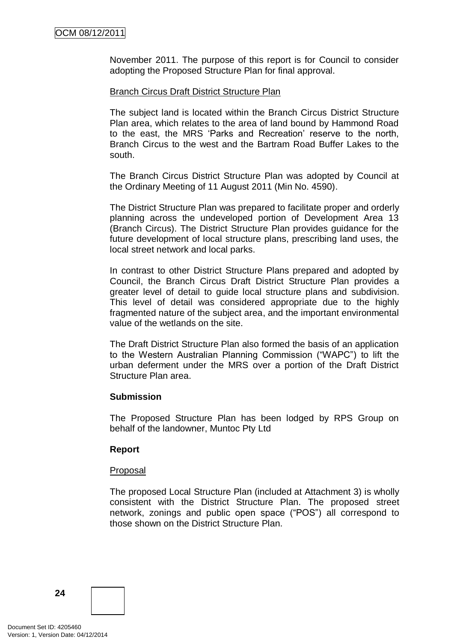November 2011. The purpose of this report is for Council to consider adopting the Proposed Structure Plan for final approval.

#### Branch Circus Draft District Structure Plan

The subject land is located within the Branch Circus District Structure Plan area, which relates to the area of land bound by Hammond Road to the east, the MRS 'Parks and Recreation' reserve to the north, Branch Circus to the west and the Bartram Road Buffer Lakes to the south.

The Branch Circus District Structure Plan was adopted by Council at the Ordinary Meeting of 11 August 2011 (Min No. 4590).

The District Structure Plan was prepared to facilitate proper and orderly planning across the undeveloped portion of Development Area 13 (Branch Circus). The District Structure Plan provides guidance for the future development of local structure plans, prescribing land uses, the local street network and local parks.

In contrast to other District Structure Plans prepared and adopted by Council, the Branch Circus Draft District Structure Plan provides a greater level of detail to guide local structure plans and subdivision. This level of detail was considered appropriate due to the highly fragmented nature of the subject area, and the important environmental value of the wetlands on the site.

The Draft District Structure Plan also formed the basis of an application to the Western Australian Planning Commission ("WAPC") to lift the urban deferment under the MRS over a portion of the Draft District Structure Plan area.

#### **Submission**

The Proposed Structure Plan has been lodged by RPS Group on behalf of the landowner, Muntoc Pty Ltd

### **Report**

#### Proposal

The proposed Local Structure Plan (included at Attachment 3) is wholly consistent with the District Structure Plan. The proposed street network, zonings and public open space ("POS") all correspond to those shown on the District Structure Plan.

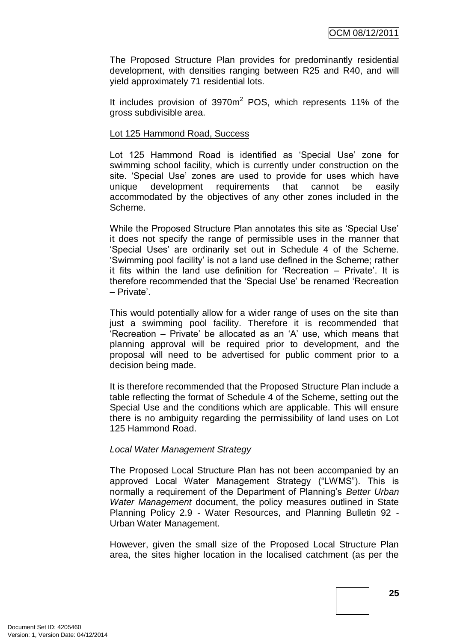The Proposed Structure Plan provides for predominantly residential development, with densities ranging between R25 and R40, and will yield approximately 71 residential lots.

It includes provision of 3970m<sup>2</sup> POS, which represents 11% of the gross subdivisible area.

#### Lot 125 Hammond Road, Success

Lot 125 Hammond Road is identified as 'Special Use' zone for swimming school facility, which is currently under construction on the site. 'Special Use' zones are used to provide for uses which have unique development requirements that cannot be easily accommodated by the objectives of any other zones included in the Scheme.

While the Proposed Structure Plan annotates this site as 'Special Use' it does not specify the range of permissible uses in the manner that ‗Special Uses' are ordinarily set out in Schedule 4 of the Scheme. ‗Swimming pool facility' is not a land use defined in the Scheme; rather it fits within the land use definition for 'Recreation  $-$  Private'. It is therefore recommended that the 'Special Use' be renamed 'Recreation – Private'.

This would potentially allow for a wider range of uses on the site than just a swimming pool facility. Therefore it is recommended that  $Recation - Private'$  be allocated as an  $A'$  use, which means that planning approval will be required prior to development, and the proposal will need to be advertised for public comment prior to a decision being made.

It is therefore recommended that the Proposed Structure Plan include a table reflecting the format of Schedule 4 of the Scheme, setting out the Special Use and the conditions which are applicable. This will ensure there is no ambiguity regarding the permissibility of land uses on Lot 125 Hammond Road.

### *Local Water Management Strategy*

The Proposed Local Structure Plan has not been accompanied by an approved Local Water Management Strategy ("LWMS"). This is normally a requirement of the Department of Planning's *Better Urban Water Management* document, the policy measures outlined in State Planning Policy 2.9 - Water Resources, and Planning Bulletin 92 - Urban Water Management.

However, given the small size of the Proposed Local Structure Plan area, the sites higher location in the localised catchment (as per the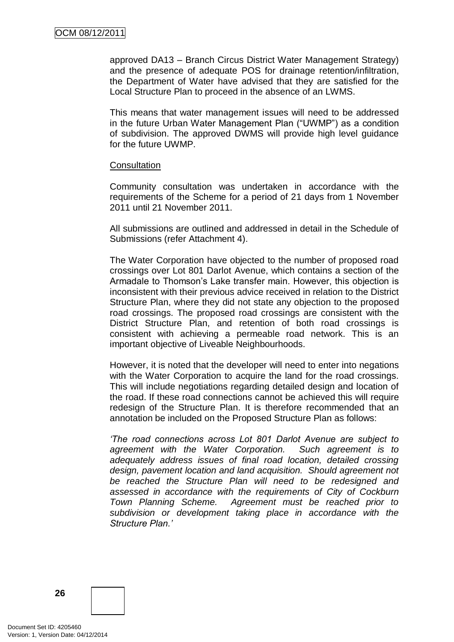approved DA13 – Branch Circus District Water Management Strategy) and the presence of adequate POS for drainage retention/infiltration, the Department of Water have advised that they are satisfied for the Local Structure Plan to proceed in the absence of an LWMS.

This means that water management issues will need to be addressed in the future Urban Water Management Plan ("UWMP") as a condition of subdivision. The approved DWMS will provide high level guidance for the future UWMP.

#### **Consultation**

Community consultation was undertaken in accordance with the requirements of the Scheme for a period of 21 days from 1 November 2011 until 21 November 2011.

All submissions are outlined and addressed in detail in the Schedule of Submissions (refer Attachment 4).

The Water Corporation have objected to the number of proposed road crossings over Lot 801 Darlot Avenue, which contains a section of the Armadale to Thomson's Lake transfer main. However, this objection is inconsistent with their previous advice received in relation to the District Structure Plan, where they did not state any objection to the proposed road crossings. The proposed road crossings are consistent with the District Structure Plan, and retention of both road crossings is consistent with achieving a permeable road network. This is an important objective of Liveable Neighbourhoods.

However, it is noted that the developer will need to enter into negations with the Water Corporation to acquire the land for the road crossings. This will include negotiations regarding detailed design and location of the road. If these road connections cannot be achieved this will require redesign of the Structure Plan. It is therefore recommended that an annotation be included on the Proposed Structure Plan as follows:

*"The road connections across Lot 801 Darlot Avenue are subject to agreement with the Water Corporation. Such agreement is to adequately address issues of final road location, detailed crossing design, pavement location and land acquisition. Should agreement not be reached the Structure Plan will need to be redesigned and assessed in accordance with the requirements of City of Cockburn Town Planning Scheme. Agreement must be reached prior to subdivision or development taking place in accordance with the Structure Plan."*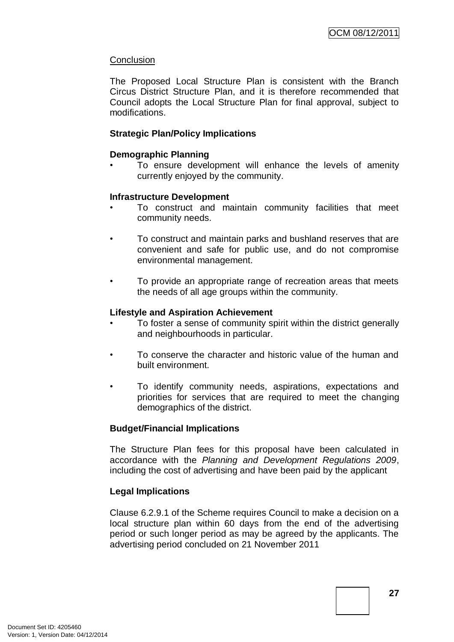### **Conclusion**

The Proposed Local Structure Plan is consistent with the Branch Circus District Structure Plan, and it is therefore recommended that Council adopts the Local Structure Plan for final approval, subject to modifications.

### **Strategic Plan/Policy Implications**

### **Demographic Planning**

To ensure development will enhance the levels of amenity currently enjoyed by the community.

### **Infrastructure Development**

- To construct and maintain community facilities that meet community needs.
- To construct and maintain parks and bushland reserves that are convenient and safe for public use, and do not compromise environmental management.
- To provide an appropriate range of recreation areas that meets the needs of all age groups within the community.

### **Lifestyle and Aspiration Achievement**

- To foster a sense of community spirit within the district generally and neighbourhoods in particular.
- To conserve the character and historic value of the human and built environment.
- To identify community needs, aspirations, expectations and priorities for services that are required to meet the changing demographics of the district.

### **Budget/Financial Implications**

The Structure Plan fees for this proposal have been calculated in accordance with the *Planning and Development Regulations 2009*, including the cost of advertising and have been paid by the applicant

### **Legal Implications**

Clause 6.2.9.1 of the Scheme requires Council to make a decision on a local structure plan within 60 days from the end of the advertising period or such longer period as may be agreed by the applicants. The advertising period concluded on 21 November 2011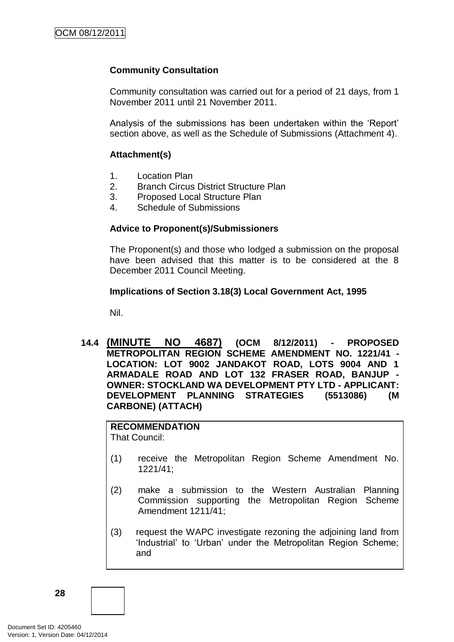### **Community Consultation**

Community consultation was carried out for a period of 21 days, from 1 November 2011 until 21 November 2011.

Analysis of the submissions has been undertaken within the 'Report' section above, as well as the Schedule of Submissions (Attachment 4).

### **Attachment(s)**

- 1. Location Plan
- 2. Branch Circus District Structure Plan
- 3. Proposed Local Structure Plan
- 4. Schedule of Submissions

#### **Advice to Proponent(s)/Submissioners**

The Proponent(s) and those who lodged a submission on the proposal have been advised that this matter is to be considered at the 8 December 2011 Council Meeting.

#### **Implications of Section 3.18(3) Local Government Act, 1995**

Nil.

**14.4 (MINUTE NO 4687) (OCM 8/12/2011) - PROPOSED METROPOLITAN REGION SCHEME AMENDMENT NO. 1221/41 - LOCATION: LOT 9002 JANDAKOT ROAD, LOTS 9004 AND 1 ARMADALE ROAD AND LOT 132 FRASER ROAD, BANJUP - OWNER: STOCKLAND WA DEVELOPMENT PTY LTD - APPLICANT: DEVELOPMENT PLANNING STRATEGIES (5513086) (M CARBONE) (ATTACH)**

# **RECOMMENDATION**

That Council:

- (1) receive the Metropolitan Region Scheme Amendment No. 1221/41;
- (2) make a submission to the Western Australian Planning Commission supporting the Metropolitan Region Scheme Amendment 1211/41;
- (3) request the WAPC investigate rezoning the adjoining land from 'Industrial' to 'Urban' under the Metropolitan Region Scheme; and

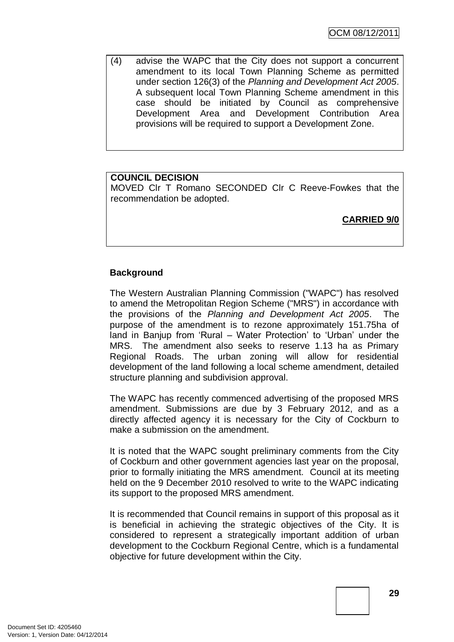(4) advise the WAPC that the City does not support a concurrent amendment to its local Town Planning Scheme as permitted under section 126(3) of the *Planning and Development Act 2005*. A subsequent local Town Planning Scheme amendment in this case should be initiated by Council as comprehensive Development Area and Development Contribution Area provisions will be required to support a Development Zone.

### **COUNCIL DECISION**

MOVED Clr T Romano SECONDED Clr C Reeve-Fowkes that the recommendation be adopted.

**CARRIED 9/0**

### **Background**

The Western Australian Planning Commission ("WAPC") has resolved to amend the Metropolitan Region Scheme ("MRS") in accordance with the provisions of the *Planning and Development Act 2005*. The purpose of the amendment is to rezone approximately 151.75ha of land in Banjup from 'Rural – Water Protection' to 'Urban' under the MRS. The amendment also seeks to reserve 1.13 ha as Primary Regional Roads. The urban zoning will allow for residential development of the land following a local scheme amendment, detailed structure planning and subdivision approval.

The WAPC has recently commenced advertising of the proposed MRS amendment. Submissions are due by 3 February 2012, and as a directly affected agency it is necessary for the City of Cockburn to make a submission on the amendment.

It is noted that the WAPC sought preliminary comments from the City of Cockburn and other government agencies last year on the proposal, prior to formally initiating the MRS amendment. Council at its meeting held on the 9 December 2010 resolved to write to the WAPC indicating its support to the proposed MRS amendment.

It is recommended that Council remains in support of this proposal as it is beneficial in achieving the strategic objectives of the City. It is considered to represent a strategically important addition of urban development to the Cockburn Regional Centre, which is a fundamental objective for future development within the City.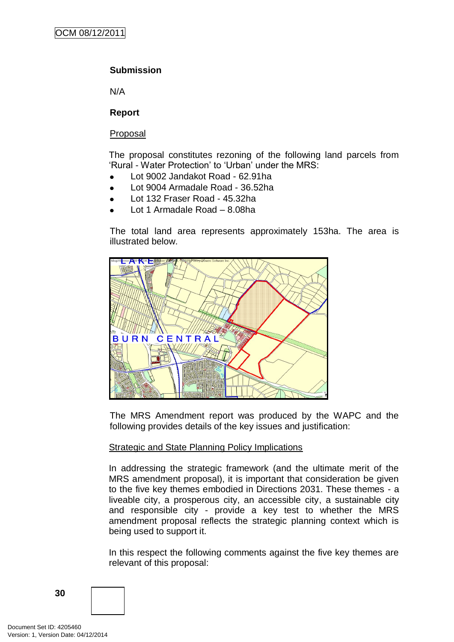### **Submission**

N/A

**Report**

Proposal

The proposal constitutes rezoning of the following land parcels from ‗Rural - Water Protection' to ‗Urban' under the MRS:

- Lot 9002 Jandakot Road 62.91ha  $\bullet$
- Lot 9004 Armadale Road 36.52ha
- Lot 132 Fraser Road 45.32ha
- Lot 1 Armadale Road 8.08ha

The total land area represents approximately 153ha. The area is illustrated below.



The MRS Amendment report was produced by the WAPC and the following provides details of the key issues and justification:

### **Strategic and State Planning Policy Implications**

In addressing the strategic framework (and the ultimate merit of the MRS amendment proposal), it is important that consideration be given to the five key themes embodied in Directions 2031. These themes - a liveable city, a prosperous city, an accessible city, a sustainable city and responsible city - provide a key test to whether the MRS amendment proposal reflects the strategic planning context which is being used to support it.

In this respect the following comments against the five key themes are relevant of this proposal: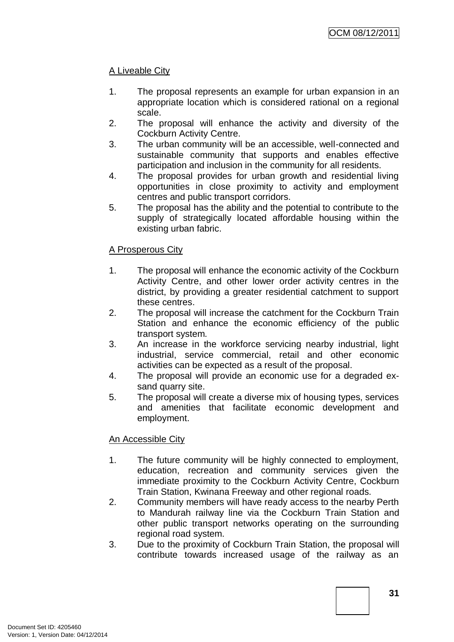### A Liveable City

- 1. The proposal represents an example for urban expansion in an appropriate location which is considered rational on a regional scale.
- 2. The proposal will enhance the activity and diversity of the Cockburn Activity Centre.
- 3. The urban community will be an accessible, well-connected and sustainable community that supports and enables effective participation and inclusion in the community for all residents.
- 4. The proposal provides for urban growth and residential living opportunities in close proximity to activity and employment centres and public transport corridors.
- 5. The proposal has the ability and the potential to contribute to the supply of strategically located affordable housing within the existing urban fabric.

### A Prosperous City

- 1. The proposal will enhance the economic activity of the Cockburn Activity Centre, and other lower order activity centres in the district, by providing a greater residential catchment to support these centres.
- 2. The proposal will increase the catchment for the Cockburn Train Station and enhance the economic efficiency of the public transport system.
- 3. An increase in the workforce servicing nearby industrial, light industrial, service commercial, retail and other economic activities can be expected as a result of the proposal.
- 4. The proposal will provide an economic use for a degraded exsand quarry site.
- 5. The proposal will create a diverse mix of housing types, services and amenities that facilitate economic development and employment.

An Accessible City

- 1. The future community will be highly connected to employment, education, recreation and community services given the immediate proximity to the Cockburn Activity Centre, Cockburn Train Station, Kwinana Freeway and other regional roads.
- 2. Community members will have ready access to the nearby Perth to Mandurah railway line via the Cockburn Train Station and other public transport networks operating on the surrounding regional road system.
- 3. Due to the proximity of Cockburn Train Station, the proposal will contribute towards increased usage of the railway as an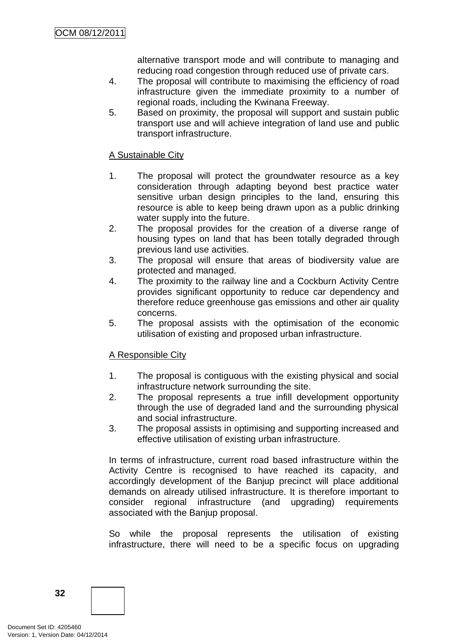alternative transport mode and will contribute to managing and reducing road congestion through reduced use of private cars.

- 4. The proposal will contribute to maximising the efficiency of road infrastructure given the immediate proximity to a number of regional roads, including the Kwinana Freeway.
- 5. Based on proximity, the proposal will support and sustain public transport use and will achieve integration of land use and public transport infrastructure.

### A Sustainable City

- 1. The proposal will protect the groundwater resource as a key consideration through adapting beyond best practice water sensitive urban design principles to the land, ensuring this resource is able to keep being drawn upon as a public drinking water supply into the future.
- 2. The proposal provides for the creation of a diverse range of housing types on land that has been totally degraded through previous land use activities.
- 3. The proposal will ensure that areas of biodiversity value are protected and managed.
- 4. The proximity to the railway line and a Cockburn Activity Centre provides significant opportunity to reduce car dependency and therefore reduce greenhouse gas emissions and other air quality concerns.
- 5. The proposal assists with the optimisation of the economic utilisation of existing and proposed urban infrastructure.

### A Responsible City

- 1. The proposal is contiguous with the existing physical and social infrastructure network surrounding the site.
- 2. The proposal represents a true infill development opportunity through the use of degraded land and the surrounding physical and social infrastructure.
- 3. The proposal assists in optimising and supporting increased and effective utilisation of existing urban infrastructure.

In terms of infrastructure, current road based infrastructure within the Activity Centre is recognised to have reached its capacity, and accordingly development of the Banjup precinct will place additional demands on already utilised infrastructure. It is therefore important to consider regional infrastructure (and upgrading) requirements associated with the Banjup proposal.

So while the proposal represents the utilisation of existing infrastructure, there will need to be a specific focus on upgrading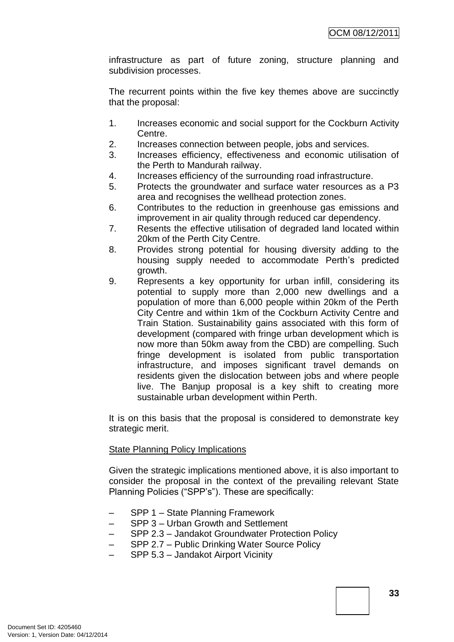infrastructure as part of future zoning, structure planning and subdivision processes.

The recurrent points within the five key themes above are succinctly that the proposal:

- 1. Increases economic and social support for the Cockburn Activity Centre.
- 2. Increases connection between people, jobs and services.
- 3. Increases efficiency, effectiveness and economic utilisation of the Perth to Mandurah railway.
- 4. Increases efficiency of the surrounding road infrastructure.
- 5. Protects the groundwater and surface water resources as a P3 area and recognises the wellhead protection zones.
- 6. Contributes to the reduction in greenhouse gas emissions and improvement in air quality through reduced car dependency.
- 7. Resents the effective utilisation of degraded land located within 20km of the Perth City Centre.
- 8. Provides strong potential for housing diversity adding to the housing supply needed to accommodate Perth's predicted growth.
- 9. Represents a key opportunity for urban infill, considering its potential to supply more than 2,000 new dwellings and a population of more than 6,000 people within 20km of the Perth City Centre and within 1km of the Cockburn Activity Centre and Train Station. Sustainability gains associated with this form of development (compared with fringe urban development which is now more than 50km away from the CBD) are compelling. Such fringe development is isolated from public transportation infrastructure, and imposes significant travel demands on residents given the dislocation between jobs and where people live. The Banjup proposal is a key shift to creating more sustainable urban development within Perth.

It is on this basis that the proposal is considered to demonstrate key strategic merit.

### State Planning Policy Implications

Given the strategic implications mentioned above, it is also important to consider the proposal in the context of the prevailing relevant State Planning Policies ("SPP's"). These are specifically:

- SPP 1 State Planning Framework
- SPP 3 Urban Growth and Settlement
- SPP 2.3 Jandakot Groundwater Protection Policy
- SPP 2.7 Public Drinking Water Source Policy
- SPP 5.3 Jandakot Airport Vicinity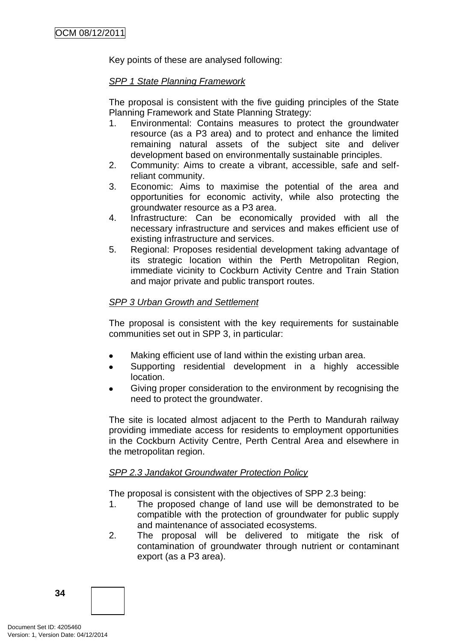Key points of these are analysed following:

#### *SPP 1 State Planning Framework*

The proposal is consistent with the five guiding principles of the State Planning Framework and State Planning Strategy:

- 1. Environmental: Contains measures to protect the groundwater resource (as a P3 area) and to protect and enhance the limited remaining natural assets of the subject site and deliver development based on environmentally sustainable principles.
- 2. Community: Aims to create a vibrant, accessible, safe and selfreliant community.
- 3. Economic: Aims to maximise the potential of the area and opportunities for economic activity, while also protecting the groundwater resource as a P3 area.
- 4. Infrastructure: Can be economically provided with all the necessary infrastructure and services and makes efficient use of existing infrastructure and services.
- 5. Regional: Proposes residential development taking advantage of its strategic location within the Perth Metropolitan Region, immediate vicinity to Cockburn Activity Centre and Train Station and major private and public transport routes.

# *SPP 3 Urban Growth and Settlement*

The proposal is consistent with the key requirements for sustainable communities set out in SPP 3, in particular:

- Making efficient use of land within the existing urban area.
- Supporting residential development in a highly accessible  $\bullet$ location.
- Giving proper consideration to the environment by recognising the need to protect the groundwater.

The site is located almost adjacent to the Perth to Mandurah railway providing immediate access for residents to employment opportunities in the Cockburn Activity Centre, Perth Central Area and elsewhere in the metropolitan region.

### *SPP 2.3 Jandakot Groundwater Protection Policy*

The proposal is consistent with the objectives of SPP 2.3 being:

- 1. The proposed change of land use will be demonstrated to be compatible with the protection of groundwater for public supply and maintenance of associated ecosystems.
- 2. The proposal will be delivered to mitigate the risk of contamination of groundwater through nutrient or contaminant export (as a P3 area).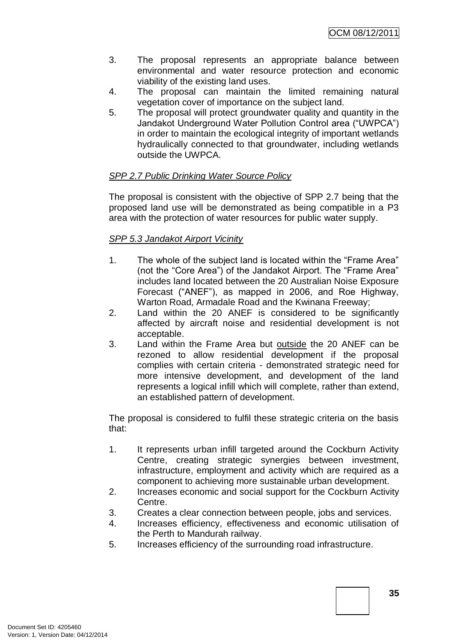- 3. The proposal represents an appropriate balance between environmental and water resource protection and economic viability of the existing land uses.
- 4. The proposal can maintain the limited remaining natural vegetation cover of importance on the subject land.
- 5. The proposal will protect groundwater quality and quantity in the Jandakot Underground Water Pollution Control area ("UWPCA") in order to maintain the ecological integrity of important wetlands hydraulically connected to that groundwater, including wetlands outside the UWPCA.

# *SPP 2.7 Public Drinking Water Source Policy*

The proposal is consistent with the objective of SPP 2.7 being that the proposed land use will be demonstrated as being compatible in a P3 area with the protection of water resources for public water supply.

# *SPP 5.3 Jandakot Airport Vicinity*

- 1. The whole of the subject land is located within the "Frame Area" (not the "Core Area") of the Jandakot Airport. The "Frame Area" includes land located between the 20 Australian Noise Exposure Forecast ("ANEF"), as mapped in 2006, and Roe Highway, Warton Road, Armadale Road and the Kwinana Freeway;
- 2. Land within the 20 ANEF is considered to be significantly affected by aircraft noise and residential development is not acceptable.
- 3. Land within the Frame Area but outside the 20 ANEF can be rezoned to allow residential development if the proposal complies with certain criteria - demonstrated strategic need for more intensive development, and development of the land represents a logical infill which will complete, rather than extend, an established pattern of development.

The proposal is considered to fulfil these strategic criteria on the basis that:

- 1. It represents urban infill targeted around the Cockburn Activity Centre, creating strategic synergies between investment, infrastructure, employment and activity which are required as a component to achieving more sustainable urban development.
- 2. Increases economic and social support for the Cockburn Activity Centre.
- 3. Creates a clear connection between people, jobs and services.
- 4. Increases efficiency, effectiveness and economic utilisation of the Perth to Mandurah railway.
- 5. Increases efficiency of the surrounding road infrastructure.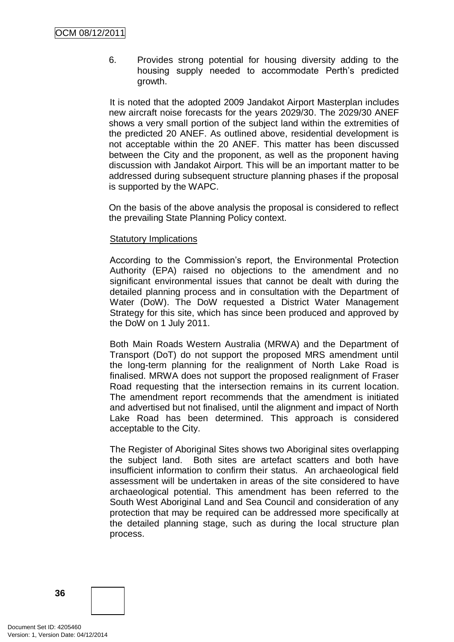6. Provides strong potential for housing diversity adding to the housing supply needed to accommodate Perth's predicted growth.

It is noted that the adopted 2009 Jandakot Airport Masterplan includes new aircraft noise forecasts for the years 2029/30. The 2029/30 ANEF shows a very small portion of the subject land within the extremities of the predicted 20 ANEF. As outlined above, residential development is not acceptable within the 20 ANEF. This matter has been discussed between the City and the proponent, as well as the proponent having discussion with Jandakot Airport. This will be an important matter to be addressed during subsequent structure planning phases if the proposal is supported by the WAPC.

On the basis of the above analysis the proposal is considered to reflect the prevailing State Planning Policy context.

#### Statutory Implications

According to the Commission's report, the Environmental Protection Authority (EPA) raised no objections to the amendment and no significant environmental issues that cannot be dealt with during the detailed planning process and in consultation with the Department of Water (DoW). The DoW requested a District Water Management Strategy for this site, which has since been produced and approved by the DoW on 1 July 2011.

Both Main Roads Western Australia (MRWA) and the Department of Transport (DoT) do not support the proposed MRS amendment until the long-term planning for the realignment of North Lake Road is finalised. MRWA does not support the proposed realignment of Fraser Road requesting that the intersection remains in its current location. The amendment report recommends that the amendment is initiated and advertised but not finalised, until the alignment and impact of North Lake Road has been determined. This approach is considered acceptable to the City.

The Register of Aboriginal Sites shows two Aboriginal sites overlapping the subject land. Both sites are artefact scatters and both have insufficient information to confirm their status. An archaeological field assessment will be undertaken in areas of the site considered to have archaeological potential. This amendment has been referred to the South West Aboriginal Land and Sea Council and consideration of any protection that may be required can be addressed more specifically at the detailed planning stage, such as during the local structure plan process.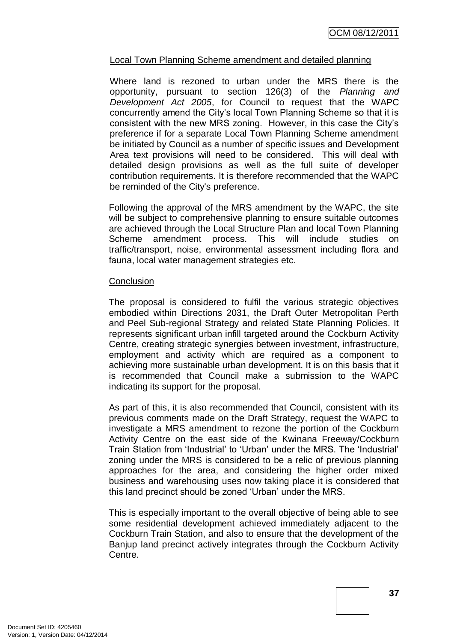### Local Town Planning Scheme amendment and detailed planning

Where land is rezoned to urban under the MRS there is the opportunity, pursuant to section 126(3) of the *Planning and Development Act 2005*, for Council to request that the WAPC concurrently amend the City's local Town Planning Scheme so that it is consistent with the new MRS zoning. However, in this case the City's preference if for a separate Local Town Planning Scheme amendment be initiated by Council as a number of specific issues and Development Area text provisions will need to be considered. This will deal with detailed design provisions as well as the full suite of developer contribution requirements. It is therefore recommended that the WAPC be reminded of the City's preference.

Following the approval of the MRS amendment by the WAPC, the site will be subject to comprehensive planning to ensure suitable outcomes are achieved through the Local Structure Plan and local Town Planning Scheme amendment process. This will include studies on traffic/transport, noise, environmental assessment including flora and fauna, local water management strategies etc.

#### **Conclusion**

The proposal is considered to fulfil the various strategic objectives embodied within Directions 2031, the Draft Outer Metropolitan Perth and Peel Sub-regional Strategy and related State Planning Policies. It represents significant urban infill targeted around the Cockburn Activity Centre, creating strategic synergies between investment, infrastructure, employment and activity which are required as a component to achieving more sustainable urban development. It is on this basis that it is recommended that Council make a submission to the WAPC indicating its support for the proposal.

As part of this, it is also recommended that Council, consistent with its previous comments made on the Draft Strategy, request the WAPC to investigate a MRS amendment to rezone the portion of the Cockburn Activity Centre on the east side of the Kwinana Freeway/Cockburn Train Station from 'Industrial' to 'Urban' under the MRS. The 'Industrial' zoning under the MRS is considered to be a relic of previous planning approaches for the area, and considering the higher order mixed business and warehousing uses now taking place it is considered that this land precinct should be zoned 'Urban' under the MRS.

This is especially important to the overall objective of being able to see some residential development achieved immediately adjacent to the Cockburn Train Station, and also to ensure that the development of the Banjup land precinct actively integrates through the Cockburn Activity Centre.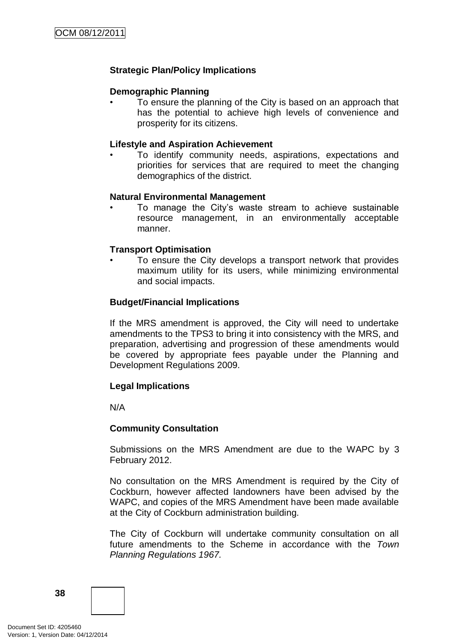# **Strategic Plan/Policy Implications**

# **Demographic Planning**

• To ensure the planning of the City is based on an approach that has the potential to achieve high levels of convenience and prosperity for its citizens.

#### **Lifestyle and Aspiration Achievement**

• To identify community needs, aspirations, expectations and priorities for services that are required to meet the changing demographics of the district.

### **Natural Environmental Management**

• To manage the City's waste stream to achieve sustainable resource management, in an environmentally acceptable manner.

#### **Transport Optimisation**

To ensure the City develops a transport network that provides maximum utility for its users, while minimizing environmental and social impacts.

#### **Budget/Financial Implications**

If the MRS amendment is approved, the City will need to undertake amendments to the TPS3 to bring it into consistency with the MRS, and preparation, advertising and progression of these amendments would be covered by appropriate fees payable under the Planning and Development Regulations 2009.

### **Legal Implications**

N/A

### **Community Consultation**

Submissions on the MRS Amendment are due to the WAPC by 3 February 2012.

No consultation on the MRS Amendment is required by the City of Cockburn, however affected landowners have been advised by the WAPC, and copies of the MRS Amendment have been made available at the City of Cockburn administration building.

The City of Cockburn will undertake community consultation on all future amendments to the Scheme in accordance with the *Town Planning Regulations 1967.*

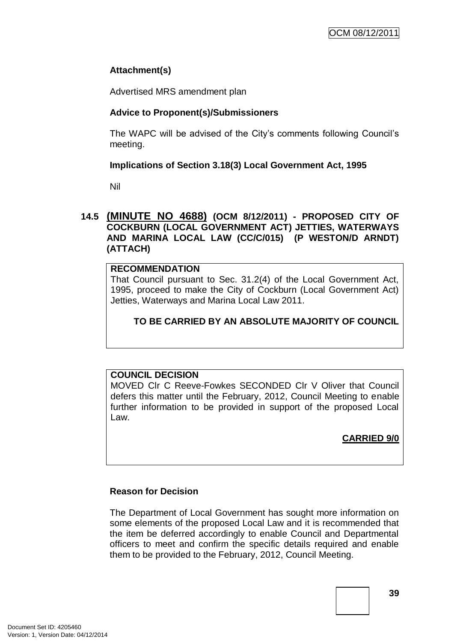# **Attachment(s)**

Advertised MRS amendment plan

# **Advice to Proponent(s)/Submissioners**

The WAPC will be advised of the City's comments following Council's meeting.

# **Implications of Section 3.18(3) Local Government Act, 1995**

Nil

# **14.5 (MINUTE NO 4688) (OCM 8/12/2011) - PROPOSED CITY OF COCKBURN (LOCAL GOVERNMENT ACT) JETTIES, WATERWAYS AND MARINA LOCAL LAW (CC/C/015) (P WESTON/D ARNDT) (ATTACH)**

# **RECOMMENDATION**

That Council pursuant to Sec. 31.2(4) of the Local Government Act, 1995, proceed to make the City of Cockburn (Local Government Act) Jetties, Waterways and Marina Local Law 2011.

# **TO BE CARRIED BY AN ABSOLUTE MAJORITY OF COUNCIL**

# **COUNCIL DECISION**

MOVED Clr C Reeve-Fowkes SECONDED Clr V Oliver that Council defers this matter until the February, 2012, Council Meeting to enable further information to be provided in support of the proposed Local Law.

**CARRIED 9/0**

# **Reason for Decision**

The Department of Local Government has sought more information on some elements of the proposed Local Law and it is recommended that the item be deferred accordingly to enable Council and Departmental officers to meet and confirm the specific details required and enable them to be provided to the February, 2012, Council Meeting.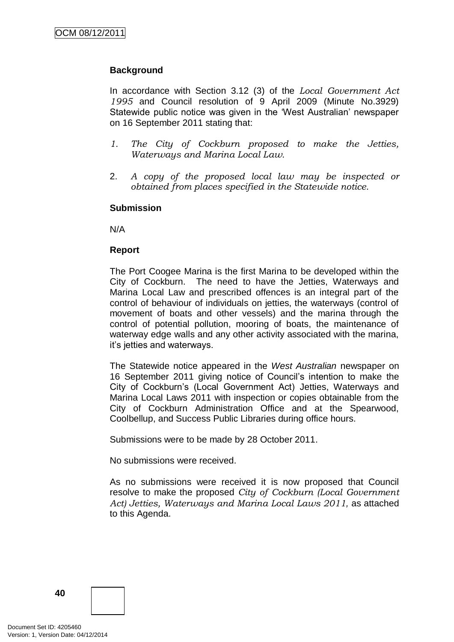### **Background**

In accordance with Section 3.12 (3) of the *Local Government Act 1995* and Council resolution of 9 April 2009 (Minute No.3929) Statewide public notice was given in the 'West Australian' newspaper on 16 September 2011 stating that:

- *1. The City of Cockburn proposed to make the Jetties, Waterways and Marina Local Law.*
- 2. *A copy of the proposed local law may be inspected or obtained from places specified in the Statewide notice.*

#### **Submission**

N/A

#### **Report**

The Port Coogee Marina is the first Marina to be developed within the City of Cockburn. The need to have the Jetties, Waterways and Marina Local Law and prescribed offences is an integral part of the control of behaviour of individuals on jetties, the waterways (control of movement of boats and other vessels) and the marina through the control of potential pollution, mooring of boats, the maintenance of waterway edge walls and any other activity associated with the marina, it's jetties and waterways.

The Statewide notice appeared in the *West Australian* newspaper on 16 September 2011 giving notice of Council's intention to make the City of Cockburn's (Local Government Act) Jetties, Waterways and Marina Local Laws 2011 with inspection or copies obtainable from the City of Cockburn Administration Office and at the Spearwood, Coolbellup, and Success Public Libraries during office hours.

Submissions were to be made by 28 October 2011.

No submissions were received.

As no submissions were received it is now proposed that Council resolve to make the proposed *City of Cockburn (Local Government Act) Jetties, Waterways and Marina Local Laws 2011,* as attached to this Agenda.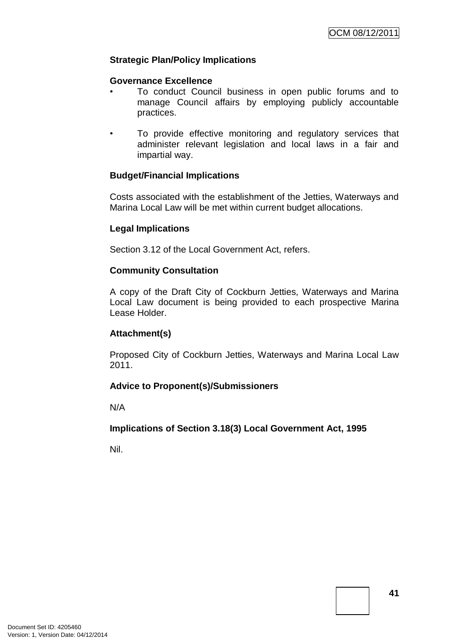# **Strategic Plan/Policy Implications**

#### **Governance Excellence**

- To conduct Council business in open public forums and to manage Council affairs by employing publicly accountable practices.
- To provide effective monitoring and regulatory services that administer relevant legislation and local laws in a fair and impartial way.

### **Budget/Financial Implications**

Costs associated with the establishment of the Jetties, Waterways and Marina Local Law will be met within current budget allocations.

### **Legal Implications**

Section 3.12 of the Local Government Act, refers.

### **Community Consultation**

A copy of the Draft City of Cockburn Jetties, Waterways and Marina Local Law document is being provided to each prospective Marina Lease Holder.

### **Attachment(s)**

Proposed City of Cockburn Jetties, Waterways and Marina Local Law 2011.

### **Advice to Proponent(s)/Submissioners**

N/A

### **Implications of Section 3.18(3) Local Government Act, 1995**

Nil.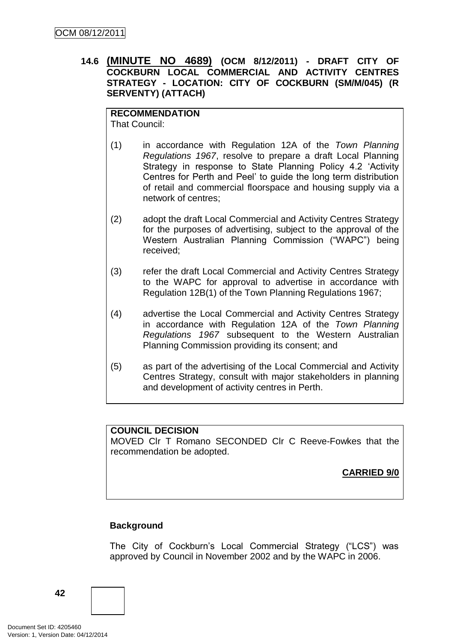# **14.6 (MINUTE NO 4689) (OCM 8/12/2011) - DRAFT CITY OF COCKBURN LOCAL COMMERCIAL AND ACTIVITY CENTRES STRATEGY - LOCATION: CITY OF COCKBURN (SM/M/045) (R SERVENTY) (ATTACH)**

### **RECOMMENDATION**

That Council:

- (1) in accordance with Regulation 12A of the *Town Planning Regulations 1967*, resolve to prepare a draft Local Planning Strategy in response to State Planning Policy 4.2 'Activity Centres for Perth and Peel' to guide the long term distribution of retail and commercial floorspace and housing supply via a network of centres;
- (2) adopt the draft Local Commercial and Activity Centres Strategy for the purposes of advertising, subject to the approval of the Western Australian Planning Commission ("WAPC") being received;
- (3) refer the draft Local Commercial and Activity Centres Strategy to the WAPC for approval to advertise in accordance with Regulation 12B(1) of the Town Planning Regulations 1967;
- (4) advertise the Local Commercial and Activity Centres Strategy in accordance with Regulation 12A of the *Town Planning Regulations 1967* subsequent to the Western Australian Planning Commission providing its consent; and
- (5) as part of the advertising of the Local Commercial and Activity Centres Strategy, consult with major stakeholders in planning and development of activity centres in Perth.

### **COUNCIL DECISION**

MOVED Clr T Romano SECONDED Clr C Reeve-Fowkes that the recommendation be adopted.

**CARRIED 9/0**

### **Background**

The City of Cockburn's Local Commercial Strategy ("LCS") was approved by Council in November 2002 and by the WAPC in 2006.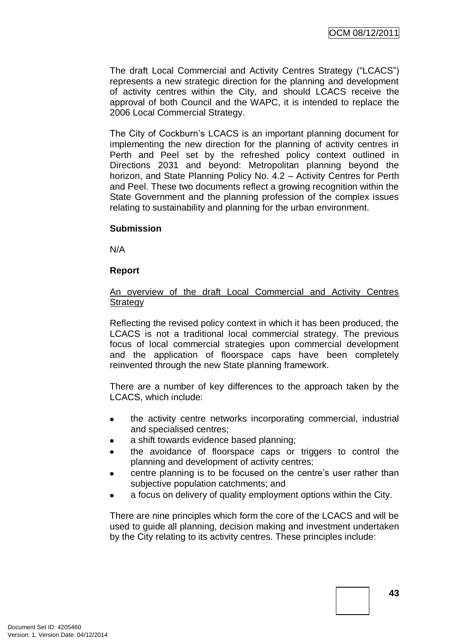The draft Local Commercial and Activity Centres Strategy ("LCACS") represents a new strategic direction for the planning and development of activity centres within the City, and should LCACS receive the approval of both Council and the WAPC, it is intended to replace the 2006 Local Commercial Strategy.

The City of Cockburn's LCACS is an important planning document for implementing the new direction for the planning of activity centres in Perth and Peel set by the refreshed policy context outlined in Directions 2031 and beyond: Metropolitan planning beyond the horizon, and State Planning Policy No. 4.2 – Activity Centres for Perth and Peel. These two documents reflect a growing recognition within the State Government and the planning profession of the complex issues relating to sustainability and planning for the urban environment.

### **Submission**

N/A

#### **Report**

#### An overview of the draft Local Commercial and Activity Centres **Strategy**

Reflecting the revised policy context in which it has been produced, the LCACS is not a traditional local commercial strategy. The previous focus of local commercial strategies upon commercial development and the application of floorspace caps have been completely reinvented through the new State planning framework.

There are a number of key differences to the approach taken by the LCACS, which include:

- the activity centre networks incorporating commercial, industrial  $\bullet$ and specialised centres;
- a shift towards evidence based planning;
- the avoidance of floorspace caps or triggers to control the planning and development of activity centres;
- centre planning is to be focused on the centre's user rather than subjective population catchments; and
- a focus on delivery of quality employment options within the City.

There are nine principles which form the core of the LCACS and will be used to guide all planning, decision making and investment undertaken by the City relating to its activity centres. These principles include: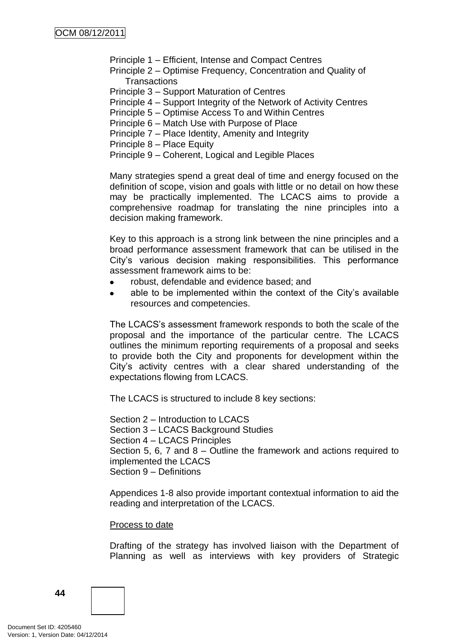- Principle 1 Efficient, Intense and Compact Centres
- Principle 2 Optimise Frequency, Concentration and Quality of **Transactions**
- Principle 3 Support Maturation of Centres
- Principle 4 Support Integrity of the Network of Activity Centres
- Principle 5 Optimise Access To and Within Centres
- Principle 6 Match Use with Purpose of Place
- Principle 7 Place Identity, Amenity and Integrity
- Principle 8 Place Equity
- Principle 9 Coherent, Logical and Legible Places

Many strategies spend a great deal of time and energy focused on the definition of scope, vision and goals with little or no detail on how these may be practically implemented. The LCACS aims to provide a comprehensive roadmap for translating the nine principles into a decision making framework.

Key to this approach is a strong link between the nine principles and a broad performance assessment framework that can be utilised in the City's various decision making responsibilities. This performance assessment framework aims to be:

- robust, defendable and evidence based; and
- able to be implemented within the context of the City's available resources and competencies.

The LCACS's assessment framework responds to both the scale of the proposal and the importance of the particular centre. The LCACS outlines the minimum reporting requirements of a proposal and seeks to provide both the City and proponents for development within the City's activity centres with a clear shared understanding of the expectations flowing from LCACS.

The LCACS is structured to include 8 key sections:

Section 2 – Introduction to LCACS Section 3 – LCACS Background Studies Section 4 – LCACS Principles Section 5, 6, 7 and 8 – Outline the framework and actions required to implemented the LCACS Section 9 – Definitions

Appendices 1-8 also provide important contextual information to aid the reading and interpretation of the LCACS.

#### Process to date

Drafting of the strategy has involved liaison with the Department of Planning as well as interviews with key providers of Strategic

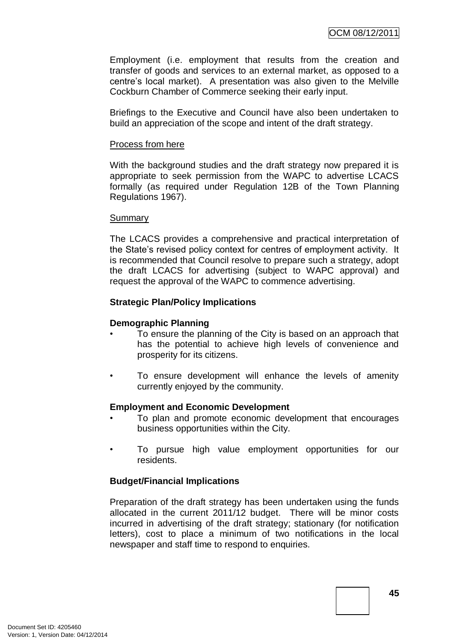Employment (i.e. employment that results from the creation and transfer of goods and services to an external market, as opposed to a centre's local market). A presentation was also given to the Melville Cockburn Chamber of Commerce seeking their early input.

Briefings to the Executive and Council have also been undertaken to build an appreciation of the scope and intent of the draft strategy.

#### Process from here

With the background studies and the draft strategy now prepared it is appropriate to seek permission from the WAPC to advertise LCACS formally (as required under Regulation 12B of the Town Planning Regulations 1967).

#### **Summary**

The LCACS provides a comprehensive and practical interpretation of the State's revised policy context for centres of employment activity. It is recommended that Council resolve to prepare such a strategy, adopt the draft LCACS for advertising (subject to WAPC approval) and request the approval of the WAPC to commence advertising.

### **Strategic Plan/Policy Implications**

#### **Demographic Planning**

- To ensure the planning of the City is based on an approach that has the potential to achieve high levels of convenience and prosperity for its citizens.
- To ensure development will enhance the levels of amenity currently enjoyed by the community.

#### **Employment and Economic Development**

- To plan and promote economic development that encourages business opportunities within the City.
- To pursue high value employment opportunities for our residents.

### **Budget/Financial Implications**

Preparation of the draft strategy has been undertaken using the funds allocated in the current 2011/12 budget. There will be minor costs incurred in advertising of the draft strategy; stationary (for notification letters), cost to place a minimum of two notifications in the local newspaper and staff time to respond to enquiries.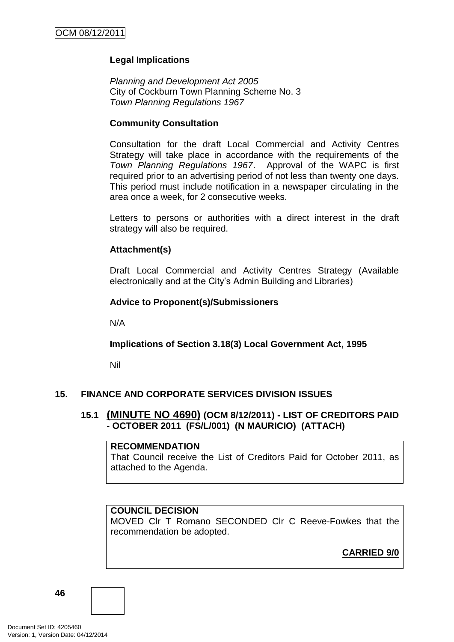# **Legal Implications**

*Planning and Development Act 2005* City of Cockburn Town Planning Scheme No. 3 *Town Planning Regulations 1967*

#### **Community Consultation**

Consultation for the draft Local Commercial and Activity Centres Strategy will take place in accordance with the requirements of the *Town Planning Regulations 1967*. Approval of the WAPC is first required prior to an advertising period of not less than twenty one days. This period must include notification in a newspaper circulating in the area once a week, for 2 consecutive weeks.

Letters to persons or authorities with a direct interest in the draft strategy will also be required.

### **Attachment(s)**

Draft Local Commercial and Activity Centres Strategy (Available electronically and at the City's Admin Building and Libraries)

#### **Advice to Proponent(s)/Submissioners**

N/A

### **Implications of Section 3.18(3) Local Government Act, 1995**

Nil

### **15. FINANCE AND CORPORATE SERVICES DIVISION ISSUES**

### **15.1 (MINUTE NO 4690) (OCM 8/12/2011) - LIST OF CREDITORS PAID - OCTOBER 2011 (FS/L/001) (N MAURICIO) (ATTACH)**

### **RECOMMENDATION**

That Council receive the List of Creditors Paid for October 2011, as attached to the Agenda.

### **COUNCIL DECISION**

MOVED Clr T Romano SECONDED Clr C Reeve-Fowkes that the recommendation be adopted.

**CARRIED 9/0**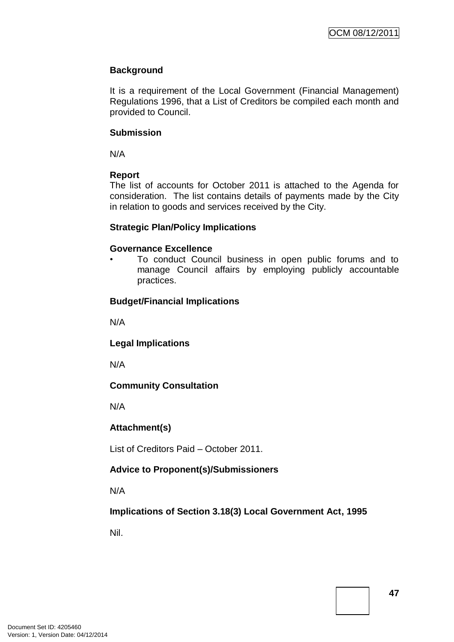### **Background**

It is a requirement of the Local Government (Financial Management) Regulations 1996, that a List of Creditors be compiled each month and provided to Council.

#### **Submission**

N/A

### **Report**

The list of accounts for October 2011 is attached to the Agenda for consideration. The list contains details of payments made by the City in relation to goods and services received by the City.

### **Strategic Plan/Policy Implications**

### **Governance Excellence**

• To conduct Council business in open public forums and to manage Council affairs by employing publicly accountable practices.

# **Budget/Financial Implications**

N/A

### **Legal Implications**

N/A

# **Community Consultation**

N/A

# **Attachment(s)**

List of Creditors Paid – October 2011.

### **Advice to Proponent(s)/Submissioners**

N/A

# **Implications of Section 3.18(3) Local Government Act, 1995**

Nil.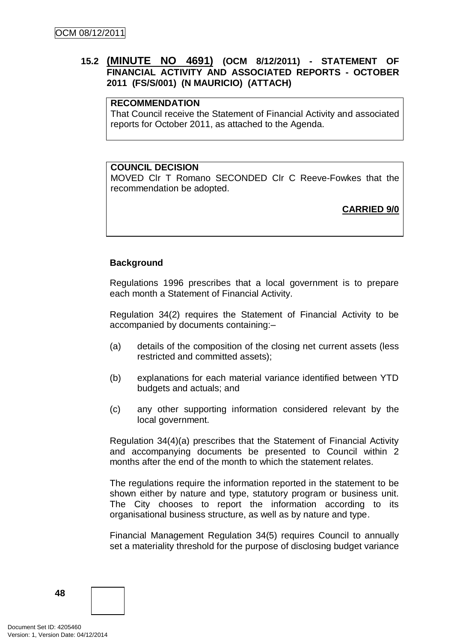# **15.2 (MINUTE NO 4691) (OCM 8/12/2011) - STATEMENT OF FINANCIAL ACTIVITY AND ASSOCIATED REPORTS - OCTOBER 2011 (FS/S/001) (N MAURICIO) (ATTACH)**

#### **RECOMMENDATION**

That Council receive the Statement of Financial Activity and associated reports for October 2011, as attached to the Agenda.

### **COUNCIL DECISION**

MOVED Clr T Romano SECONDED Clr C Reeve-Fowkes that the recommendation be adopted.

# **CARRIED 9/0**

### **Background**

Regulations 1996 prescribes that a local government is to prepare each month a Statement of Financial Activity.

Regulation 34(2) requires the Statement of Financial Activity to be accompanied by documents containing:–

- (a) details of the composition of the closing net current assets (less restricted and committed assets);
- (b) explanations for each material variance identified between YTD budgets and actuals; and
- (c) any other supporting information considered relevant by the local government.

Regulation 34(4)(a) prescribes that the Statement of Financial Activity and accompanying documents be presented to Council within 2 months after the end of the month to which the statement relates.

The regulations require the information reported in the statement to be shown either by nature and type, statutory program or business unit. The City chooses to report the information according to its organisational business structure, as well as by nature and type.

Financial Management Regulation 34(5) requires Council to annually set a materiality threshold for the purpose of disclosing budget variance

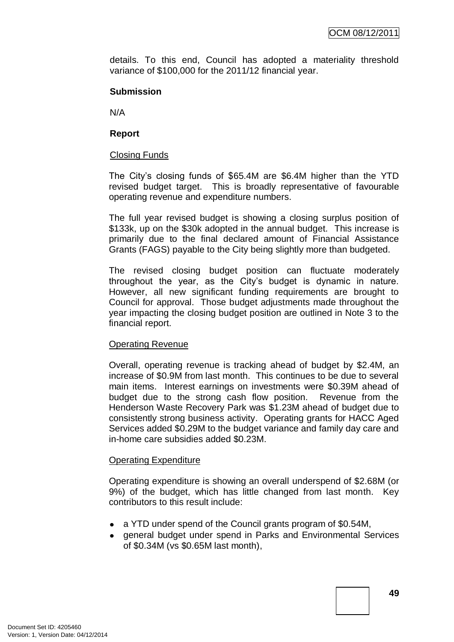details. To this end, Council has adopted a materiality threshold variance of \$100,000 for the 2011/12 financial year.

#### **Submission**

N/A

### **Report**

#### Closing Funds

The City's closing funds of \$65.4M are \$6.4M higher than the YTD revised budget target. This is broadly representative of favourable operating revenue and expenditure numbers.

The full year revised budget is showing a closing surplus position of \$133k, up on the \$30k adopted in the annual budget. This increase is primarily due to the final declared amount of Financial Assistance Grants (FAGS) payable to the City being slightly more than budgeted.

The revised closing budget position can fluctuate moderately throughout the year, as the City's budget is dynamic in nature. However, all new significant funding requirements are brought to Council for approval. Those budget adjustments made throughout the year impacting the closing budget position are outlined in Note 3 to the financial report.

### Operating Revenue

Overall, operating revenue is tracking ahead of budget by \$2.4M, an increase of \$0.9M from last month. This continues to be due to several main items. Interest earnings on investments were \$0.39M ahead of budget due to the strong cash flow position. Revenue from the Henderson Waste Recovery Park was \$1.23M ahead of budget due to consistently strong business activity. Operating grants for HACC Aged Services added \$0.29M to the budget variance and family day care and in-home care subsidies added \$0.23M.

#### Operating Expenditure

Operating expenditure is showing an overall underspend of \$2.68M (or 9%) of the budget, which has little changed from last month. Key contributors to this result include:

- a YTD under spend of the Council grants program of \$0.54M,
- general budget under spend in Parks and Environmental Services of \$0.34M (vs \$0.65M last month),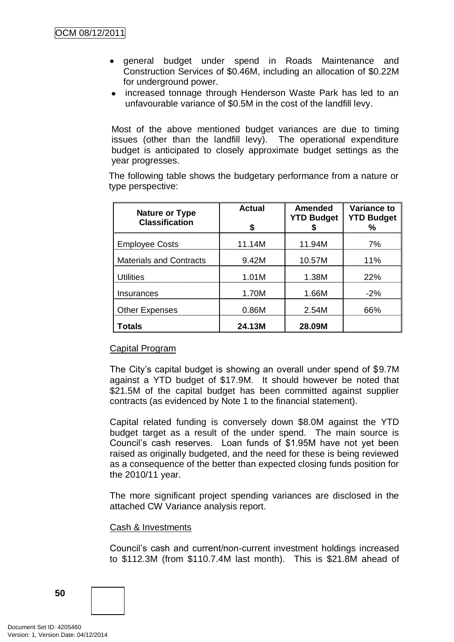- general budget under spend in Roads Maintenance and Construction Services of \$0.46M, including an allocation of \$0.22M for underground power.
- increased tonnage through Henderson Waste Park has led to an unfavourable variance of \$0.5M in the cost of the landfill levy.

Most of the above mentioned budget variances are due to timing issues (other than the landfill levy). The operational expenditure budget is anticipated to closely approximate budget settings as the year progresses.

The following table shows the budgetary performance from a nature or type perspective:

| <b>Nature or Type</b><br><b>Classification</b> | <b>Actual</b> | <b>Amended</b><br><b>YTD Budget</b> | <b>Variance to</b><br><b>YTD Budget</b> |
|------------------------------------------------|---------------|-------------------------------------|-----------------------------------------|
| <b>Employee Costs</b>                          | 11.14M        | 11.94M                              | 7%                                      |
| <b>Materials and Contracts</b>                 | 9.42M         | 10.57M                              | 11%                                     |
| Utilities                                      | 1.01M         | 1.38M                               | 22%                                     |
| Insurances                                     | 1.70M         | 1.66M                               | $-2%$                                   |
| <b>Other Expenses</b>                          | 0.86M         | 2.54M                               | ጸና%                                     |
| <b>otals</b>                                   | 24.13M        | 28.09M                              |                                         |

### Capital Program

The City's capital budget is showing an overall under spend of \$9.7M against a YTD budget of \$17.9M. It should however be noted that \$21.5M of the capital budget has been committed against supplier contracts (as evidenced by Note 1 to the financial statement).

Capital related funding is conversely down \$8.0M against the YTD budget target as a result of the under spend. The main source is Council's cash reserves. Loan funds of \$1.95M have not yet been raised as originally budgeted, and the need for these is being reviewed as a consequence of the better than expected closing funds position for the 2010/11 year.

The more significant project spending variances are disclosed in the attached CW Variance analysis report.

### Cash & Investments

Council's cash and current/non-current investment holdings increased to \$112.3M (from \$110.7.4M last month). This is \$21.8M ahead of

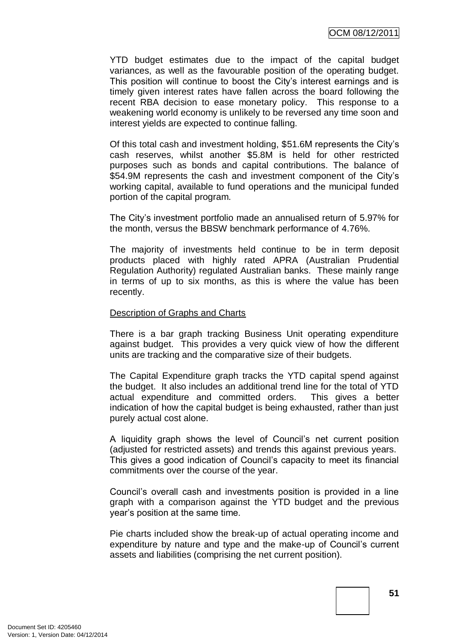YTD budget estimates due to the impact of the capital budget variances, as well as the favourable position of the operating budget. This position will continue to boost the City's interest earnings and is timely given interest rates have fallen across the board following the recent RBA decision to ease monetary policy. This response to a weakening world economy is unlikely to be reversed any time soon and interest yields are expected to continue falling.

Of this total cash and investment holding, \$51.6M represents the City's cash reserves, whilst another \$5.8M is held for other restricted purposes such as bonds and capital contributions. The balance of \$54.9M represents the cash and investment component of the City's working capital, available to fund operations and the municipal funded portion of the capital program.

The City's investment portfolio made an annualised return of 5.97% for the month, versus the BBSW benchmark performance of 4.76%.

The majority of investments held continue to be in term deposit products placed with highly rated APRA (Australian Prudential Regulation Authority) regulated Australian banks. These mainly range in terms of up to six months, as this is where the value has been recently.

#### Description of Graphs and Charts

There is a bar graph tracking Business Unit operating expenditure against budget. This provides a very quick view of how the different units are tracking and the comparative size of their budgets.

The Capital Expenditure graph tracks the YTD capital spend against the budget. It also includes an additional trend line for the total of YTD actual expenditure and committed orders. This gives a better indication of how the capital budget is being exhausted, rather than just purely actual cost alone.

A liquidity graph shows the level of Council's net current position (adjusted for restricted assets) and trends this against previous years. This gives a good indication of Council's capacity to meet its financial commitments over the course of the year.

Council's overall cash and investments position is provided in a line graph with a comparison against the YTD budget and the previous year's position at the same time.

Pie charts included show the break-up of actual operating income and expenditure by nature and type and the make-up of Council's current assets and liabilities (comprising the net current position).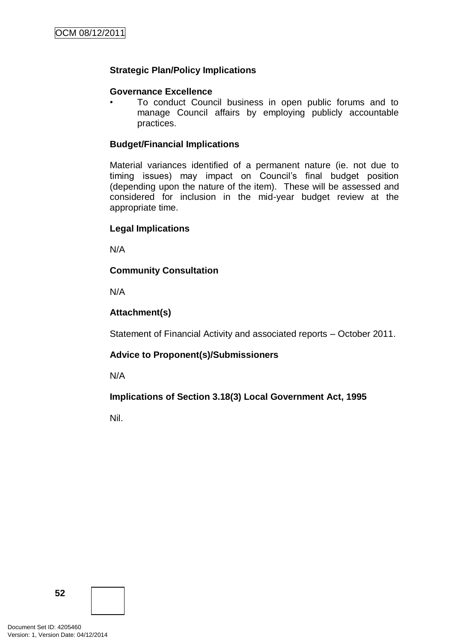# **Strategic Plan/Policy Implications**

### **Governance Excellence**

• To conduct Council business in open public forums and to manage Council affairs by employing publicly accountable practices.

### **Budget/Financial Implications**

Material variances identified of a permanent nature (ie. not due to timing issues) may impact on Council's final budget position (depending upon the nature of the item). These will be assessed and considered for inclusion in the mid-year budget review at the appropriate time.

### **Legal Implications**

N/A

# **Community Consultation**

N/A

# **Attachment(s)**

Statement of Financial Activity and associated reports – October 2011.

### **Advice to Proponent(s)/Submissioners**

N/A

# **Implications of Section 3.18(3) Local Government Act, 1995**

Nil.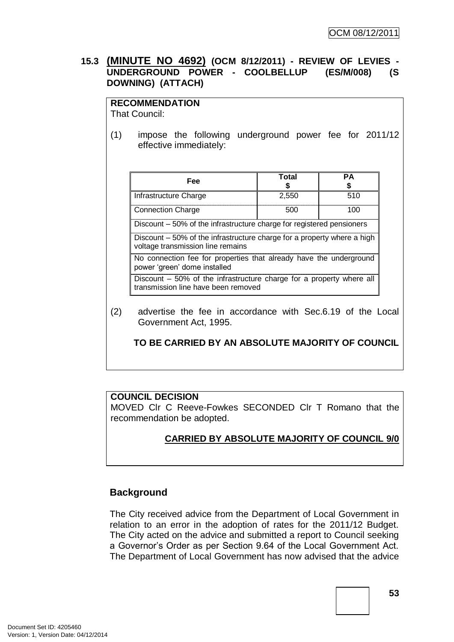### **15.3 (MINUTE NO 4692) (OCM 8/12/2011) - REVIEW OF LEVIES - UNDERGROUND POWER - COOLBELLUP (ES/M/008) (S DOWNING) (ATTACH)**

# **RECOMMENDATION**

That Council:

(1) impose the following underground power fee for 2011/12 effective immediately:

| Fee                                                                                                          | <b>Total</b> | PА  |  |  |
|--------------------------------------------------------------------------------------------------------------|--------------|-----|--|--|
| Infrastructure Charge                                                                                        | 2,550        | 510 |  |  |
| <b>Connection Charge</b>                                                                                     | 500          | 100 |  |  |
| Discount – 50% of the infrastructure charge for registered pensioners                                        |              |     |  |  |
| Discount - 50% of the infrastructure charge for a property where a high<br>voltage transmission line remains |              |     |  |  |
| No connection fee for properties that already have the underground<br>power 'green' dome installed           |              |     |  |  |
| Discount – 50% of the infrastructure charge for a property where all<br>transmission line have been removed  |              |     |  |  |

(2) advertise the fee in accordance with Sec.6.19 of the Local Government Act, 1995.

# **TO BE CARRIED BY AN ABSOLUTE MAJORITY OF COUNCIL**

# **COUNCIL DECISION**

MOVED Clr C Reeve-Fowkes SECONDED Clr T Romano that the recommendation be adopted.

# **CARRIED BY ABSOLUTE MAJORITY OF COUNCIL 9/0**

# **Background**

The City received advice from the Department of Local Government in relation to an error in the adoption of rates for the 2011/12 Budget. The City acted on the advice and submitted a report to Council seeking a Governor's Order as per Section 9.64 of the Local Government Act. The Department of Local Government has now advised that the advice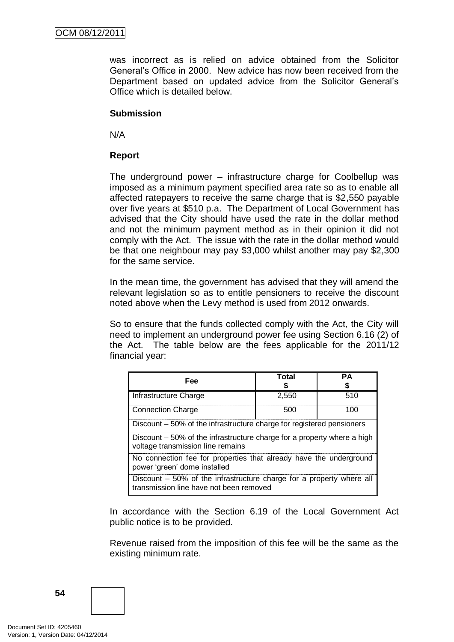was incorrect as is relied on advice obtained from the Solicitor General's Office in 2000. New advice has now been received from the Department based on updated advice from the Solicitor General's Office which is detailed below.

### **Submission**

N/A

### **Report**

The underground power – infrastructure charge for Coolbellup was imposed as a minimum payment specified area rate so as to enable all affected ratepayers to receive the same charge that is \$2,550 payable over five years at \$510 p.a. The Department of Local Government has advised that the City should have used the rate in the dollar method and not the minimum payment method as in their opinion it did not comply with the Act. The issue with the rate in the dollar method would be that one neighbour may pay \$3,000 whilst another may pay \$2,300 for the same service.

In the mean time, the government has advised that they will amend the relevant legislation so as to entitle pensioners to receive the discount noted above when the Levy method is used from 2012 onwards.

So to ensure that the funds collected comply with the Act, the City will need to implement an underground power fee using Section 6.16 (2) of the Act. The table below are the fees applicable for the 2011/12 financial year:

| Fee                                                                                                             | Total |     |  |  |
|-----------------------------------------------------------------------------------------------------------------|-------|-----|--|--|
| Infrastructure Charge                                                                                           | 2,550 | 510 |  |  |
| <b>Connection Charge</b>                                                                                        | 500   | 100 |  |  |
| Discount – 50% of the infrastructure charge for registered pensioners                                           |       |     |  |  |
| Discount – 50% of the infrastructure charge for a property where a high<br>voltage transmission line remains    |       |     |  |  |
| No connection fee for properties that already have the underground<br>power 'green' dome installed              |       |     |  |  |
| Discount – 50% of the infrastructure charge for a property where all<br>transmission line have not been removed |       |     |  |  |

In accordance with the Section 6.19 of the Local Government Act public notice is to be provided.

Revenue raised from the imposition of this fee will be the same as the existing minimum rate.

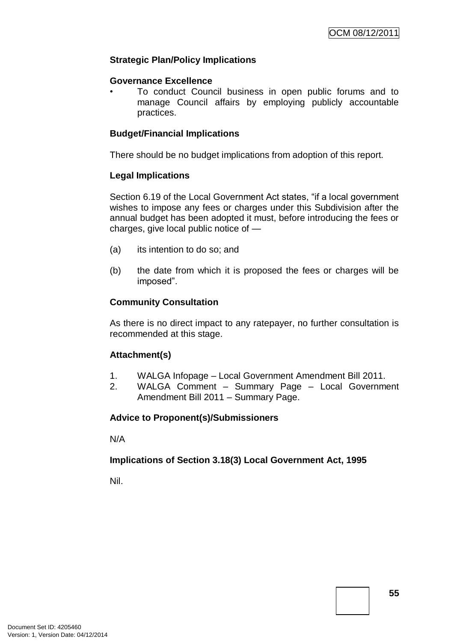### **Strategic Plan/Policy Implications**

#### **Governance Excellence**

• To conduct Council business in open public forums and to manage Council affairs by employing publicly accountable practices.

### **Budget/Financial Implications**

There should be no budget implications from adoption of this report.

#### **Legal Implications**

Section 6.19 of the Local Government Act states, "if a local government wishes to impose any fees or charges under this Subdivision after the annual budget has been adopted it must, before introducing the fees or charges, give local public notice of —

- (a) its intention to do so; and
- (b) the date from which it is proposed the fees or charges will be imposed".

#### **Community Consultation**

As there is no direct impact to any ratepayer, no further consultation is recommended at this stage.

#### **Attachment(s)**

- 1. WALGA Infopage Local Government Amendment Bill 2011.
- 2. WALGA Comment Summary Page Local Government Amendment Bill 2011 – Summary Page.

### **Advice to Proponent(s)/Submissioners**

N/A

### **Implications of Section 3.18(3) Local Government Act, 1995**

Nil.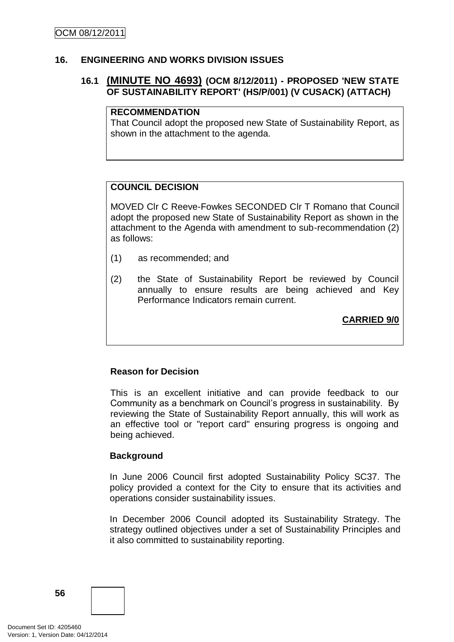#### **16. ENGINEERING AND WORKS DIVISION ISSUES**

### **16.1 (MINUTE NO 4693) (OCM 8/12/2011) - PROPOSED 'NEW STATE OF SUSTAINABILITY REPORT' (HS/P/001) (V CUSACK) (ATTACH)**

#### **RECOMMENDATION**

That Council adopt the proposed new State of Sustainability Report, as shown in the attachment to the agenda.

### **COUNCIL DECISION**

MOVED Clr C Reeve-Fowkes SECONDED Clr T Romano that Council adopt the proposed new State of Sustainability Report as shown in the attachment to the Agenda with amendment to sub-recommendation (2) as follows:

- (1) as recommended; and
- (2) the State of Sustainability Report be reviewed by Council annually to ensure results are being achieved and Key Performance Indicators remain current.

**CARRIED 9/0**

### **Reason for Decision**

This is an excellent initiative and can provide feedback to our Community as a benchmark on Council's progress in sustainability. By reviewing the State of Sustainability Report annually, this will work as an effective tool or "report card" ensuring progress is ongoing and being achieved.

#### **Background**

In June 2006 Council first adopted Sustainability Policy SC37. The policy provided a context for the City to ensure that its activities and operations consider sustainability issues.

In December 2006 Council adopted its Sustainability Strategy. The strategy outlined objectives under a set of Sustainability Principles and it also committed to sustainability reporting.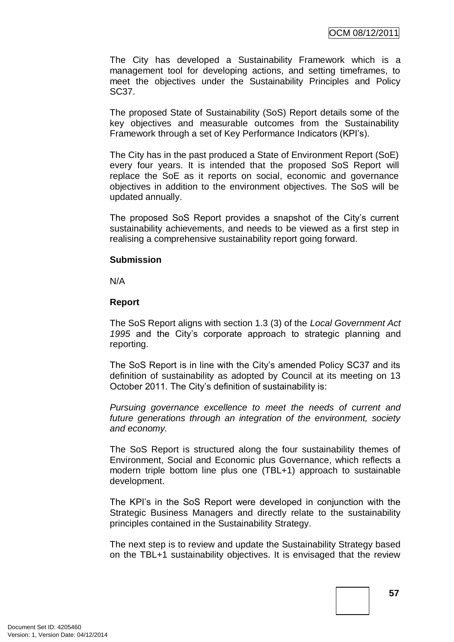The City has developed a Sustainability Framework which is a management tool for developing actions, and setting timeframes, to meet the objectives under the Sustainability Principles and Policy SC37.

The proposed State of Sustainability (SoS) Report details some of the key objectives and measurable outcomes from the Sustainability Framework through a set of Key Performance Indicators (KPI's).

The City has in the past produced a State of Environment Report (SoE) every four years. It is intended that the proposed SoS Report will replace the SoE as it reports on social, economic and governance objectives in addition to the environment objectives. The SoS will be updated annually.

The proposed SoS Report provides a snapshot of the City's current sustainability achievements, and needs to be viewed as a first step in realising a comprehensive sustainability report going forward.

#### **Submission**

N/A

#### **Report**

The SoS Report aligns with section 1.3 (3) of the *Local Government Act 1995* and the City's corporate approach to strategic planning and reporting.

The SoS Report is in line with the City's amended Policy SC37 and its definition of sustainability as adopted by Council at its meeting on 13 October 2011. The City's definition of sustainability is:

*Pursuing governance excellence to meet the needs of current and future generations through an integration of the environment, society and economy.*

The SoS Report is structured along the four sustainability themes of Environment, Social and Economic plus Governance, which reflects a modern triple bottom line plus one (TBL+1) approach to sustainable development.

The KPI's in the SoS Report were developed in conjunction with the Strategic Business Managers and directly relate to the sustainability principles contained in the Sustainability Strategy.

The next step is to review and update the Sustainability Strategy based on the TBL+1 sustainability objectives. It is envisaged that the review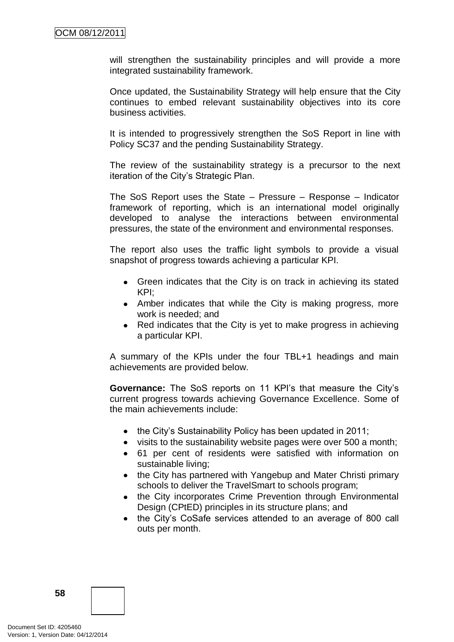will strengthen the sustainability principles and will provide a more integrated sustainability framework.

Once updated, the Sustainability Strategy will help ensure that the City continues to embed relevant sustainability objectives into its core business activities.

It is intended to progressively strengthen the SoS Report in line with Policy SC37 and the pending Sustainability Strategy.

The review of the sustainability strategy is a precursor to the next iteration of the City's Strategic Plan.

The SoS Report uses the State – Pressure – Response – Indicator framework of reporting, which is an international model originally developed to analyse the interactions between environmental pressures, the state of the environment and environmental responses.

The report also uses the traffic light symbols to provide a visual snapshot of progress towards achieving a particular KPI.

- Green indicates that the City is on track in achieving its stated KPI;
- Amber indicates that while the City is making progress, more work is needed; and
- Red indicates that the City is yet to make progress in achieving a particular KPI.

A summary of the KPIs under the four TBL+1 headings and main achievements are provided below.

**Governance:** The SoS reports on 11 KPI's that measure the City's current progress towards achieving Governance Excellence. Some of the main achievements include:

- the City's Sustainability Policy has been updated in 2011;
- visits to the sustainability website pages were over 500 a month;
- 61 per cent of residents were satisfied with information on sustainable living;
- the City has partnered with Yangebup and Mater Christi primary schools to deliver the TravelSmart to schools program;
- the City incorporates Crime Prevention through Environmental Design (CPtED) principles in its structure plans; and
- $\bullet$ the City's CoSafe services attended to an average of 800 call outs per month.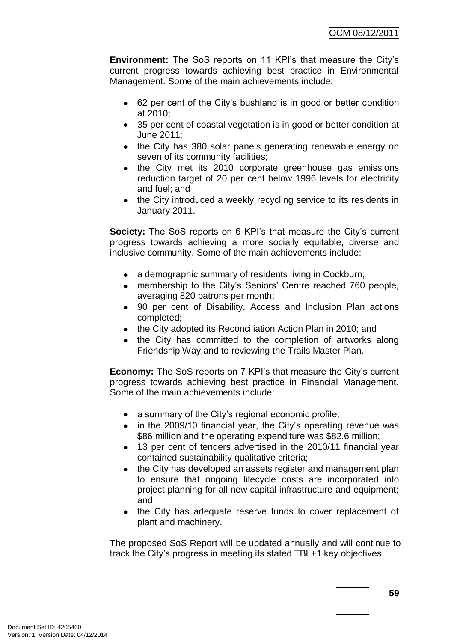**Environment:** The SoS reports on 11 KPI's that measure the City's current progress towards achieving best practice in Environmental Management. Some of the main achievements include:

- 62 per cent of the City's bushland is in good or better condition at 2010;
- 35 per cent of coastal vegetation is in good or better condition at June 2011;
- the City has 380 solar panels generating renewable energy on seven of its community facilities;
- the City met its 2010 corporate greenhouse gas emissions  $\bullet$ reduction target of 20 per cent below 1996 levels for electricity and fuel; and
- the City introduced a weekly recycling service to its residents in  $\bullet$ January 2011.

**Society:** The SoS reports on 6 KPI's that measure the City's current progress towards achieving a more socially equitable, diverse and inclusive community. Some of the main achievements include:

- a demographic summary of residents living in Cockburn;
- membership to the City's Seniors' Centre reached 760 people, averaging 820 patrons per month;
- 90 per cent of Disability, Access and Inclusion Plan actions completed;
- the City adopted its Reconciliation Action Plan in 2010; and
- the City has committed to the completion of artworks along Friendship Way and to reviewing the Trails Master Plan.

**Economy:** The SoS reports on 7 KPI's that measure the City's current progress towards achieving best practice in Financial Management. Some of the main achievements include:

- a summary of the City's regional economic profile;
- in the 2009/10 financial year, the City's operating revenue was \$86 million and the operating expenditure was \$82.6 million;
- 13 per cent of tenders advertised in the 2010/11 financial year contained sustainability qualitative criteria;
- the City has developed an assets register and management plan  $\bullet$ to ensure that ongoing lifecycle costs are incorporated into project planning for all new capital infrastructure and equipment; and
- the City has adequate reserve funds to cover replacement of  $\bullet$ plant and machinery.

The proposed SoS Report will be updated annually and will continue to track the City's progress in meeting its stated TBL+1 key objectives.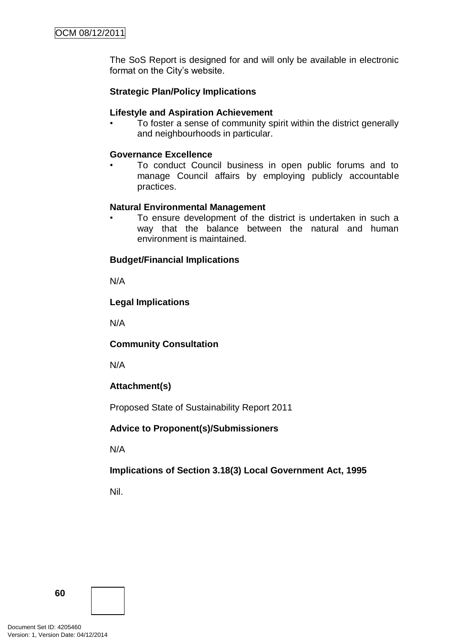The SoS Report is designed for and will only be available in electronic format on the City's website.

# **Strategic Plan/Policy Implications**

### **Lifestyle and Aspiration Achievement**

To foster a sense of community spirit within the district generally and neighbourhoods in particular.

# **Governance Excellence**

• To conduct Council business in open public forums and to manage Council affairs by employing publicly accountable practices.

# **Natural Environmental Management**

To ensure development of the district is undertaken in such a way that the balance between the natural and human environment is maintained.

# **Budget/Financial Implications**

N/A

# **Legal Implications**

N/A

# **Community Consultation**

N/A

# **Attachment(s)**

Proposed State of Sustainability Report 2011

# **Advice to Proponent(s)/Submissioners**

N/A

# **Implications of Section 3.18(3) Local Government Act, 1995**

Nil.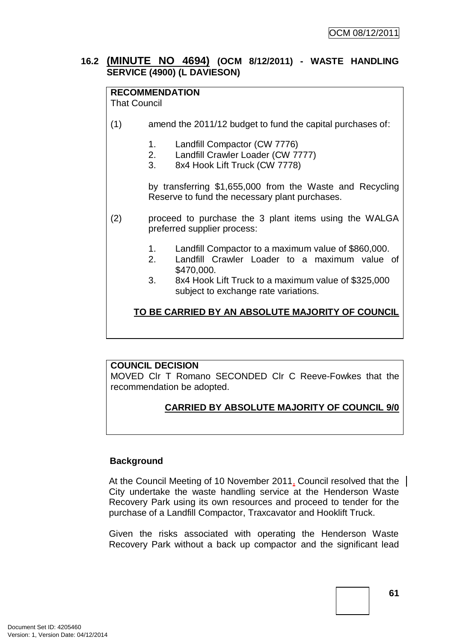# **16.2 (MINUTE NO 4694) (OCM 8/12/2011) - WASTE HANDLING SERVICE (4900) (L DAVIESON)**

#### **RECOMMENDATION**

That Council

- (1) amend the 2011/12 budget to fund the capital purchases of:
	- 1. Landfill Compactor (CW 7776)
	- 2. Landfill Crawler Loader (CW 7777)
	- 3. 8x4 Hook Lift Truck (CW 7778)

by transferring \$1,655,000 from the Waste and Recycling Reserve to fund the necessary plant purchases.

- (2) proceed to purchase the 3 plant items using the WALGA preferred supplier process:
	- 1. Landfill Compactor to a maximum value of \$860,000.
	- 2. Landfill Crawler Loader to a maximum value of \$470,000.
	- 3. 8x4 Hook Lift Truck to a maximum value of \$325,000 subject to exchange rate variations.

# **TO BE CARRIED BY AN ABSOLUTE MAJORITY OF COUNCIL**

### **COUNCIL DECISION**

MOVED Clr T Romano SECONDED Clr C Reeve-Fowkes that the recommendation be adopted.

# **CARRIED BY ABSOLUTE MAJORITY OF COUNCIL 9/0**

### **Background**

At the Council Meeting of 10 November 2011, Council resolved that the City undertake the waste handling service at the Henderson Waste Recovery Park using its own resources and proceed to tender for the purchase of a Landfill Compactor, Traxcavator and Hooklift Truck.

Given the risks associated with operating the Henderson Waste Recovery Park without a back up compactor and the significant lead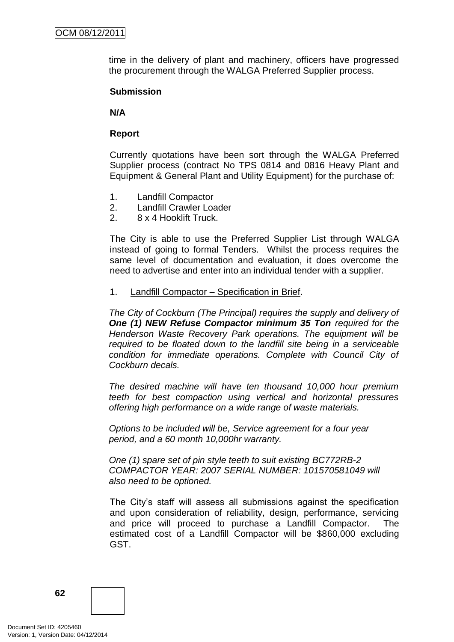time in the delivery of plant and machinery, officers have progressed the procurement through the WALGA Preferred Supplier process.

#### **Submission**

**N/A**

#### **Report**

Currently quotations have been sort through the WALGA Preferred Supplier process (contract No TPS 0814 and 0816 Heavy Plant and Equipment & General Plant and Utility Equipment) for the purchase of:

- 1. Landfill Compactor
- 2. Landfill Crawler Loader
- 2. 8 x 4 Hooklift Truck.

The City is able to use the Preferred Supplier List through WALGA instead of going to formal Tenders. Whilst the process requires the same level of documentation and evaluation, it does overcome the need to advertise and enter into an individual tender with a supplier.

1. Landfill Compactor – Specification in Brief.

*The City of Cockburn (The Principal) requires the supply and delivery of One (1) NEW Refuse Compactor minimum 35 Ton required for the Henderson Waste Recovery Park operations. The equipment will be required to be floated down to the landfill site being in a serviceable condition for immediate operations. Complete with Council City of Cockburn decals.*

*The desired machine will have ten thousand 10,000 hour premium teeth for best compaction using vertical and horizontal pressures offering high performance on a wide range of waste materials.*

*Options to be included will be, Service agreement for a four year period, and a 60 month 10,000hr warranty.*

*One (1) spare set of pin style teeth to suit existing BC772RB-2 COMPACTOR YEAR: 2007 SERIAL NUMBER: 101570581049 will also need to be optioned.*

The City's staff will assess all submissions against the specification and upon consideration of reliability, design, performance, servicing and price will proceed to purchase a Landfill Compactor. The estimated cost of a Landfill Compactor will be \$860,000 excluding GST.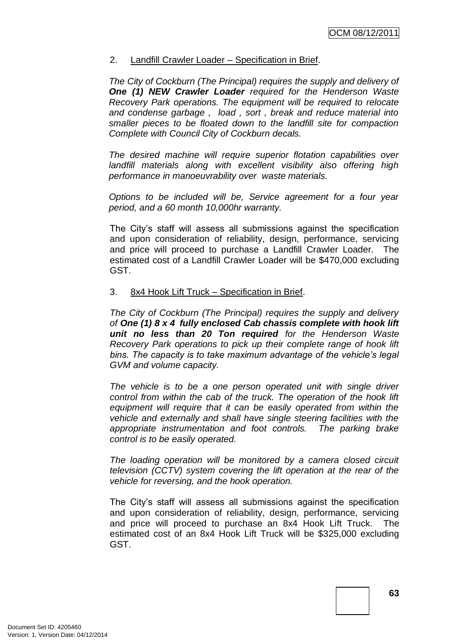#### 2. Landfill Crawler Loader – Specification in Brief.

*The City of Cockburn (The Principal) requires the supply and delivery of One (1) NEW Crawler Loader required for the Henderson Waste Recovery Park operations. The equipment will be required to relocate and condense garbage , load , sort , break and reduce material into smaller pieces to be floated down to the landfill site for compaction Complete with Council City of Cockburn decals.*

*The desired machine will require superior flotation capabilities over landfill materials along with excellent visibility also offering high performance in manoeuvrability over waste materials.*

*Options to be included will be, Service agreement for a four year period, and a 60 month 10,000hr warranty.*

The City's staff will assess all submissions against the specification and upon consideration of reliability, design, performance, servicing and price will proceed to purchase a Landfill Crawler Loader. The estimated cost of a Landfill Crawler Loader will be \$470,000 excluding GST.

#### 3. 8x4 Hook Lift Truck – Specification in Brief.

*The City of Cockburn (The Principal) requires the supply and delivery of One (1) 8 x 4 fully enclosed Cab chassis complete with hook lift unit no less than 20 Ton required for the Henderson Waste Recovery Park operations to pick up their complete range of hook lift bins. The capacity is to take maximum advantage of the vehicle"s legal GVM and volume capacity.*

*The vehicle is to be a one person operated unit with single driver control from within the cab of the truck. The operation of the hook lift equipment will require that it can be easily operated from within the vehicle and externally and shall have single steering facilities with the appropriate instrumentation and foot controls. The parking brake control is to be easily operated.*

*The loading operation will be monitored by a camera closed circuit television (CCTV) system covering the lift operation at the rear of the vehicle for reversing, and the hook operation.* 

The City's staff will assess all submissions against the specification and upon consideration of reliability, design, performance, servicing and price will proceed to purchase an 8x4 Hook Lift Truck. The estimated cost of an 8x4 Hook Lift Truck will be \$325,000 excluding GST.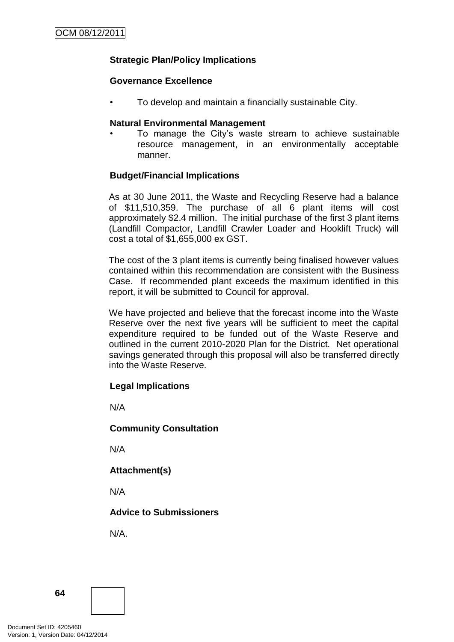# **Strategic Plan/Policy Implications**

#### **Governance Excellence**

• To develop and maintain a financially sustainable City.

#### **Natural Environmental Management**

• To manage the City's waste stream to achieve sustainable resource management, in an environmentally acceptable manner.

### **Budget/Financial Implications**

As at 30 June 2011, the Waste and Recycling Reserve had a balance of \$11,510,359. The purchase of all 6 plant items will cost approximately \$2.4 million. The initial purchase of the first 3 plant items (Landfill Compactor, Landfill Crawler Loader and Hooklift Truck) will cost a total of \$1,655,000 ex GST.

The cost of the 3 plant items is currently being finalised however values contained within this recommendation are consistent with the Business Case. If recommended plant exceeds the maximum identified in this report, it will be submitted to Council for approval.

We have projected and believe that the forecast income into the Waste Reserve over the next five years will be sufficient to meet the capital expenditure required to be funded out of the Waste Reserve and outlined in the current 2010-2020 Plan for the District. Net operational savings generated through this proposal will also be transferred directly into the Waste Reserve.

### **Legal Implications**

N/A

**Community Consultation**

N/A

**Attachment(s)**

N/A

**Advice to Submissioners**

N/A.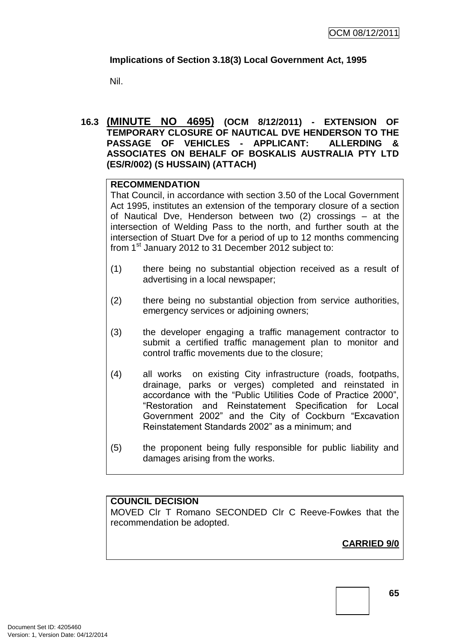# **Implications of Section 3.18(3) Local Government Act, 1995**

Nil.

### **16.3 (MINUTE NO 4695) (OCM 8/12/2011) - EXTENSION OF TEMPORARY CLOSURE OF NAUTICAL DVE HENDERSON TO THE PASSAGE OF VEHICLES - APPLICANT: ALLERDING & ASSOCIATES ON BEHALF OF BOSKALIS AUSTRALIA PTY LTD (ES/R/002) (S HUSSAIN) (ATTACH)**

# **RECOMMENDATION**

That Council, in accordance with section 3.50 of the Local Government Act 1995, institutes an extension of the temporary closure of a section of Nautical Dve, Henderson between two (2) crossings – at the intersection of Welding Pass to the north, and further south at the intersection of Stuart Dve for a period of up to 12 months commencing from 1<sup>st</sup> January 2012 to 31 December 2012 subject to:

- (1) there being no substantial objection received as a result of advertising in a local newspaper;
- (2) there being no substantial objection from service authorities, emergency services or adjoining owners;
- (3) the developer engaging a traffic management contractor to submit a certified traffic management plan to monitor and control traffic movements due to the closure;
- (4) all works on existing City infrastructure (roads, footpaths, drainage, parks or verges) completed and reinstated in accordance with the "Public Utilities Code of Practice 2000", ―Restoration and Reinstatement Specification for Local Government 2002" and the City of Cockburn "Excavation Reinstatement Standards 2002" as a minimum; and
- (5) the proponent being fully responsible for public liability and damages arising from the works.

### **COUNCIL DECISION**

MOVED Clr T Romano SECONDED Clr C Reeve-Fowkes that the recommendation be adopted.

# **CARRIED 9/0**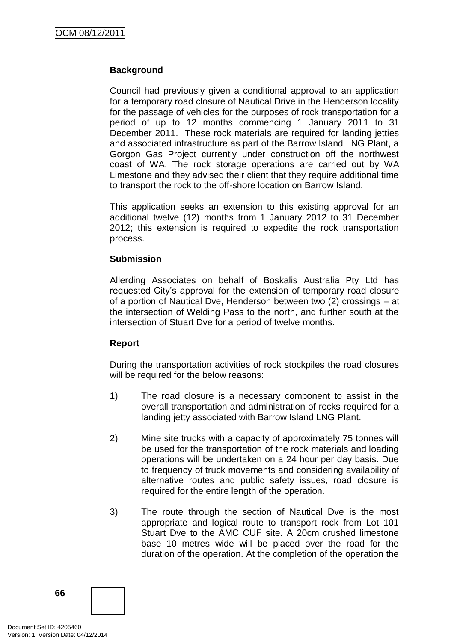### **Background**

Council had previously given a conditional approval to an application for a temporary road closure of Nautical Drive in the Henderson locality for the passage of vehicles for the purposes of rock transportation for a period of up to 12 months commencing 1 January 2011 to 31 December 2011. These rock materials are required for landing jetties and associated infrastructure as part of the Barrow Island LNG Plant, a Gorgon Gas Project currently under construction off the northwest coast of WA. The rock storage operations are carried out by WA Limestone and they advised their client that they require additional time to transport the rock to the off-shore location on Barrow Island.

This application seeks an extension to this existing approval for an additional twelve (12) months from 1 January 2012 to 31 December 2012; this extension is required to expedite the rock transportation process.

#### **Submission**

Allerding Associates on behalf of Boskalis Australia Pty Ltd has requested City's approval for the extension of temporary road closure of a portion of Nautical Dve, Henderson between two (2) crossings – at the intersection of Welding Pass to the north, and further south at the intersection of Stuart Dve for a period of twelve months.

### **Report**

During the transportation activities of rock stockpiles the road closures will be required for the below reasons:

- 1) The road closure is a necessary component to assist in the overall transportation and administration of rocks required for a landing jetty associated with Barrow Island LNG Plant.
- 2) Mine site trucks with a capacity of approximately 75 tonnes will be used for the transportation of the rock materials and loading operations will be undertaken on a 24 hour per day basis. Due to frequency of truck movements and considering availability of alternative routes and public safety issues, road closure is required for the entire length of the operation.
- 3) The route through the section of Nautical Dve is the most appropriate and logical route to transport rock from Lot 101 Stuart Dve to the AMC CUF site. A 20cm crushed limestone base 10 metres wide will be placed over the road for the duration of the operation. At the completion of the operation the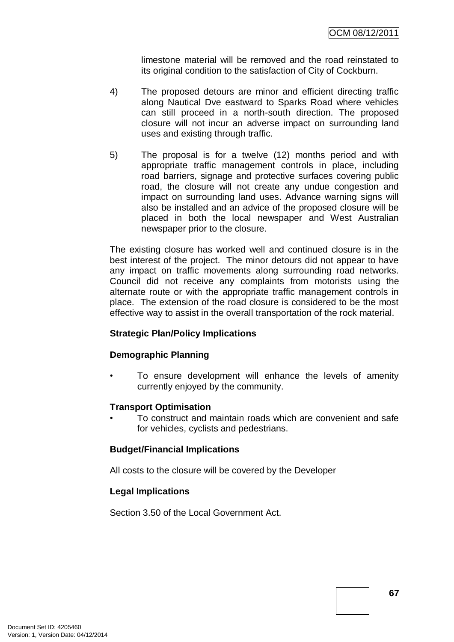limestone material will be removed and the road reinstated to its original condition to the satisfaction of City of Cockburn.

- 4) The proposed detours are minor and efficient directing traffic along Nautical Dve eastward to Sparks Road where vehicles can still proceed in a north-south direction. The proposed closure will not incur an adverse impact on surrounding land uses and existing through traffic.
- 5) The proposal is for a twelve (12) months period and with appropriate traffic management controls in place, including road barriers, signage and protective surfaces covering public road, the closure will not create any undue congestion and impact on surrounding land uses. Advance warning signs will also be installed and an advice of the proposed closure will be placed in both the local newspaper and West Australian newspaper prior to the closure.

The existing closure has worked well and continued closure is in the best interest of the project. The minor detours did not appear to have any impact on traffic movements along surrounding road networks. Council did not receive any complaints from motorists using the alternate route or with the appropriate traffic management controls in place. The extension of the road closure is considered to be the most effective way to assist in the overall transportation of the rock material.

### **Strategic Plan/Policy Implications**

#### **Demographic Planning**

To ensure development will enhance the levels of amenity currently enjoyed by the community.

#### **Transport Optimisation**

• To construct and maintain roads which are convenient and safe for vehicles, cyclists and pedestrians.

### **Budget/Financial Implications**

All costs to the closure will be covered by the Developer

### **Legal Implications**

Section 3.50 of the Local Government Act.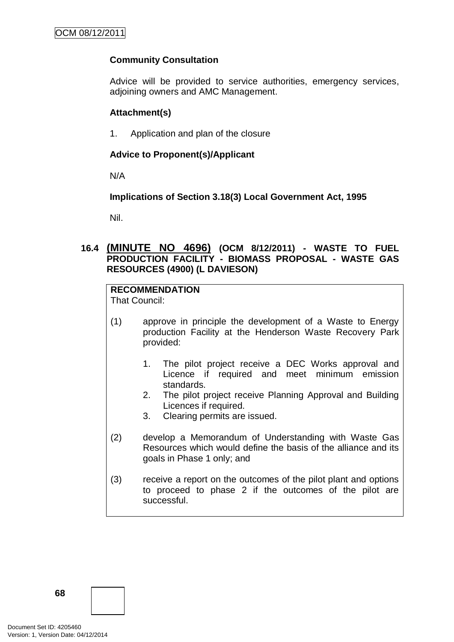### **Community Consultation**

Advice will be provided to service authorities, emergency services, adjoining owners and AMC Management.

#### **Attachment(s)**

1. Application and plan of the closure

### **Advice to Proponent(s)/Applicant**

N/A

**Implications of Section 3.18(3) Local Government Act, 1995**

Nil.

### **16.4 (MINUTE NO 4696) (OCM 8/12/2011) - WASTE TO FUEL PRODUCTION FACILITY - BIOMASS PROPOSAL - WASTE GAS RESOURCES (4900) (L DAVIESON)**

# **RECOMMENDATION**

That Council:

- (1) approve in principle the development of a Waste to Energy production Facility at the Henderson Waste Recovery Park provided:
	- 1. The pilot project receive a DEC Works approval and Licence if required and meet minimum emission standards.
	- 2. The pilot project receive Planning Approval and Building Licences if required.
	- 3. Clearing permits are issued.
- (2) develop a Memorandum of Understanding with Waste Gas Resources which would define the basis of the alliance and its goals in Phase 1 only; and
- (3) receive a report on the outcomes of the pilot plant and options to proceed to phase 2 if the outcomes of the pilot are successful.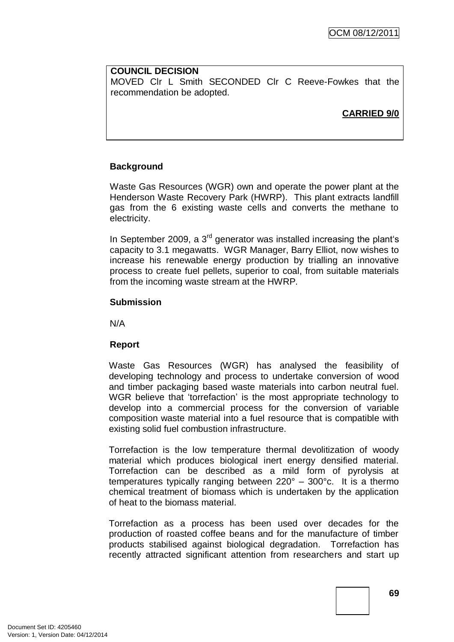## **COUNCIL DECISION** MOVED Clr L Smith SECONDED Clr C Reeve-Fowkes that the recommendation be adopted.

# **CARRIED 9/0**

## **Background**

Waste Gas Resources (WGR) own and operate the power plant at the Henderson Waste Recovery Park (HWRP). This plant extracts landfill gas from the 6 existing waste cells and converts the methane to electricity.

In September 2009, a  $3<sup>rd</sup>$  generator was installed increasing the plant's capacity to 3.1 megawatts. WGR Manager, Barry Elliot, now wishes to increase his renewable energy production by trialling an innovative process to create fuel pellets, superior to coal, from suitable materials from the incoming waste stream at the HWRP.

### **Submission**

N/A

### **Report**

Waste Gas Resources (WGR) has analysed the feasibility of developing technology and process to undertake conversion of wood and timber packaging based waste materials into carbon neutral fuel. WGR believe that 'torrefaction' is the most appropriate technology to develop into a commercial process for the conversion of variable composition waste material into a fuel resource that is compatible with existing solid fuel combustion infrastructure.

Torrefaction is the low temperature thermal devolitization of woody material which produces biological inert energy densified material. Torrefaction can be described as a mild form of pyrolysis at temperatures typically ranging between 220° – 300°c. It is a thermo chemical treatment of biomass which is undertaken by the application of heat to the biomass material.

Torrefaction as a process has been used over decades for the production of roasted coffee beans and for the manufacture of timber products stabilised against biological degradation. Torrefaction has recently attracted significant attention from researchers and start up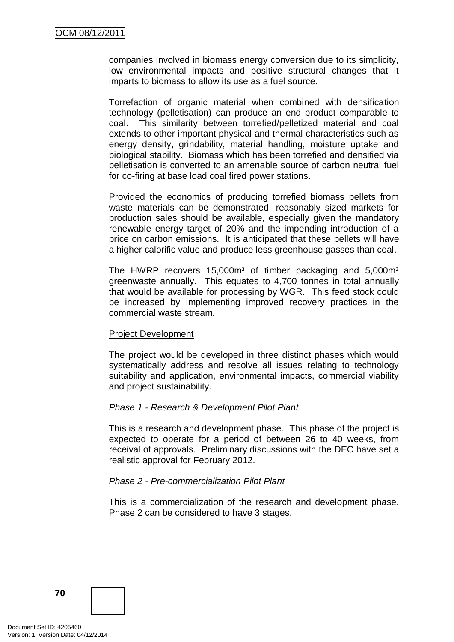companies involved in biomass energy conversion due to its simplicity, low environmental impacts and positive structural changes that it imparts to biomass to allow its use as a fuel source.

Torrefaction of organic material when combined with densification technology (pelletisation) can produce an end product comparable to coal. This similarity between torrefied/pelletized material and coal extends to other important physical and thermal characteristics such as energy density, grindability, material handling, moisture uptake and biological stability. Biomass which has been torrefied and densified via pelletisation is converted to an amenable source of carbon neutral fuel for co-firing at base load coal fired power stations.

Provided the economics of producing torrefied biomass pellets from waste materials can be demonstrated, reasonably sized markets for production sales should be available, especially given the mandatory renewable energy target of 20% and the impending introduction of a price on carbon emissions. It is anticipated that these pellets will have a higher calorific value and produce less greenhouse gasses than coal.

The HWRP recovers 15,000m<sup>3</sup> of timber packaging and 5,000m<sup>3</sup> greenwaste annually. This equates to 4,700 tonnes in total annually that would be available for processing by WGR. This feed stock could be increased by implementing improved recovery practices in the commercial waste stream.

#### Project Development

The project would be developed in three distinct phases which would systematically address and resolve all issues relating to technology suitability and application, environmental impacts, commercial viability and project sustainability.

#### *Phase 1 - Research & Development Pilot Plant*

This is a research and development phase. This phase of the project is expected to operate for a period of between 26 to 40 weeks, from receival of approvals. Preliminary discussions with the DEC have set a realistic approval for February 2012.

#### *Phase 2 - Pre-commercialization Pilot Plant*

This is a commercialization of the research and development phase. Phase 2 can be considered to have 3 stages.

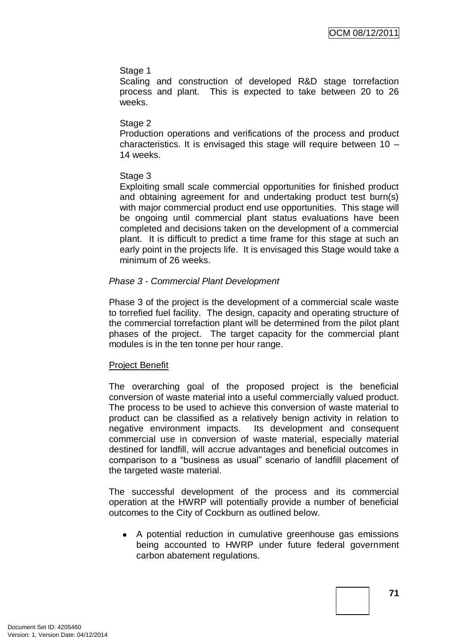#### Stage 1

Scaling and construction of developed R&D stage torrefaction process and plant. This is expected to take between 20 to 26 weeks.

#### Stage 2

Production operations and verifications of the process and product characteristics. It is envisaged this stage will require between 10 – 14 weeks.

### Stage 3

Exploiting small scale commercial opportunities for finished product and obtaining agreement for and undertaking product test burn(s) with major commercial product end use opportunities. This stage will be ongoing until commercial plant status evaluations have been completed and decisions taken on the development of a commercial plant. It is difficult to predict a time frame for this stage at such an early point in the projects life. It is envisaged this Stage would take a minimum of 26 weeks.

### *Phase 3 - Commercial Plant Development*

Phase 3 of the project is the development of a commercial scale waste to torrefied fuel facility. The design, capacity and operating structure of the commercial torrefaction plant will be determined from the pilot plant phases of the project. The target capacity for the commercial plant modules is in the ten tonne per hour range.

### Project Benefit

The overarching goal of the proposed project is the beneficial conversion of waste material into a useful commercially valued product. The process to be used to achieve this conversion of waste material to product can be classified as a relatively benign activity in relation to negative environment impacts. Its development and consequent commercial use in conversion of waste material, especially material destined for landfill, will accrue advantages and beneficial outcomes in comparison to a "business as usual" scenario of landfill placement of the targeted waste material.

The successful development of the process and its commercial operation at the HWRP will potentially provide a number of beneficial outcomes to the City of Cockburn as outlined below.

• A potential reduction in cumulative greenhouse gas emissions being accounted to HWRP under future federal government carbon abatement regulations.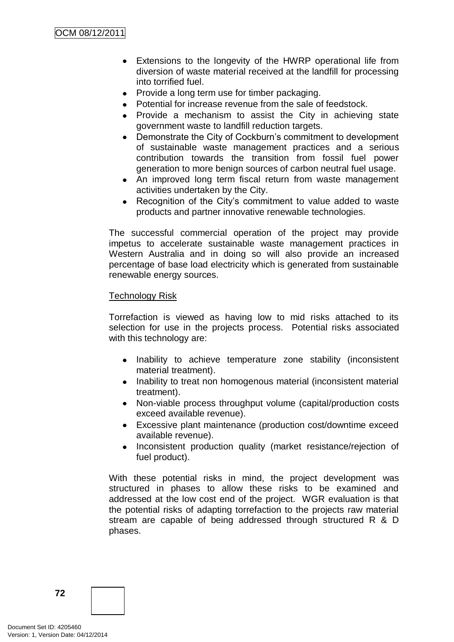- Extensions to the longevity of the HWRP operational life from diversion of waste material received at the landfill for processing into torrified fuel.
- Provide a long term use for timber packaging.
- Potential for increase revenue from the sale of feedstock.
- Provide a mechanism to assist the City in achieving state government waste to landfill reduction targets.
- Demonstrate the City of Cockburn's commitment to development of sustainable waste management practices and a serious contribution towards the transition from fossil fuel power generation to more benign sources of carbon neutral fuel usage.
- An improved long term fiscal return from waste management activities undertaken by the City.
- Recognition of the City's commitment to value added to waste products and partner innovative renewable technologies.

The successful commercial operation of the project may provide impetus to accelerate sustainable waste management practices in Western Australia and in doing so will also provide an increased percentage of base load electricity which is generated from sustainable renewable energy sources.

#### Technology Risk

Torrefaction is viewed as having low to mid risks attached to its selection for use in the projects process. Potential risks associated with this technology are:

- Inability to achieve temperature zone stability (inconsistent material treatment).
- Inability to treat non homogenous material (inconsistent material treatment).
- Non-viable process throughput volume (capital/production costs exceed available revenue).
- Excessive plant maintenance (production cost/downtime exceed available revenue).
- Inconsistent production quality (market resistance/rejection of fuel product).

With these potential risks in mind, the project development was structured in phases to allow these risks to be examined and addressed at the low cost end of the project. WGR evaluation is that the potential risks of adapting torrefaction to the projects raw material stream are capable of being addressed through structured R & D phases.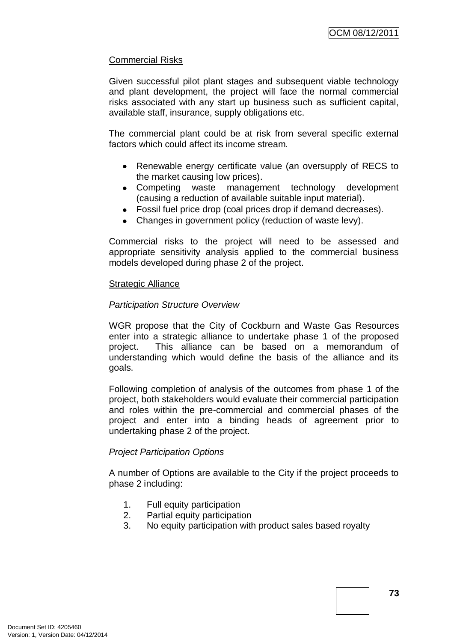## Commercial Risks

Given successful pilot plant stages and subsequent viable technology and plant development, the project will face the normal commercial risks associated with any start up business such as sufficient capital, available staff, insurance, supply obligations etc.

The commercial plant could be at risk from several specific external factors which could affect its income stream.

- Renewable energy certificate value (an oversupply of RECS to the market causing low prices).
- Competing waste management technology development (causing a reduction of available suitable input material).
- Fossil fuel price drop (coal prices drop if demand decreases).
- Changes in government policy (reduction of waste levy).

Commercial risks to the project will need to be assessed and appropriate sensitivity analysis applied to the commercial business models developed during phase 2 of the project.

#### Strategic Alliance

### *Participation Structure Overview*

WGR propose that the City of Cockburn and Waste Gas Resources enter into a strategic alliance to undertake phase 1 of the proposed project. This alliance can be based on a memorandum of understanding which would define the basis of the alliance and its goals.

Following completion of analysis of the outcomes from phase 1 of the project, both stakeholders would evaluate their commercial participation and roles within the pre-commercial and commercial phases of the project and enter into a binding heads of agreement prior to undertaking phase 2 of the project.

### *Project Participation Options*

A number of Options are available to the City if the project proceeds to phase 2 including:

- 1. Full equity participation
- 2. Partial equity participation
- 3. No equity participation with product sales based royalty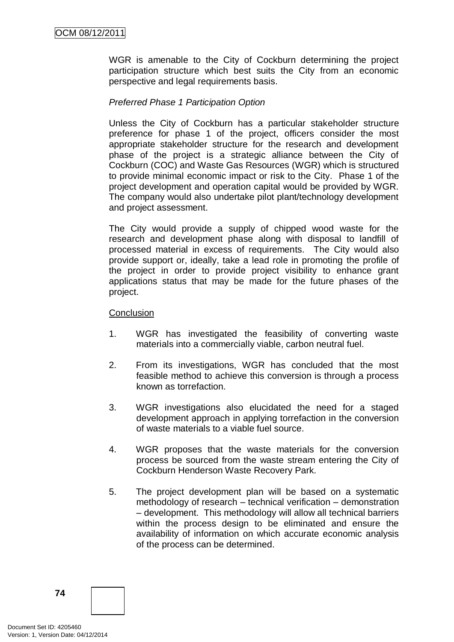WGR is amenable to the City of Cockburn determining the project participation structure which best suits the City from an economic perspective and legal requirements basis.

#### *Preferred Phase 1 Participation Option*

Unless the City of Cockburn has a particular stakeholder structure preference for phase 1 of the project, officers consider the most appropriate stakeholder structure for the research and development phase of the project is a strategic alliance between the City of Cockburn (COC) and Waste Gas Resources (WGR) which is structured to provide minimal economic impact or risk to the City. Phase 1 of the project development and operation capital would be provided by WGR. The company would also undertake pilot plant/technology development and project assessment.

The City would provide a supply of chipped wood waste for the research and development phase along with disposal to landfill of processed material in excess of requirements. The City would also provide support or, ideally, take a lead role in promoting the profile of the project in order to provide project visibility to enhance grant applications status that may be made for the future phases of the project.

#### **Conclusion**

- 1. WGR has investigated the feasibility of converting waste materials into a commercially viable, carbon neutral fuel.
- 2. From its investigations, WGR has concluded that the most feasible method to achieve this conversion is through a process known as torrefaction.
- 3. WGR investigations also elucidated the need for a staged development approach in applying torrefaction in the conversion of waste materials to a viable fuel source.
- 4. WGR proposes that the waste materials for the conversion process be sourced from the waste stream entering the City of Cockburn Henderson Waste Recovery Park.
- 5. The project development plan will be based on a systematic methodology of research – technical verification – demonstration – development. This methodology will allow all technical barriers within the process design to be eliminated and ensure the availability of information on which accurate economic analysis of the process can be determined.

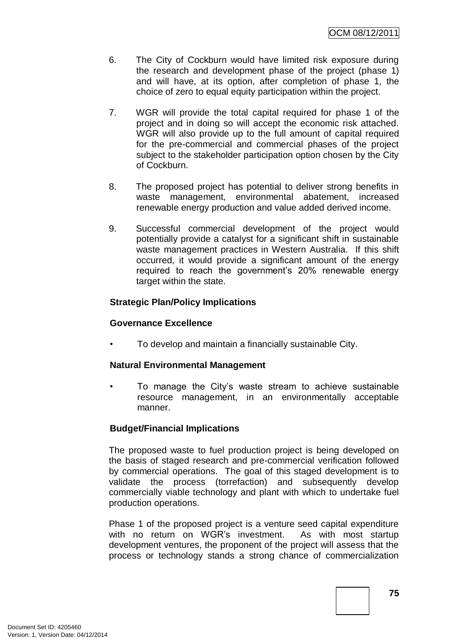- 6. The City of Cockburn would have limited risk exposure during the research and development phase of the project (phase 1) and will have, at its option, after completion of phase 1, the choice of zero to equal equity participation within the project.
- 7. WGR will provide the total capital required for phase 1 of the project and in doing so will accept the economic risk attached. WGR will also provide up to the full amount of capital required for the pre-commercial and commercial phases of the project subject to the stakeholder participation option chosen by the City of Cockburn.
- 8. The proposed project has potential to deliver strong benefits in waste management, environmental abatement, increased renewable energy production and value added derived income.
- 9. Successful commercial development of the project would potentially provide a catalyst for a significant shift in sustainable waste management practices in Western Australia. If this shift occurred, it would provide a significant amount of the energy required to reach the government's 20% renewable energy target within the state.

## **Strategic Plan/Policy Implications**

### **Governance Excellence**

• To develop and maintain a financially sustainable City.

### **Natural Environmental Management**

• To manage the City's waste stream to achieve sustainable resource management, in an environmentally acceptable manner.

### **Budget/Financial Implications**

The proposed waste to fuel production project is being developed on the basis of staged research and pre-commercial verification followed by commercial operations. The goal of this staged development is to validate the process (torrefaction) and subsequently develop commercially viable technology and plant with which to undertake fuel production operations.

Phase 1 of the proposed project is a venture seed capital expenditure with no return on WGR's investment. As with most startup development ventures, the proponent of the project will assess that the process or technology stands a strong chance of commercialization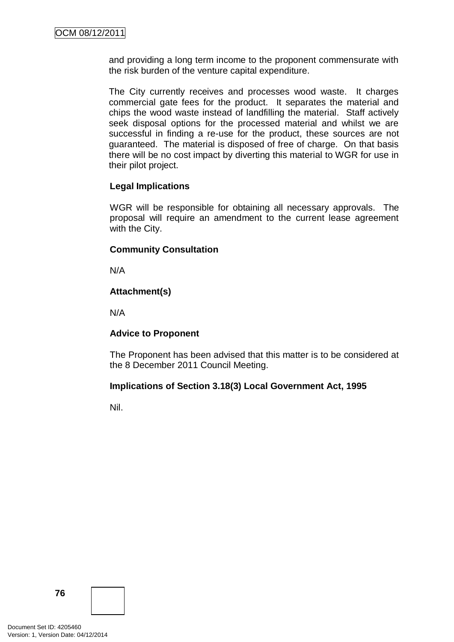and providing a long term income to the proponent commensurate with the risk burden of the venture capital expenditure.

The City currently receives and processes wood waste. It charges commercial gate fees for the product. It separates the material and chips the wood waste instead of landfilling the material. Staff actively seek disposal options for the processed material and whilst we are successful in finding a re-use for the product, these sources are not guaranteed. The material is disposed of free of charge. On that basis there will be no cost impact by diverting this material to WGR for use in their pilot project.

### **Legal Implications**

WGR will be responsible for obtaining all necessary approvals. The proposal will require an amendment to the current lease agreement with the City.

### **Community Consultation**

N/A

### **Attachment(s)**

N/A

### **Advice to Proponent**

The Proponent has been advised that this matter is to be considered at the 8 December 2011 Council Meeting.

### **Implications of Section 3.18(3) Local Government Act, 1995**

Nil.

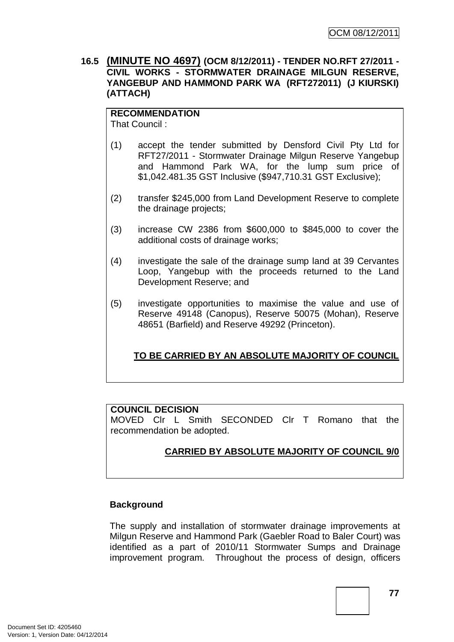### **16.5 (MINUTE NO 4697) (OCM 8/12/2011) - TENDER NO.RFT 27/2011 - CIVIL WORKS - STORMWATER DRAINAGE MILGUN RESERVE, YANGEBUP AND HAMMOND PARK WA (RFT272011) (J KIURSKI) (ATTACH)**

## **RECOMMENDATION**

That Council :

- (1) accept the tender submitted by Densford Civil Pty Ltd for RFT27/2011 - Stormwater Drainage Milgun Reserve Yangebup and Hammond Park WA, for the lump sum price of \$1,042.481.35 GST Inclusive (\$947,710.31 GST Exclusive);
- (2) transfer \$245,000 from Land Development Reserve to complete the drainage projects;
- (3) increase CW 2386 from \$600,000 to \$845,000 to cover the additional costs of drainage works;
- (4) investigate the sale of the drainage sump land at 39 Cervantes Loop, Yangebup with the proceeds returned to the Land Development Reserve; and
- (5) investigate opportunities to maximise the value and use of Reserve 49148 (Canopus), Reserve 50075 (Mohan), Reserve 48651 (Barfield) and Reserve 49292 (Princeton).

# **TO BE CARRIED BY AN ABSOLUTE MAJORITY OF COUNCIL**

### **COUNCIL DECISION**

MOVED Clr L Smith SECONDED Clr T Romano that the recommendation be adopted.

# **CARRIED BY ABSOLUTE MAJORITY OF COUNCIL 9/0**

### **Background**

The supply and installation of stormwater drainage improvements at Milgun Reserve and Hammond Park (Gaebler Road to Baler Court) was identified as a part of 2010/11 Stormwater Sumps and Drainage improvement program. Throughout the process of design, officers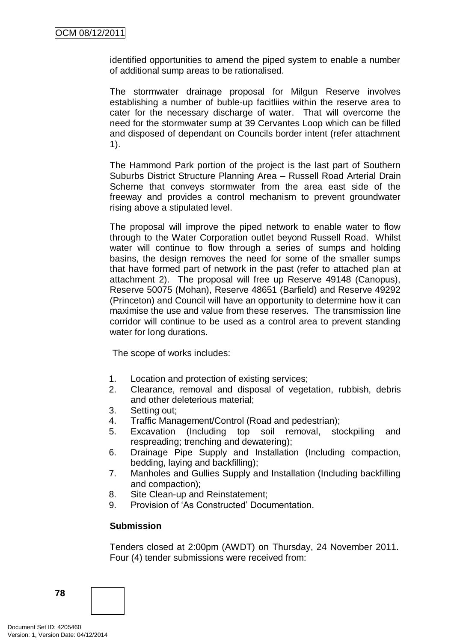identified opportunities to amend the piped system to enable a number of additional sump areas to be rationalised.

The stormwater drainage proposal for Milgun Reserve involves establishing a number of buble-up facitliies within the reserve area to cater for the necessary discharge of water. That will overcome the need for the stormwater sump at 39 Cervantes Loop which can be filled and disposed of dependant on Councils border intent (refer attachment 1).

The Hammond Park portion of the project is the last part of Southern Suburbs District Structure Planning Area – Russell Road Arterial Drain Scheme that conveys stormwater from the area east side of the freeway and provides a control mechanism to prevent groundwater rising above a stipulated level.

The proposal will improve the piped network to enable water to flow through to the Water Corporation outlet beyond Russell Road. Whilst water will continue to flow through a series of sumps and holding basins, the design removes the need for some of the smaller sumps that have formed part of network in the past (refer to attached plan at attachment 2). The proposal will free up Reserve 49148 (Canopus), Reserve 50075 (Mohan), Reserve 48651 (Barfield) and Reserve 49292 (Princeton) and Council will have an opportunity to determine how it can maximise the use and value from these reserves. The transmission line corridor will continue to be used as a control area to prevent standing water for long durations.

The scope of works includes:

- 1. Location and protection of existing services;
- 2. Clearance, removal and disposal of vegetation, rubbish, debris and other deleterious material;
- 3. Setting out;
- 4. Traffic Management/Control (Road and pedestrian);
- 5. Excavation (Including top soil removal, stockpiling and respreading; trenching and dewatering);
- 6. Drainage Pipe Supply and Installation (Including compaction, bedding, laying and backfilling);
- 7. Manholes and Gullies Supply and Installation (Including backfilling and compaction);
- 8. Site Clean-up and Reinstatement;
- 9. Provision of 'As Constructed' Documentation.

#### **Submission**

Tenders closed at 2:00pm (AWDT) on Thursday, 24 November 2011. Four (4) tender submissions were received from: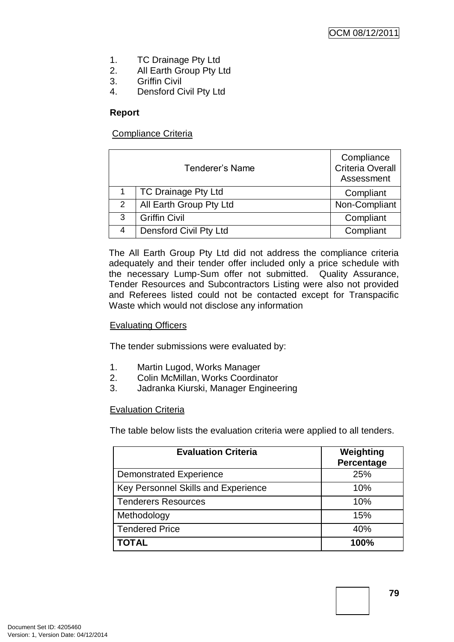- 1. TC Drainage Pty Ltd
- 2. All Earth Group Pty Ltd
- 3. Griffin Civil
- 4. Densford Civil Pty Ltd

## **Report**

### Compliance Criteria

| Tenderer's Name       |                         | Compliance<br><b>Criteria Overall</b><br>Assessment |
|-----------------------|-------------------------|-----------------------------------------------------|
|                       | TC Drainage Pty Ltd     | Compliant                                           |
| $\mathbf{2}^{\prime}$ | All Earth Group Pty Ltd | Non-Compliant                                       |
| 3                     | <b>Griffin Civil</b>    | Compliant                                           |
| 4                     | Densford Civil Pty Ltd  | Compliant                                           |

The All Earth Group Pty Ltd did not address the compliance criteria adequately and their tender offer included only a price schedule with the necessary Lump-Sum offer not submitted. Quality Assurance, Tender Resources and Subcontractors Listing were also not provided and Referees listed could not be contacted except for Transpacific Waste which would not disclose any information

### Evaluating Officers

The tender submissions were evaluated by:

- 1. Martin Lugod, Works Manager
- 2. Colin McMillan, Works Coordinator
- 3. Jadranka Kiurski, Manager Engineering

### Evaluation Criteria

The table below lists the evaluation criteria were applied to all tenders.

| <b>Evaluation Criteria</b>          | Weighting<br>Percentage |
|-------------------------------------|-------------------------|
| <b>Demonstrated Experience</b>      | 25%                     |
| Key Personnel Skills and Experience | 10%                     |
| <b>Tenderers Resources</b>          | 10%                     |
| Methodology                         | 15%                     |
| <b>Tendered Price</b>               | 40%                     |
| <b>TOTAL</b>                        | 100%                    |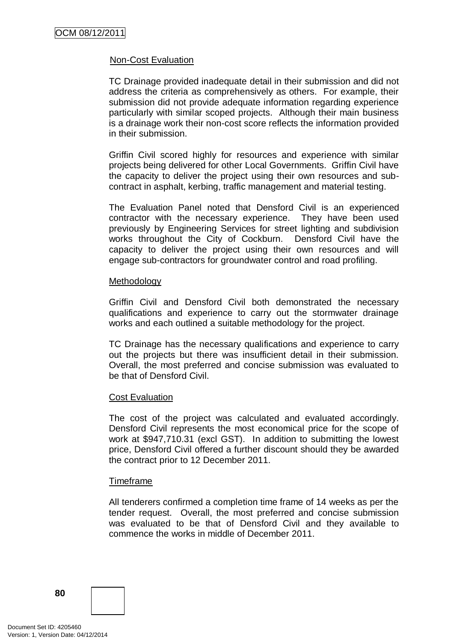#### Non-Cost Evaluation

TC Drainage provided inadequate detail in their submission and did not address the criteria as comprehensively as others. For example, their submission did not provide adequate information regarding experience particularly with similar scoped projects. Although their main business is a drainage work their non-cost score reflects the information provided in their submission.

Griffin Civil scored highly for resources and experience with similar projects being delivered for other Local Governments. Griffin Civil have the capacity to deliver the project using their own resources and subcontract in asphalt, kerbing, traffic management and material testing.

The Evaluation Panel noted that Densford Civil is an experienced contractor with the necessary experience. They have been used previously by Engineering Services for street lighting and subdivision works throughout the City of Cockburn. Densford Civil have the capacity to deliver the project using their own resources and will engage sub-contractors for groundwater control and road profiling.

#### **Methodology**

Griffin Civil and Densford Civil both demonstrated the necessary qualifications and experience to carry out the stormwater drainage works and each outlined a suitable methodology for the project.

TC Drainage has the necessary qualifications and experience to carry out the projects but there was insufficient detail in their submission. Overall, the most preferred and concise submission was evaluated to be that of Densford Civil.

#### Cost Evaluation

The cost of the project was calculated and evaluated accordingly. Densford Civil represents the most economical price for the scope of work at \$947,710.31 (excl GST). In addition to submitting the lowest price, Densford Civil offered a further discount should they be awarded the contract prior to 12 December 2011.

#### Timeframe

All tenderers confirmed a completion time frame of 14 weeks as per the tender request. Overall, the most preferred and concise submission was evaluated to be that of Densford Civil and they available to commence the works in middle of December 2011.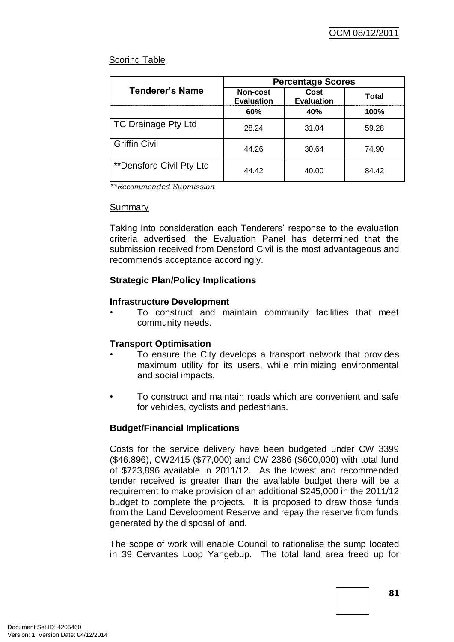# Scoring Table

|                                 | <b>Percentage Scores</b>      |                           |              |  |
|---------------------------------|-------------------------------|---------------------------|--------------|--|
| Tenderer's Name                 | Non-cost<br><b>Evaluation</b> | Cost<br><b>Evaluation</b> | <b>Total</b> |  |
|                                 | 60%                           | 40%                       | 100%         |  |
| TC Drainage Pty Ltd             | 28.24                         | 31.04                     | 59.28        |  |
| <b>Griffin Civil</b>            | 44.26                         | 30.64                     | 74.90        |  |
| <b>**Densford Civil Pty Ltd</b> | 44 42                         | 40.00                     | 84.42        |  |

*\*\*Recommended Submission*

### **Summary**

Taking into consideration each Tenderers' response to the evaluation criteria advertised, the Evaluation Panel has determined that the submission received from Densford Civil is the most advantageous and recommends acceptance accordingly.

# **Strategic Plan/Policy Implications**

## **Infrastructure Development**

• To construct and maintain community facilities that meet community needs.

# **Transport Optimisation**

- To ensure the City develops a transport network that provides maximum utility for its users, while minimizing environmental and social impacts.
- To construct and maintain roads which are convenient and safe for vehicles, cyclists and pedestrians.

# **Budget/Financial Implications**

Costs for the service delivery have been budgeted under CW 3399 (\$46.896), CW2415 (\$77,000) and CW 2386 (\$600,000) with total fund of \$723,896 available in 2011/12. As the lowest and recommended tender received is greater than the available budget there will be a requirement to make provision of an additional \$245,000 in the 2011/12 budget to complete the projects. It is proposed to draw those funds from the Land Development Reserve and repay the reserve from funds generated by the disposal of land.

The scope of work will enable Council to rationalise the sump located in 39 Cervantes Loop Yangebup. The total land area freed up for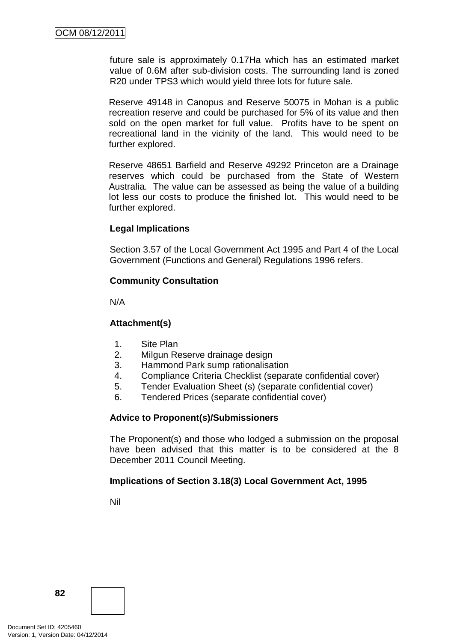future sale is approximately 0.17Ha which has an estimated market value of 0.6M after sub-division costs. The surrounding land is zoned R20 under TPS3 which would yield three lots for future sale.

Reserve 49148 in Canopus and Reserve 50075 in Mohan is a public recreation reserve and could be purchased for 5% of its value and then sold on the open market for full value. Profits have to be spent on recreational land in the vicinity of the land. This would need to be further explored.

Reserve 48651 Barfield and Reserve 49292 Princeton are a Drainage reserves which could be purchased from the State of Western Australia. The value can be assessed as being the value of a building lot less our costs to produce the finished lot. This would need to be further explored.

#### **Legal Implications**

Section 3.57 of the Local Government Act 1995 and Part 4 of the Local Government (Functions and General) Regulations 1996 refers.

#### **Community Consultation**

N/A

### **Attachment(s)**

- 1. Site Plan
- 2. Milgun Reserve drainage design
- 3. Hammond Park sump rationalisation
- 4. Compliance Criteria Checklist (separate confidential cover)
- 5. Tender Evaluation Sheet (s) (separate confidential cover)
- 6. Tendered Prices (separate confidential cover)

### **Advice to Proponent(s)/Submissioners**

The Proponent(s) and those who lodged a submission on the proposal have been advised that this matter is to be considered at the 8 December 2011 Council Meeting.

### **Implications of Section 3.18(3) Local Government Act, 1995**

Nil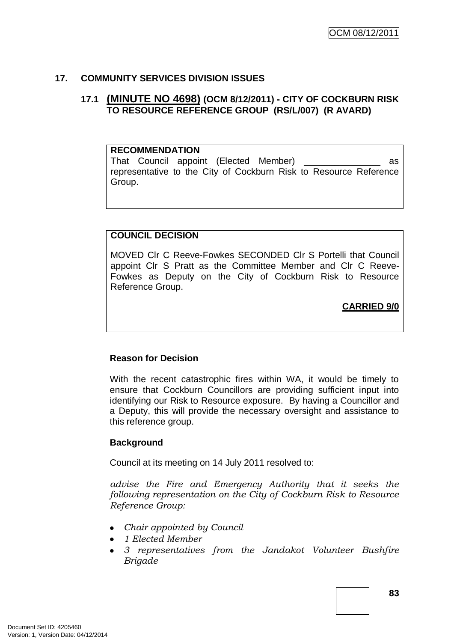## **17. COMMUNITY SERVICES DIVISION ISSUES**

## **17.1 (MINUTE NO 4698) (OCM 8/12/2011) - CITY OF COCKBURN RISK TO RESOURCE REFERENCE GROUP (RS/L/007) (R AVARD)**

#### **RECOMMENDATION**

That Council appoint (Elected Member) \_\_\_\_\_\_\_\_\_\_\_\_\_\_\_ as representative to the City of Cockburn Risk to Resource Reference Group.

### **COUNCIL DECISION**

MOVED Clr C Reeve-Fowkes SECONDED Clr S Portelli that Council appoint Clr S Pratt as the Committee Member and Clr C Reeve-Fowkes as Deputy on the City of Cockburn Risk to Resource Reference Group.

**CARRIED 9/0**

### **Reason for Decision**

With the recent catastrophic fires within WA, it would be timely to ensure that Cockburn Councillors are providing sufficient input into identifying our Risk to Resource exposure. By having a Councillor and a Deputy, this will provide the necessary oversight and assistance to this reference group.

### **Background**

Council at its meeting on 14 July 2011 resolved to:

*advise the Fire and Emergency Authority that it seeks the following representation on the City of Cockburn Risk to Resource Reference Group:*

- *Chair appointed by Council*
- *1 Elected Member*
- *3 representatives from the Jandakot Volunteer Bushfire Brigade*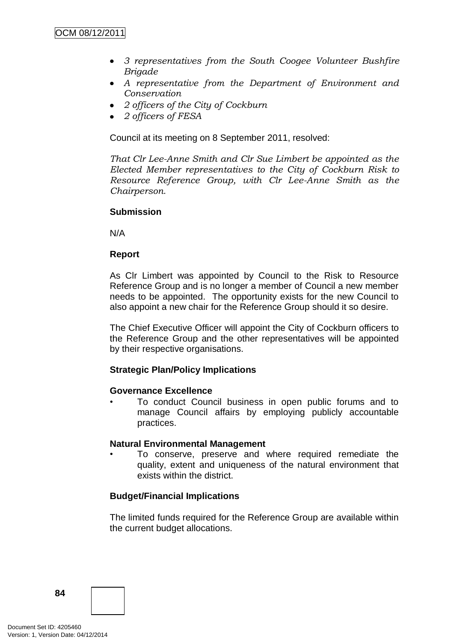- *3 representatives from the South Coogee Volunteer Bushfire Brigade*
- *A representative from the Department of Environment and Conservation*
- *2 officers of the City of Cockburn*
- *2 officers of FESA*

Council at its meeting on 8 September 2011, resolved:

*That Clr Lee-Anne Smith and Clr Sue Limbert be appointed as the Elected Member representatives to the City of Cockburn Risk to Resource Reference Group, with Clr Lee-Anne Smith as the Chairperson*.

### **Submission**

N/A

## **Report**

As Clr Limbert was appointed by Council to the Risk to Resource Reference Group and is no longer a member of Council a new member needs to be appointed. The opportunity exists for the new Council to also appoint a new chair for the Reference Group should it so desire.

The Chief Executive Officer will appoint the City of Cockburn officers to the Reference Group and the other representatives will be appointed by their respective organisations.

# **Strategic Plan/Policy Implications**

### **Governance Excellence**

• To conduct Council business in open public forums and to manage Council affairs by employing publicly accountable practices.

### **Natural Environmental Management**

• To conserve, preserve and where required remediate the quality, extent and uniqueness of the natural environment that exists within the district.

# **Budget/Financial Implications**

The limited funds required for the Reference Group are available within the current budget allocations.

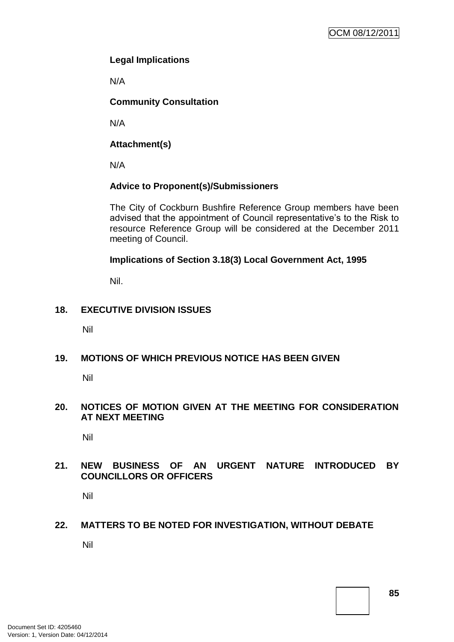## **Legal Implications**

N/A

# **Community Consultation**

N/A

**Attachment(s)**

N/A

# **Advice to Proponent(s)/Submissioners**

The City of Cockburn Bushfire Reference Group members have been advised that the appointment of Council representative's to the Risk to resource Reference Group will be considered at the December 2011 meeting of Council.

## **Implications of Section 3.18(3) Local Government Act, 1995**

Nil.

# **18. EXECUTIVE DIVISION ISSUES**

Nil

# **19. MOTIONS OF WHICH PREVIOUS NOTICE HAS BEEN GIVEN**

Nil

## **20. NOTICES OF MOTION GIVEN AT THE MEETING FOR CONSIDERATION AT NEXT MEETING**

Nil

# **21. NEW BUSINESS OF AN URGENT NATURE INTRODUCED BY COUNCILLORS OR OFFICERS**

Nil

### **22. MATTERS TO BE NOTED FOR INVESTIGATION, WITHOUT DEBATE**

Nil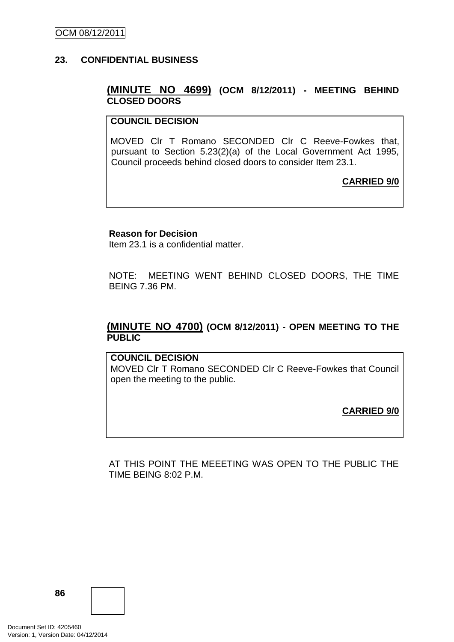#### **23. CONFIDENTIAL BUSINESS**

## **(MINUTE NO 4699) (OCM 8/12/2011) - MEETING BEHIND CLOSED DOORS**

### **COUNCIL DECISION**

MOVED Clr T Romano SECONDED Clr C Reeve-Fowkes that, pursuant to Section 5.23(2)(a) of the Local Government Act 1995, Council proceeds behind closed doors to consider Item 23.1.

**CARRIED 9/0**

#### **Reason for Decision**

Item 23.1 is a confidential matter.

NOTE: MEETING WENT BEHIND CLOSED DOORS, THE TIME BEING 7.36 PM.

## **(MINUTE NO 4700) (OCM 8/12/2011) - OPEN MEETING TO THE PUBLIC**

#### **COUNCIL DECISION**

MOVED Clr T Romano SECONDED Clr C Reeve-Fowkes that Council open the meeting to the public.

**CARRIED 9/0**

AT THIS POINT THE MEEETING WAS OPEN TO THE PUBLIC THE TIME BEING 8:02 P.M.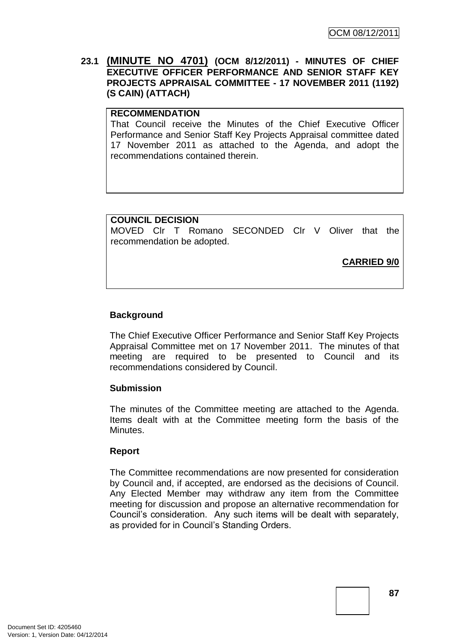### **23.1 (MINUTE NO 4701) (OCM 8/12/2011) - MINUTES OF CHIEF EXECUTIVE OFFICER PERFORMANCE AND SENIOR STAFF KEY PROJECTS APPRAISAL COMMITTEE - 17 NOVEMBER 2011 (1192) (S CAIN) (ATTACH)**

#### **RECOMMENDATION**

That Council receive the Minutes of the Chief Executive Officer Performance and Senior Staff Key Projects Appraisal committee dated 17 November 2011 as attached to the Agenda, and adopt the recommendations contained therein.

# **COUNCIL DECISION**

MOVED Clr T Romano SECONDED Clr V Oliver that the recommendation be adopted.

**CARRIED 9/0**

### **Background**

The Chief Executive Officer Performance and Senior Staff Key Projects Appraisal Committee met on 17 November 2011. The minutes of that meeting are required to be presented to Council and its recommendations considered by Council.

### **Submission**

The minutes of the Committee meeting are attached to the Agenda. Items dealt with at the Committee meeting form the basis of the Minutes.

### **Report**

The Committee recommendations are now presented for consideration by Council and, if accepted, are endorsed as the decisions of Council. Any Elected Member may withdraw any item from the Committee meeting for discussion and propose an alternative recommendation for Council's consideration. Any such items will be dealt with separately, as provided for in Council's Standing Orders.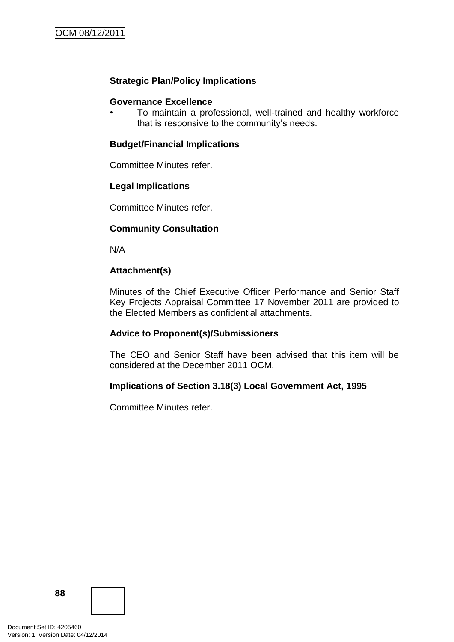## **Strategic Plan/Policy Implications**

#### **Governance Excellence**

• To maintain a professional, well-trained and healthy workforce that is responsive to the community's needs.

#### **Budget/Financial Implications**

Committee Minutes refer.

### **Legal Implications**

Committee Minutes refer.

#### **Community Consultation**

N/A

### **Attachment(s)**

Minutes of the Chief Executive Officer Performance and Senior Staff Key Projects Appraisal Committee 17 November 2011 are provided to the Elected Members as confidential attachments.

### **Advice to Proponent(s)/Submissioners**

The CEO and Senior Staff have been advised that this item will be considered at the December 2011 OCM.

### **Implications of Section 3.18(3) Local Government Act, 1995**

Committee Minutes refer.